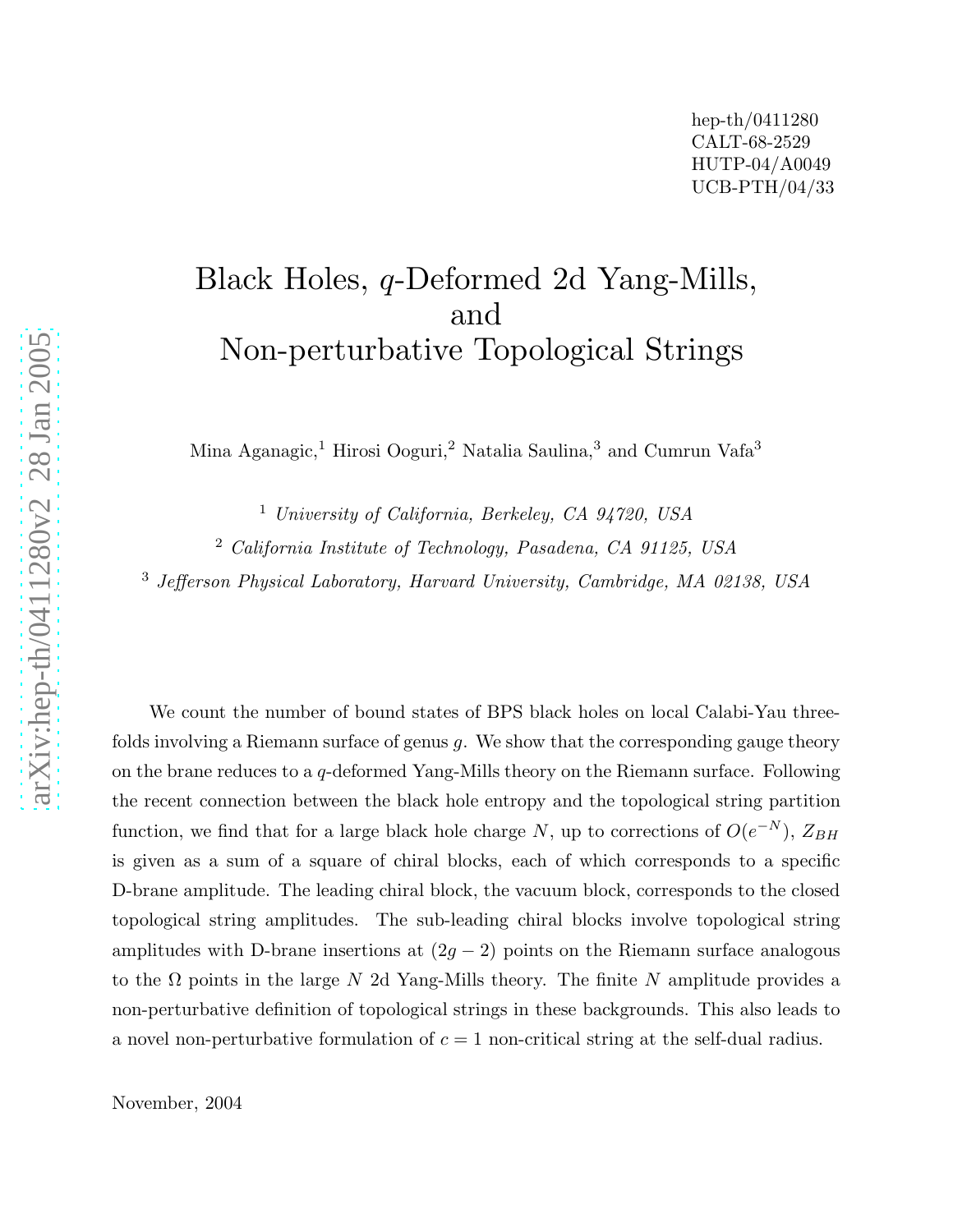# Black Holes, q-Deformed 2d Yang-Mills, and Non-perturbative Topological Strings

Mina Aganagic, <sup>1</sup> Hirosi Ooguri, <sup>2</sup> Natalia Saulina, <sup>3</sup> and Cumrun Vafa 3

<sup>1</sup> University of California, Berkeley, CA 94720, USA

<sup>2</sup> California Institute of Technology, Pasadena, CA 91125, USA

<sup>3</sup> Jefferson Physical Laboratory, Harvard University, Cambridge, MA 02138, USA

We count the number of bound states of BPS black holes on local Calabi-Yau threefolds involving a Riemann surface of genus g. We show that the corresponding gauge theory on the brane reduces to a q-deformed Yang-Mills theory on the Riemann surface. Following the recent connection between the black hole entropy and the topological string partition function, we find that for a large black hole charge N, up to corrections of  $O(e^{-N})$ ,  $Z_{BH}$ is given as a sum of a square of chiral blocks, each of which corresponds to a specific D-brane amplitude. The leading chiral block, the vacuum block, corresponds to the closed topological string amplitudes. The sub-leading chiral blocks involve topological string amplitudes with D-brane insertions at  $(2g - 2)$  points on the Riemann surface analogous to the  $\Omega$  points in the large N 2d Yang-Mills theory. The finite N amplitude provides a non-perturbative definition of topological strings in these backgrounds. This also leads to a novel non-perturbative formulation of  $c = 1$  non-critical string at the self-dual radius.

November, 2004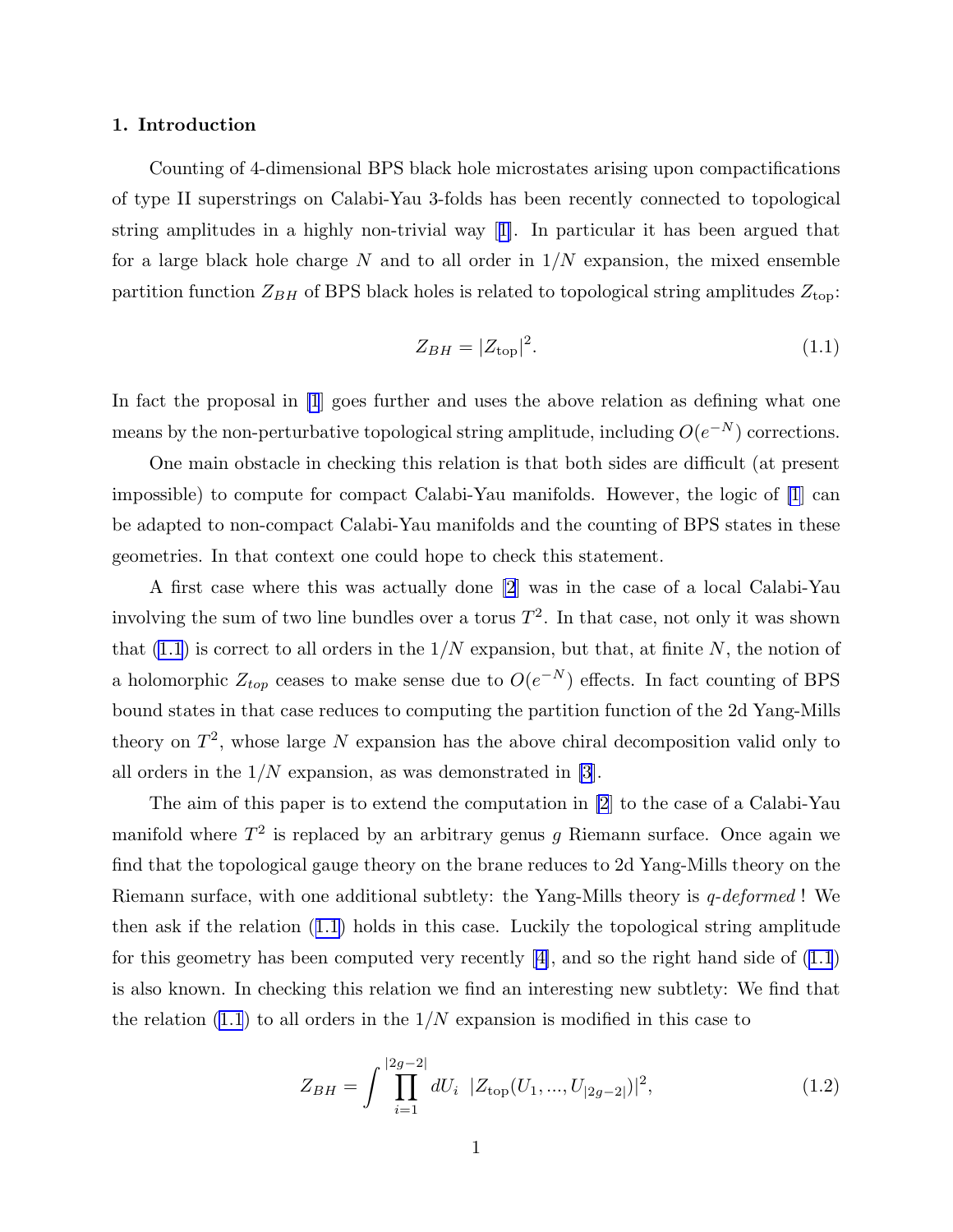#### 1. Introduction

Counting of 4-dimensional BPS black hole microstates arising upon compactifications of type II superstrings on Calabi-Yau 3-folds has been recently connected to topological string amplitudes in a highly non-trivial way[[1\]](#page-55-0). In particular it has been argued that for a large black hole charge N and to all order in  $1/N$  expansion, the mixed ensemble partition function  $Z_{BH}$  of BPS black holes is related to topological string amplitudes  $Z_{top}$ :

$$
Z_{BH} = |Z_{\text{top}}|^2. \tag{1.1}
$$

In fact the proposal in [\[1](#page-55-0)] goes further and uses the above relation as defining what one means by the non-perturbative topological string amplitude, including  $O(e^{-N})$  corrections.

One main obstacle in checking this relation is that both sides are difficult (at present impossible) to compute for compact Calabi-Yau manifolds. However, the logic of [\[1](#page-55-0)] can be adapted to non-compact Calabi-Yau manifolds and the counting of BPS states in these geometries. In that context one could hope to check this statement.

A first case where this was actually done [\[2](#page-55-0)] was in the case of a local Calabi-Yau involving the sum of two line bundles over a torus  $T^2$ . In that case, not only it was shown that  $(1.1)$  is correct to all orders in the  $1/N$  expansion, but that, at finite N, the notion of a holomorphic  $Z_{top}$  ceases to make sense due to  $O(e^{-N})$  effects. In fact counting of BPS bound states in that case reduces to computing the partition function of the 2d Yang-Mills theory on  $T^2$ , whose large N expansion has the above chiral decomposition valid only to all orders in the  $1/N$  expansion, as was demonstrated in [\[3](#page-55-0)].

The aim of this paper is to extend the computation in [\[2](#page-55-0)] to the case of a Calabi-Yau manifold where  $T^2$  is replaced by an arbitrary genus g Riemann surface. Once again we find that the topological gauge theory on the brane reduces to 2d Yang-Mills theory on the Riemann surface, with one additional subtlety: the Yang-Mills theory is q-deformed ! We then ask if the relation (1.1) holds in this case. Luckily the topological string amplitude forthis geometry has been computed very recently  $[4]$  $[4]$ , and so the right hand side of  $(1.1)$ is also known. In checking this relation we find an interesting new subtlety: We find that the relation  $(1.1)$  to all orders in the  $1/N$  expansion is modified in this case to

$$
Z_{BH} = \int \prod_{i=1}^{|2g-2|} dU_i \ |Z_{\text{top}}(U_1, ..., U_{|2g-2|})|^2,
$$
\n(1.2)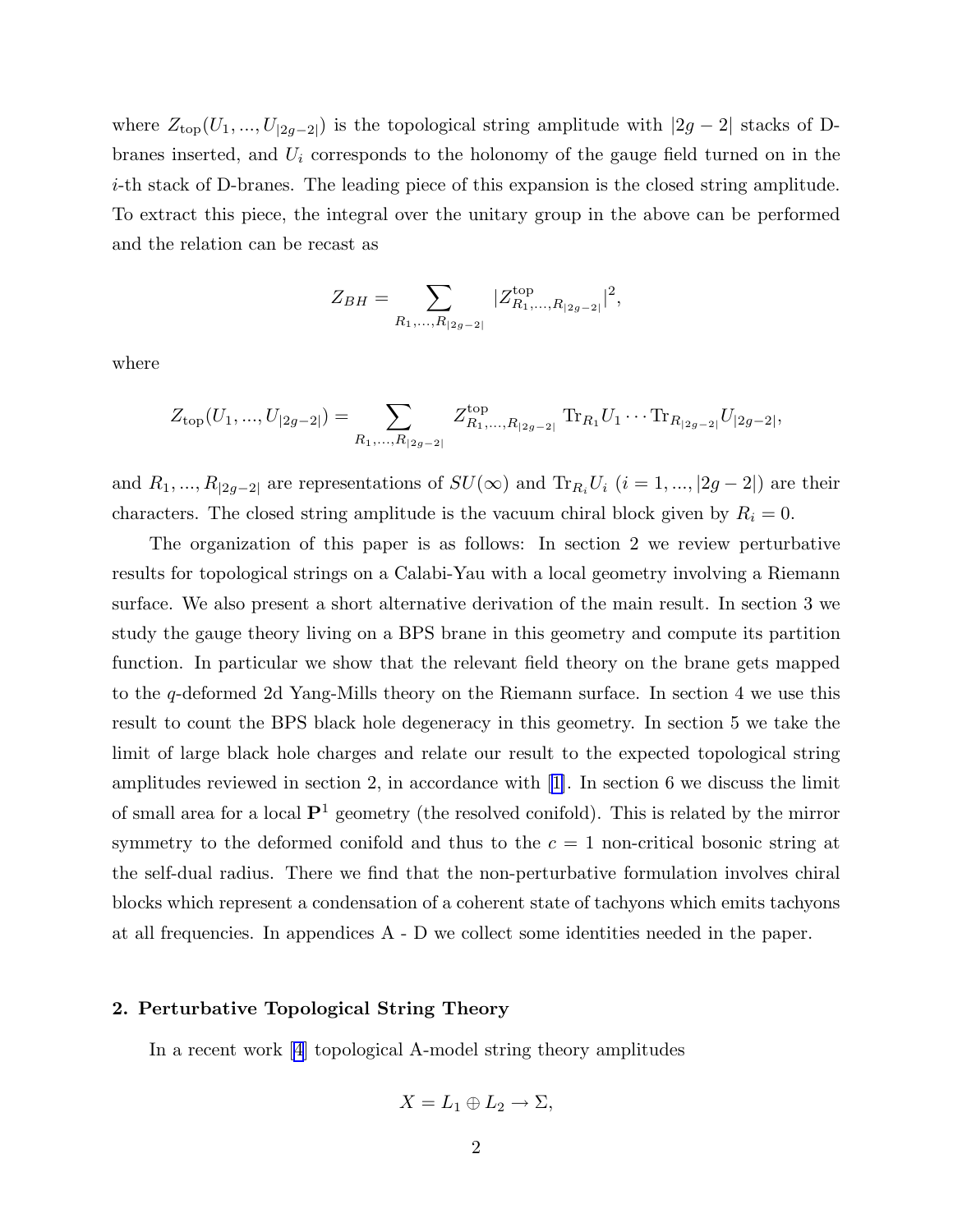where  $Z_{\text{top}}(U_1, ..., U_{|2g-2|})$  is the topological string amplitude with  $|2g-2|$  stacks of Dbranes inserted, and  $U_i$  corresponds to the holonomy of the gauge field turned on in the i-th stack of D-branes. The leading piece of this expansion is the closed string amplitude. To extract this piece, the integral over the unitary group in the above can be performed and the relation can be recast as

$$
Z_{BH} = \sum_{R_1,...,R_{|2g-2|}} |Z_{R_1,...,R_{|2g-2|}}^{\text{top}}|^2,
$$

where

$$
Z_{\text{top}}(U_1, ..., U_{|2g-2|}) = \sum_{R_1, ..., R_{|2g-2|}} Z_{R_1, ..., R_{|2g-2|}}^{\text{top}} \text{Tr}_{R_1} U_1 \cdots \text{Tr}_{R_{|2g-2|}} U_{|2g-2|},
$$

and  $R_1, ..., R_{|2g-2|}$  are representations of  $SU(\infty)$  and  $\text{Tr}_{R_i}U_i$   $(i = 1, ..., |2g-2|)$  are their characters. The closed string amplitude is the vacuum chiral block given by  $R_i = 0$ .

The organization of this paper is as follows: In section 2 we review perturbative results for topological strings on a Calabi-Yau with a local geometry involving a Riemann surface. We also present a short alternative derivation of the main result. In section 3 we study the gauge theory living on a BPS brane in this geometry and compute its partition function. In particular we show that the relevant field theory on the brane gets mapped to the q-deformed 2d Yang-Mills theory on the Riemann surface. In section 4 we use this result to count the BPS black hole degeneracy in this geometry. In section 5 we take the limit of large black hole charges and relate our result to the expected topological string amplitudes reviewed in section 2, in accordance with[[1\]](#page-55-0). In section 6 we discuss the limit of small area for a local  $\mathbf{P}^1$  geometry (the resolved conifold). This is related by the mirror symmetry to the deformed conifold and thus to the  $c = 1$  non-critical bosonic string at the self-dual radius. There we find that the non-perturbative formulation involves chiral blocks which represent a condensation of a coherent state of tachyons which emits tachyons at all frequencies. In appendices A - D we collect some identities needed in the paper.

#### 2. Perturbative Topological String Theory

In a recent work[[4](#page-55-0)] topological A-model string theory amplitudes

$$
X = L_1 \oplus L_2 \to \Sigma,
$$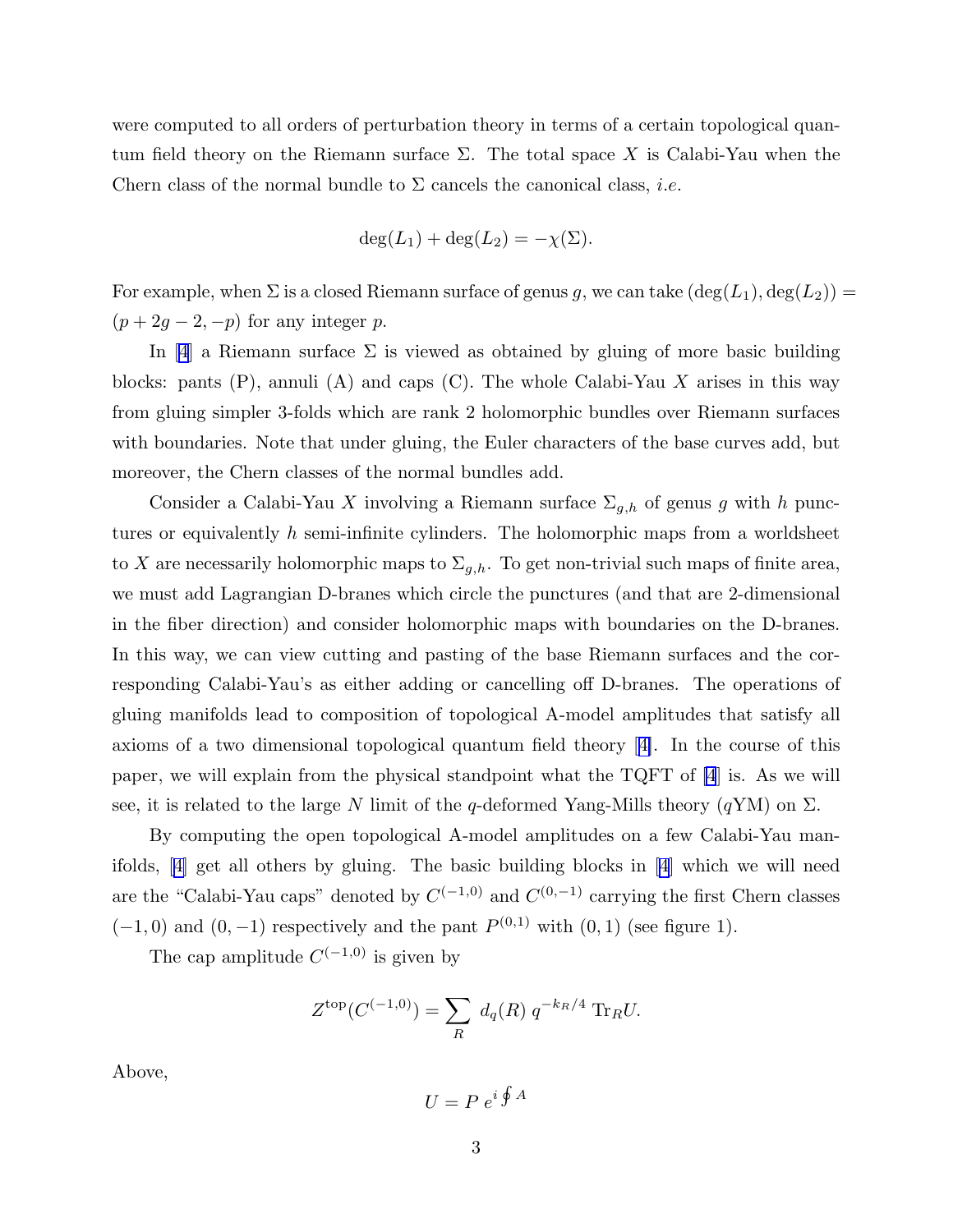were computed to all orders of perturbation theory in terms of a certain topological quantum field theory on the Riemann surface  $\Sigma$ . The total space X is Calabi-Yau when the Chern class of the normal bundle to  $\Sigma$  cancels the canonical class, *i.e.* 

$$
\deg(L_1) + \deg(L_2) = -\chi(\Sigma).
$$

For example, when  $\Sigma$  is a closed Riemann surface of genus g, we can take  $(\deg(L_1), \deg(L_2)) =$  $(p+2g-2,-p)$  for any integer p.

In [\[4](#page-55-0)] a Riemann surface  $\Sigma$  is viewed as obtained by gluing of more basic building blocks: pants  $(P)$ , annuli  $(A)$  and caps  $(C)$ . The whole Calabi-Yau X arises in this way from gluing simpler 3-folds which are rank 2 holomorphic bundles over Riemann surfaces with boundaries. Note that under gluing, the Euler characters of the base curves add, but moreover, the Chern classes of the normal bundles add.

Consider a Calabi-Yau X involving a Riemann surface  $\Sigma_{g,h}$  of genus g with h punctures or equivalently h semi-infinite cylinders. The holomorphic maps from a worldsheet to X are necessarily holomorphic maps to  $\Sigma_{g,h}$ . To get non-trivial such maps of finite area, we must add Lagrangian D-branes which circle the punctures (and that are 2-dimensional in the fiber direction) and consider holomorphic maps with boundaries on the D-branes. In this way, we can view cutting and pasting of the base Riemann surfaces and the corresponding Calabi-Yau's as either adding or cancelling off D-branes. The operations of gluing manifolds lead to composition of topological A-model amplitudes that satisfy all axioms of a two dimensional topological quantum field theory [[4\]](#page-55-0). In the course of this paper, we will explain from the physical standpoint what the TQFT of [\[4](#page-55-0)] is. As we will see, it is related to the large N limit of the q-deformed Yang-Mills theory  $(qYM)$  on  $\Sigma$ .

By computing the open topological A-model amplitudes on a few Calabi-Yau manifolds,[[4\]](#page-55-0) get all others by gluing. The basic building blocks in[[4\]](#page-55-0) which we will need are the "Calabi-Yau caps" denoted by  $C^{(-1,0)}$  and  $C^{(0,-1)}$  carrying the first Chern classes  $(-1, 0)$  and  $(0, -1)$  respectively and the pant  $P^{(0,1)}$  with  $(0, 1)$  (see figure 1).

The cap amplitude  $C^{(-1,0)}$  is given by

$$
Z^{\text{top}}(C^{(-1,0)}) = \sum_{R} d_q(R) q^{-k_R/4} \text{Tr}_R U.
$$

Above,

 $U = P e^{i \oint A}$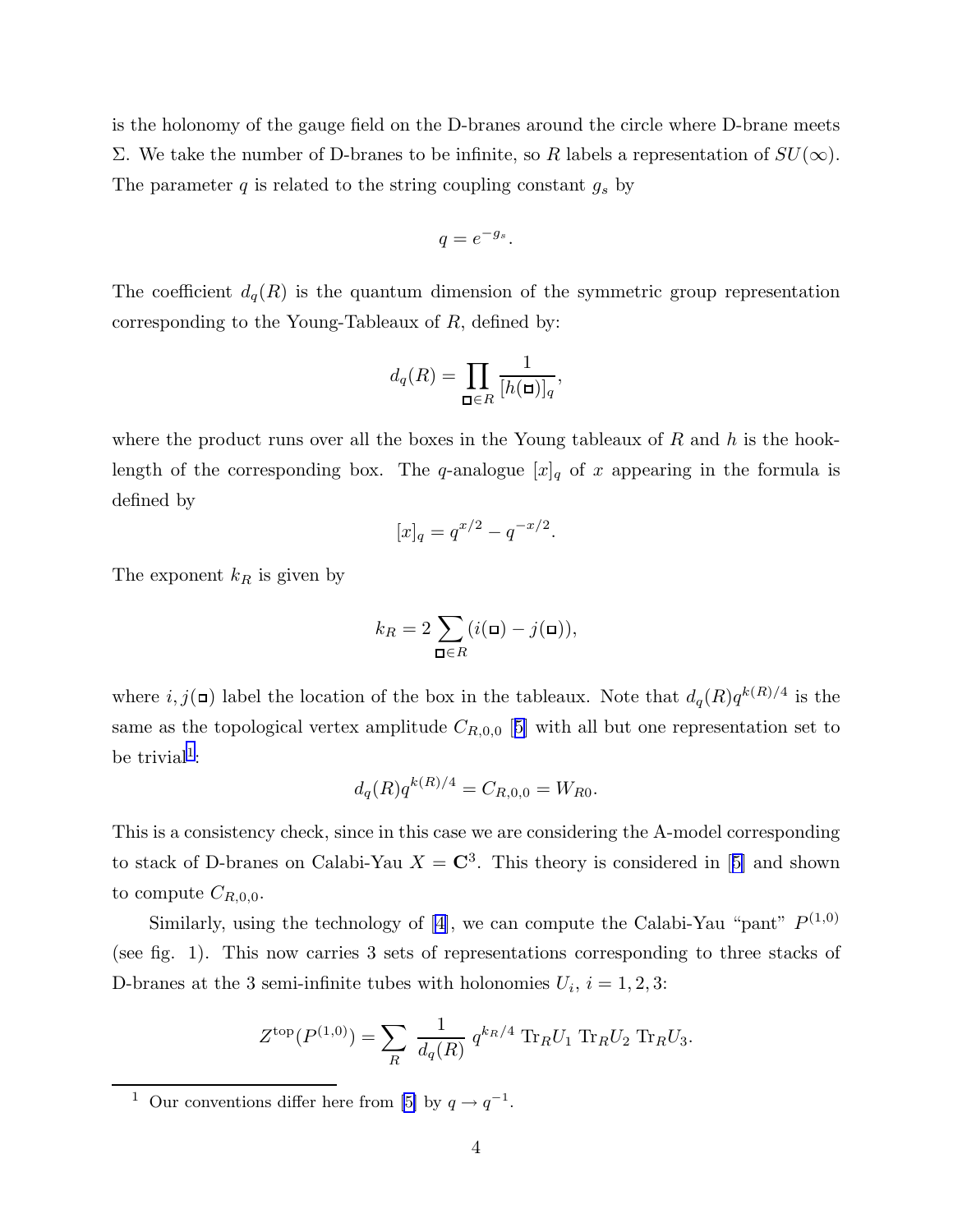is the holonomy of the gauge field on the D-branes around the circle where D-brane meets Σ. We take the number of D-branes to be infinite, so R labels a representation of  $SU(\infty)$ . The parameter  $q$  is related to the string coupling constant  $g_s$  by

$$
q=e^{-g_s}.
$$

The coefficient  $d_q(R)$  is the quantum dimension of the symmetric group representation corresponding to the Young-Tableaux of  $R$ , defined by:

$$
d_q(R) = \prod_{\square \in R} \frac{1}{[h(\square)]_q},
$$

where the product runs over all the boxes in the Young tableaux of  $R$  and  $h$  is the hooklength of the corresponding box. The q-analogue  $[x]_q$  of x appearing in the formula is defined by

$$
[x]_q = q^{x/2} - q^{-x/2}.
$$

The exponent  $k_R$  is given by

$$
k_R = 2\sum_{\square \in R} (i(\square) - j(\square)),
$$

where  $i, j(\mathbf{u})$  label the location of the box in the tableaux. Note that  $d_q(R)q^{k(R)/4}$  is the same as the topological vertex amplitude  $C_{R,0,0}$  [[5\]](#page-55-0) with all but one representation set to be trivial<sup>1</sup>:

$$
d_q(R)q^{k(R)/4} = C_{R,0,0} = W_{R0}.
$$

This is a consistency check, since in this case we are considering the A-model corresponding tostack of D-branes on Calabi-Yau  $X = \mathbb{C}^3$ . This theory is considered in [[5\]](#page-55-0) and shown to compute  $C_{R,0,0}$ .

Similarly,using the technology of [[4](#page-55-0)], we can compute the Calabi-Yau "pant"  $P^{(1,0)}$ (see fig. 1). This now carries 3 sets of representations corresponding to three stacks of D-branes at the 3 semi-infinite tubes with holonomies  $U_i$ ,  $i = 1, 2, 3$ :

$$
Z^{\text{top}}(P^{(1,0)}) = \sum_{R} \frac{1}{d_q(R)} q^{k_R/4} \operatorname{Tr}_R U_1 \operatorname{Tr}_R U_2 \operatorname{Tr}_R U_3.
$$

<sup>1</sup> Our conventions differ here from [\[5\]](#page-55-0) by  $q \to q^{-1}$ .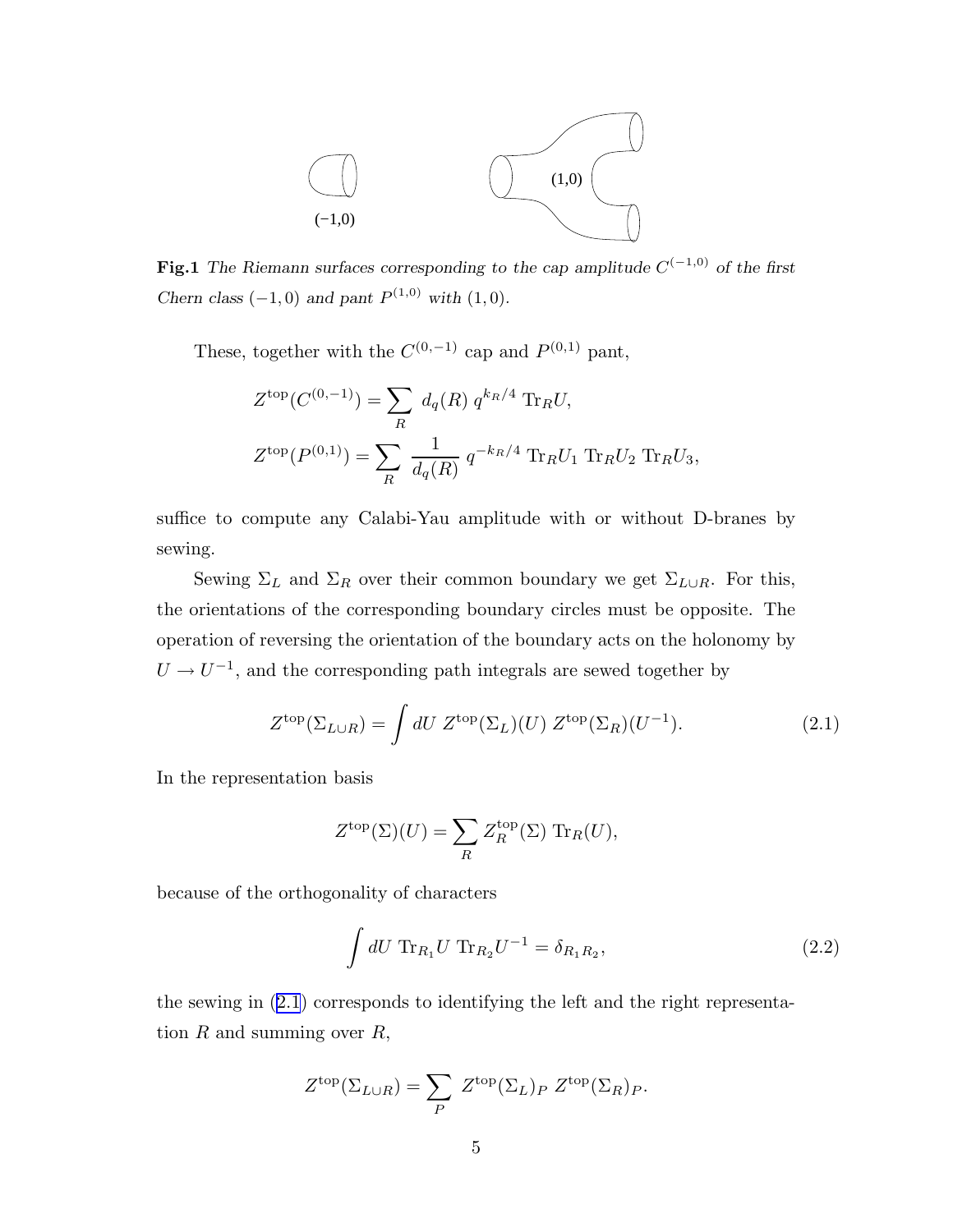

<span id="page-5-0"></span>**Fig.1** The Riemann surfaces corresponding to the cap amplitude  $C^{(-1,0)}$  of the first Chern class  $(-1,0)$  and pant  $P^{(1,0)}$  with  $(1,0)$ .

These, together with the  $C^{(0,-1)}$  cap and  $P^{(0,1)}$  pant,

$$
Z^{\text{top}}(C^{(0,-1)}) = \sum_{R} d_q(R) q^{k_R/4} \text{Tr}_R U,
$$
  

$$
Z^{\text{top}}(P^{(0,1)}) = \sum_{R} \frac{1}{d_q(R)} q^{-k_R/4} \text{Tr}_R U_1 \text{Tr}_R U_2 \text{Tr}_R U_3,
$$

suffice to compute any Calabi-Yau amplitude with or without D-branes by sewing.

Sewing  $\Sigma_L$  and  $\Sigma_R$  over their common boundary we get  $\Sigma_{L\cup R}$ . For this, the orientations of the corresponding boundary circles must be opposite. The operation of reversing the orientation of the boundary acts on the holonomy by  $U \rightarrow U^{-1}$ , and the corresponding path integrals are sewed together by

$$
Z^{\text{top}}(\Sigma_{L\cup R}) = \int dU \; Z^{\text{top}}(\Sigma_L)(U) \; Z^{\text{top}}(\Sigma_R)(U^{-1}). \tag{2.1}
$$

In the representation basis

$$
Z^{\text{top}}(\Sigma)(U) = \sum_{R} Z^{\text{top}}_{R}(\Sigma) \operatorname{Tr}_{R}(U),
$$

because of the orthogonality of characters

$$
\int dU \, \text{Tr}_{R_1} U \, \text{Tr}_{R_2} U^{-1} = \delta_{R_1 R_2},\tag{2.2}
$$

the sewing in (2.1) corresponds to identifying the left and the right representation  $R$  and summing over  $R$ ,

$$
Z^{\text{top}}(\Sigma_{L\cup R}) = \sum_{P} Z^{\text{top}}(\Sigma_{L})_{P} Z^{\text{top}}(\Sigma_{R})_{P}.
$$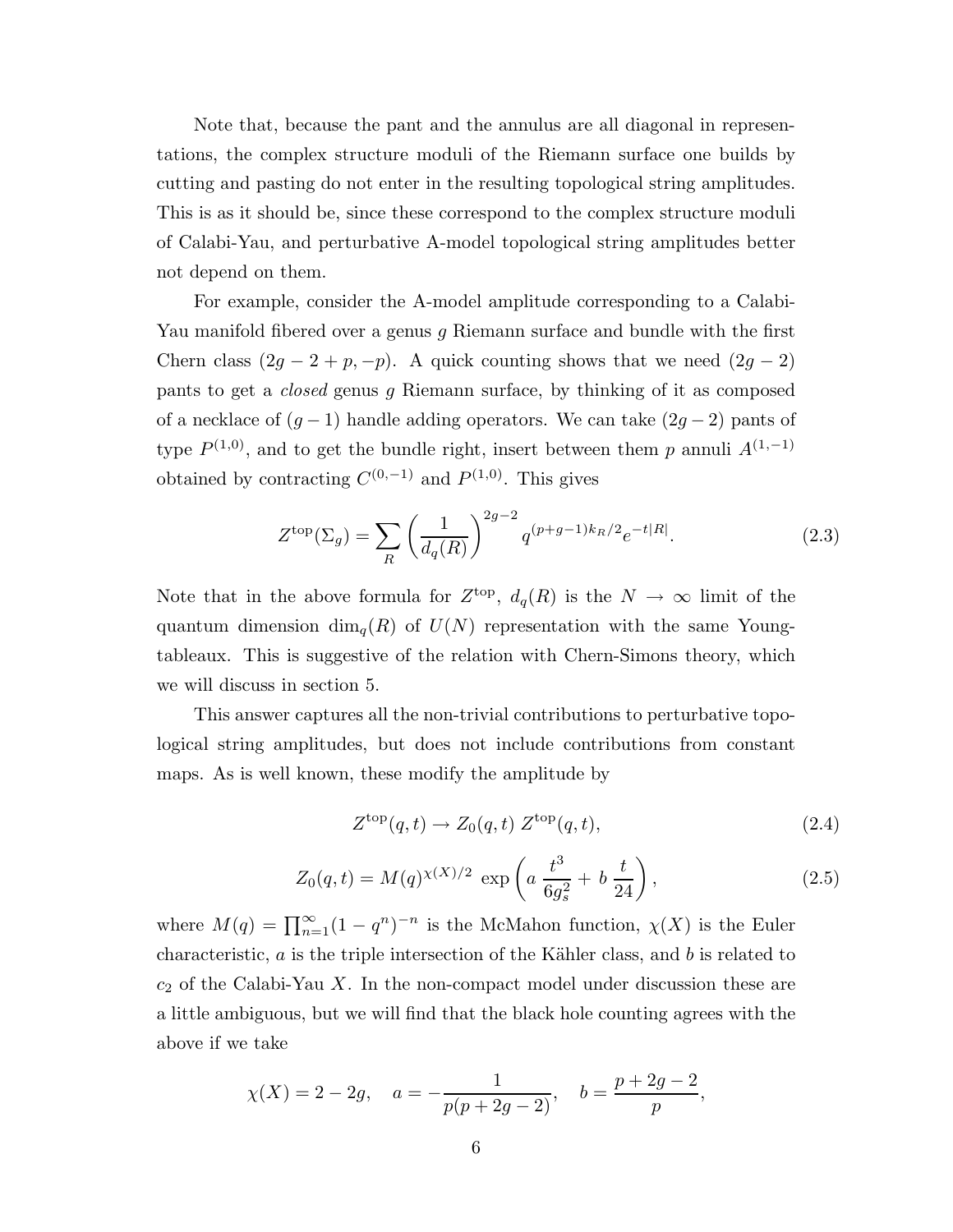<span id="page-6-0"></span>Note that, because the pant and the annulus are all diagonal in representations, the complex structure moduli of the Riemann surface one builds by cutting and pasting do not enter in the resulting topological string amplitudes. This is as it should be, since these correspond to the complex structure moduli of Calabi-Yau, and perturbative A-model topological string amplitudes better not depend on them.

For example, consider the A-model amplitude corresponding to a Calabi-Yau manifold fibered over a genus g Riemann surface and bundle with the first Chern class  $(2g - 2 + p, -p)$ . A quick counting shows that we need  $(2g - 2)$ pants to get a closed genus g Riemann surface, by thinking of it as composed of a necklace of  $(g-1)$  handle adding operators. We can take  $(2g-2)$  pants of type  $P^{(1,0)}$ , and to get the bundle right, insert between them p annuli  $A^{(1,-1)}$ obtained by contracting  $C^{(0,-1)}$  and  $P^{(1,0)}$ . This gives

$$
Z^{\text{top}}(\Sigma_g) = \sum_R \left(\frac{1}{d_q(R)}\right)^{2g-2} q^{(p+g-1)k_R/2} e^{-t|R|}.
$$
 (2.3)

Note that in the above formula for  $Z^{\text{top}}$ ,  $d_q(R)$  is the  $N \to \infty$  limit of the quantum dimension  $\dim_q(R)$  of  $U(N)$  representation with the same Youngtableaux. This is suggestive of the relation with Chern-Simons theory, which we will discuss in section 5.

This answer captures all the non-trivial contributions to perturbative topological string amplitudes, but does not include contributions from constant maps. As is well known, these modify the amplitude by

$$
Z^{\text{top}}(q,t) \to Z_0(q,t) \; Z^{\text{top}}(q,t),\tag{2.4}
$$

,

$$
Z_0(q,t) = M(q)^{\chi(X)/2} \exp\left(a \frac{t^3}{6g_s^2} + b \frac{t}{24}\right),\tag{2.5}
$$

where  $M(q) = \prod_{n=1}^{\infty} (1 - q^n)^{-n}$  is the McMahon function,  $\chi(X)$  is the Euler characteristic,  $a$  is the triple intersection of the Kähler class, and  $b$  is related to  $c_2$  of the Calabi-Yau X. In the non-compact model under discussion these are a little ambiguous, but we will find that the black hole counting agrees with the above if we take

$$
\chi(X) = 2 - 2g
$$
,  $a = -\frac{1}{p(p+2g-2)}$ ,  $b = \frac{p+2g-2}{p}$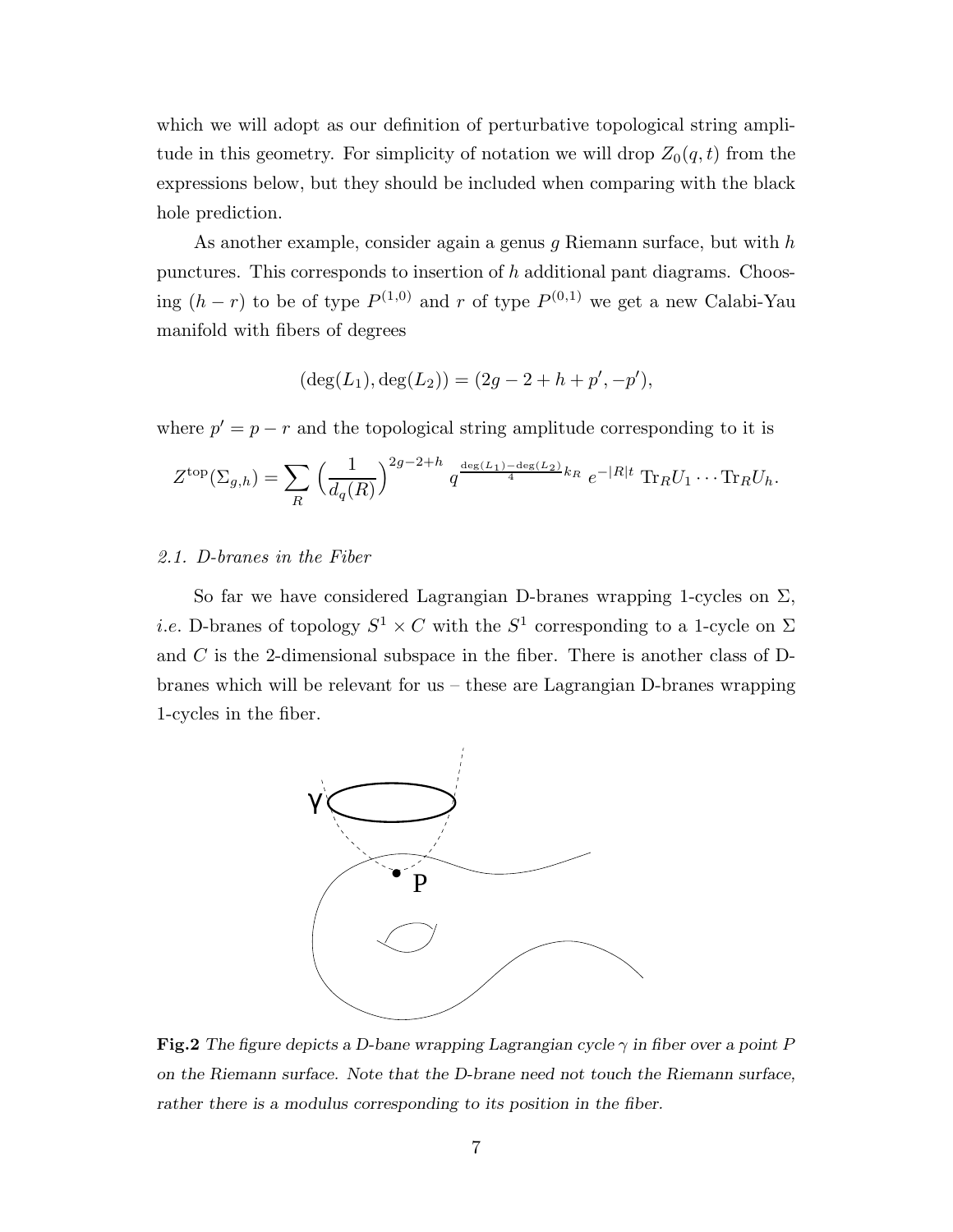which we will adopt as our definition of perturbative topological string amplitude in this geometry. For simplicity of notation we will drop  $Z_0(q,t)$  from the expressions below, but they should be included when comparing with the black hole prediction.

As another example, consider again a genus g Riemann surface, but with  $h$ punctures. This corresponds to insertion of h additional pant diagrams. Choosing  $(h - r)$  to be of type  $P^{(1,0)}$  and r of type  $P^{(0,1)}$  we get a new Calabi-Yau manifold with fibers of degrees

$$
(\deg(L_1), \deg(L_2)) = (2g - 2 + h + p', -p'),
$$

where  $p' = p - r$  and the topological string amplitude corresponding to it is

$$
Z^{\text{top}}(\Sigma_{g,h}) = \sum_{R} \left(\frac{1}{d_q(R)}\right)^{2g-2+h} q^{\frac{\deg(L_1)-\deg(L_2)}{4}k_R} e^{-|R|t} \operatorname{Tr}_R U_1 \cdots \operatorname{Tr}_R U_h.
$$

#### 2.1. D-branes in the Fiber

So far we have considered Lagrangian D-branes wrapping 1-cycles on  $\Sigma$ , *i.e.* D-branes of topology  $S^1 \times C$  with the  $S^1$  corresponding to a 1-cycle on  $\Sigma$ and  $C$  is the 2-dimensional subspace in the fiber. There is another class of Dbranes which will be relevant for us – these are Lagrangian D-branes wrapping 1-cycles in the fiber.



**Fig.2** The figure depicts a D-bane wrapping Lagrangian cycle  $\gamma$  in fiber over a point P on the Riemann surface. Note that the D-brane need not touch the Riemann surface, rather there is a modulus corresponding to its position in the fiber.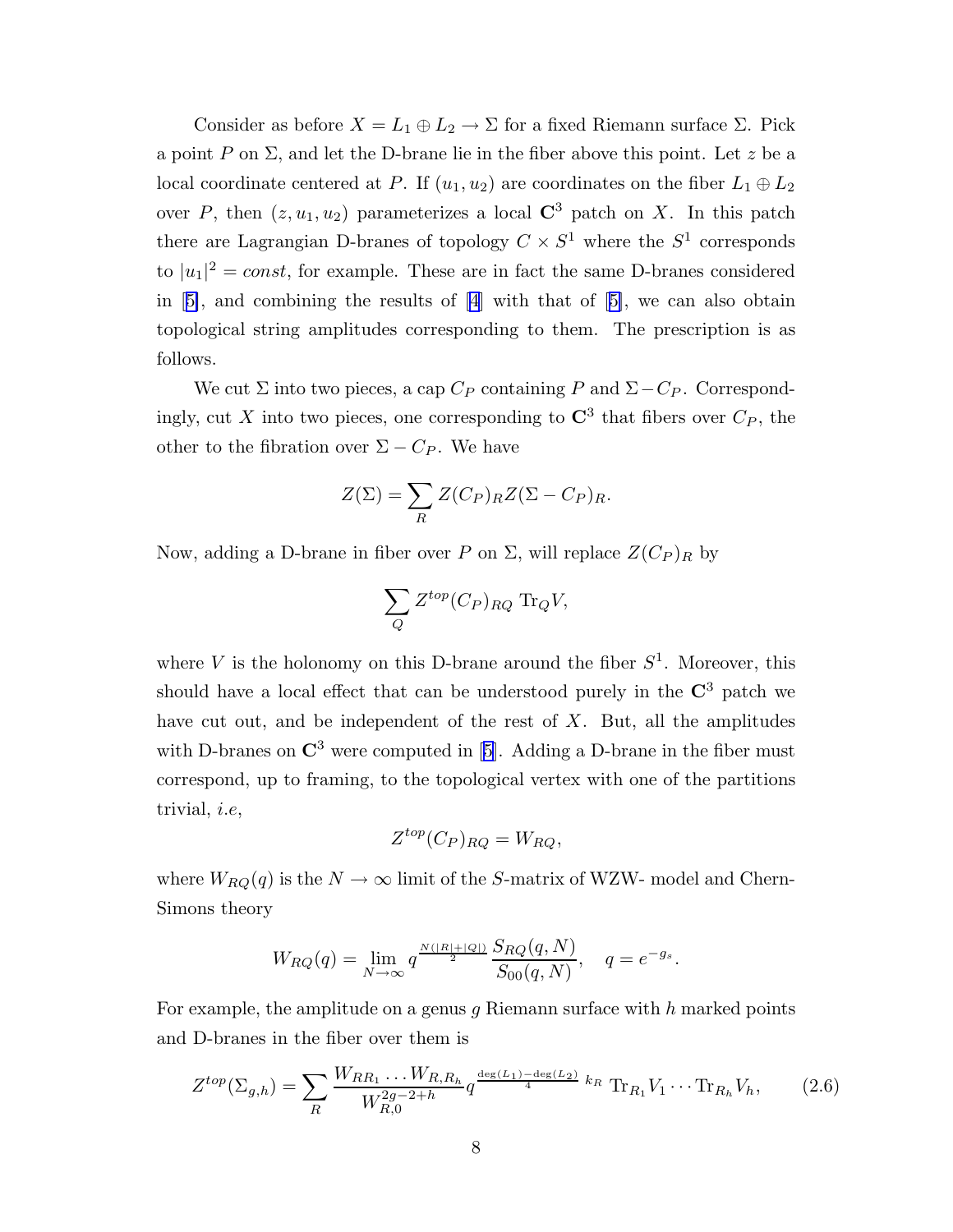<span id="page-8-0"></span>Consider as before  $X = L_1 \oplus L_2 \rightarrow \Sigma$  for a fixed Riemann surface  $\Sigma$ . Pick a point P on  $\Sigma$ , and let the D-brane lie in the fiber above this point. Let z be a local coordinate centered at P. If  $(u_1, u_2)$  are coordinates on the fiber  $L_1 \oplus L_2$ over P, then  $(z, u_1, u_2)$  parameterizes a local  $\mathbb{C}^3$  patch on X. In this patch there are Lagrangian D-branes of topology  $C \times S^1$  where the  $S^1$  corresponds to  $|u_1|^2 = const$ , for example. These are in fact the same D-branes considered in[[5\]](#page-55-0), and combining the results of [\[4](#page-55-0)] with that of[[5\]](#page-55-0), we can also obtain topological string amplitudes corresponding to them. The prescription is as follows.

We cut  $\Sigma$  into two pieces, a cap  $C_P$  containing P and  $\Sigma - C_P$ . Correspondingly, cut X into two pieces, one corresponding to  $\mathbb{C}^3$  that fibers over  $C_P$ , the other to the fibration over  $\Sigma - C_P$ . We have

$$
Z(\Sigma) = \sum_{R} Z(C_{P})_{R} Z(\Sigma - C_{P})_{R}.
$$

Now, adding a D-brane in fiber over P on  $\Sigma$ , will replace  $Z(C_P)_R$  by

$$
\sum_{Q} Z^{top}(C_P)_{RQ} \operatorname{Tr}_Q V,
$$

where V is the holonomy on this D-brane around the fiber  $S^1$ . Moreover, this should have a local effect that can be understood purely in the  $\mathbb{C}^3$  patch we have cut out, and be independent of the rest of  $X$ . But, all the amplitudes withD-branes on  $\mathbb{C}^3$  were computed in [[5\]](#page-55-0). Adding a D-brane in the fiber must correspond, up to framing, to the topological vertex with one of the partitions trivial, i.e,

$$
Z^{top}(C_P)_{RQ} = W_{RQ},
$$

where  $W_{RQ}(q)$  is the  $N \to \infty$  limit of the S-matrix of WZW- model and Chern-Simons theory

$$
W_{RQ}(q) = \lim_{N \to \infty} q^{\frac{N(|R| + |Q|)}{2}} \frac{S_{RQ}(q, N)}{S_{00}(q, N)}, \quad q = e^{-g_s}.
$$

For example, the amplitude on a genus  $g$  Riemann surface with  $h$  marked points and D-branes in the fiber over them is

$$
Z^{top}(\Sigma_{g,h}) = \sum_{R} \frac{W_{RR_1} \dots W_{R,R_h}}{W_{R,0}^{2g-2+h}} q^{\frac{\deg(L_1) - \deg(L_2)}{4} k_R} \operatorname{Tr}_{R_1} V_1 \dots \operatorname{Tr}_{R_h} V_h, \qquad (2.6)
$$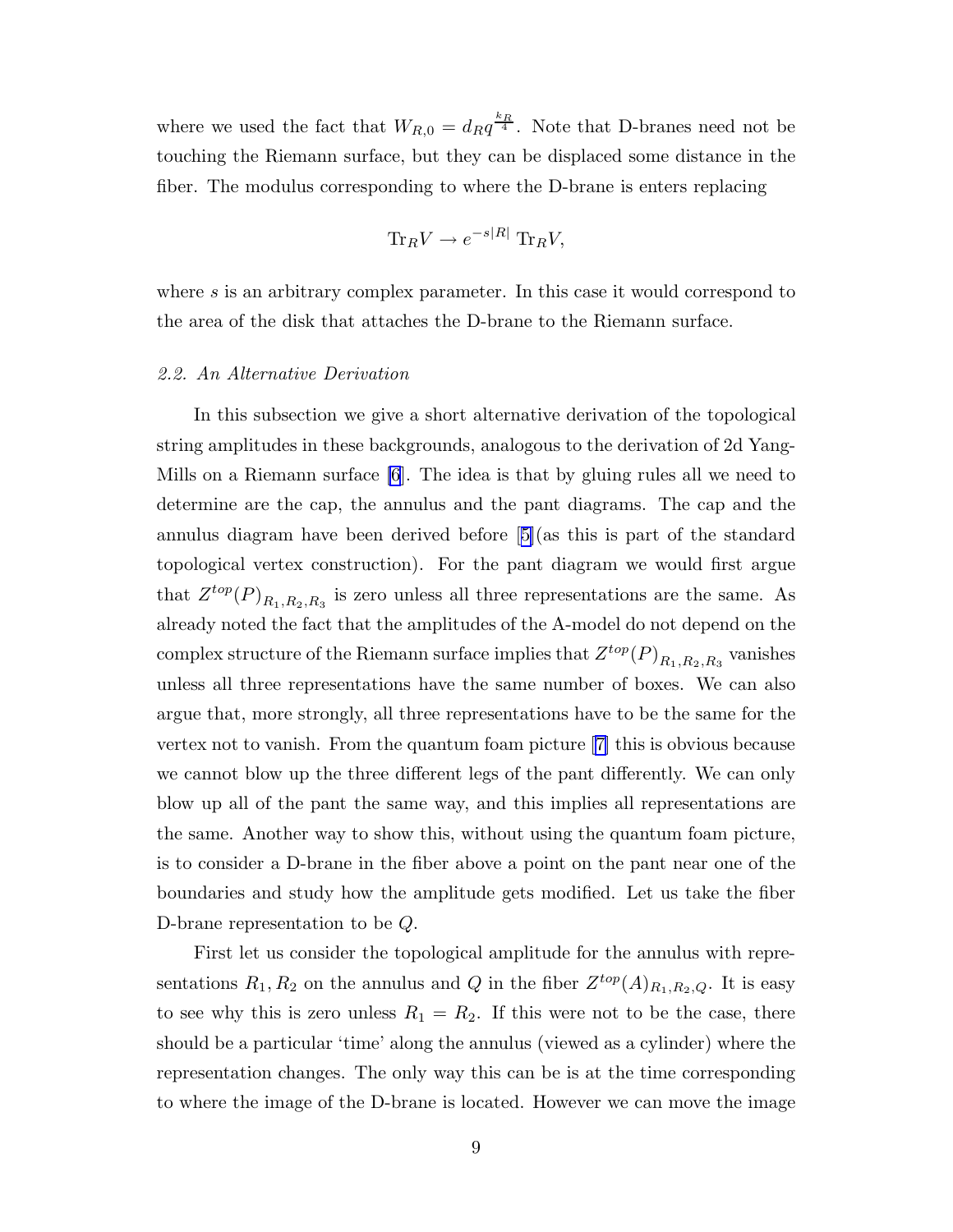where we used the fact that  $W_{R,0} = d_R q^{\frac{k_R}{4}}$ . Note that D-branes need not be touching the Riemann surface, but they can be displaced some distance in the fiber. The modulus corresponding to where the D-brane is enters replacing

$$
\text{Tr}_R V \to e^{-s|R|} \text{Tr}_R V,
$$

where s is an arbitrary complex parameter. In this case it would correspond to the area of the disk that attaches the D-brane to the Riemann surface.

#### 2.2. An Alternative Derivation

In this subsection we give a short alternative derivation of the topological string amplitudes in these backgrounds, analogous to the derivation of 2d Yang-Mills on a Riemann surface [\[6](#page-55-0)]. The idea is that by gluing rules all we need to determine are the cap, the annulus and the pant diagrams. The cap and the annulus diagram have been derived before[[5\]](#page-55-0)(as this is part of the standard topological vertex construction). For the pant diagram we would first argue that  $Z^{top}(P)_{R_1,R_2,R_3}$  is zero unless all three representations are the same. As already noted the fact that the amplitudes of the A-model do not depend on the complex structure of the Riemann surface implies that  $Z^{top}(P)_{R_1,R_2,R_3}$  vanishes unless all three representations have the same number of boxes. We can also argue that, more strongly, all three representations have to be the same for the vertex not to vanish. From the quantum foam picture[[7\]](#page-55-0) this is obvious because we cannot blow up the three different legs of the pant differently. We can only blow up all of the pant the same way, and this implies all representations are the same. Another way to show this, without using the quantum foam picture, is to consider a D-brane in the fiber above a point on the pant near one of the boundaries and study how the amplitude gets modified. Let us take the fiber D-brane representation to be Q.

First let us consider the topological amplitude for the annulus with representations  $R_1, R_2$  on the annulus and Q in the fiber  $Z^{top}(A)_{R_1, R_2, Q}$ . It is easy to see why this is zero unless  $R_1 = R_2$ . If this were not to be the case, there should be a particular 'time' along the annulus (viewed as a cylinder) where the representation changes. The only way this can be is at the time corresponding to where the image of the D-brane is located. However we can move the image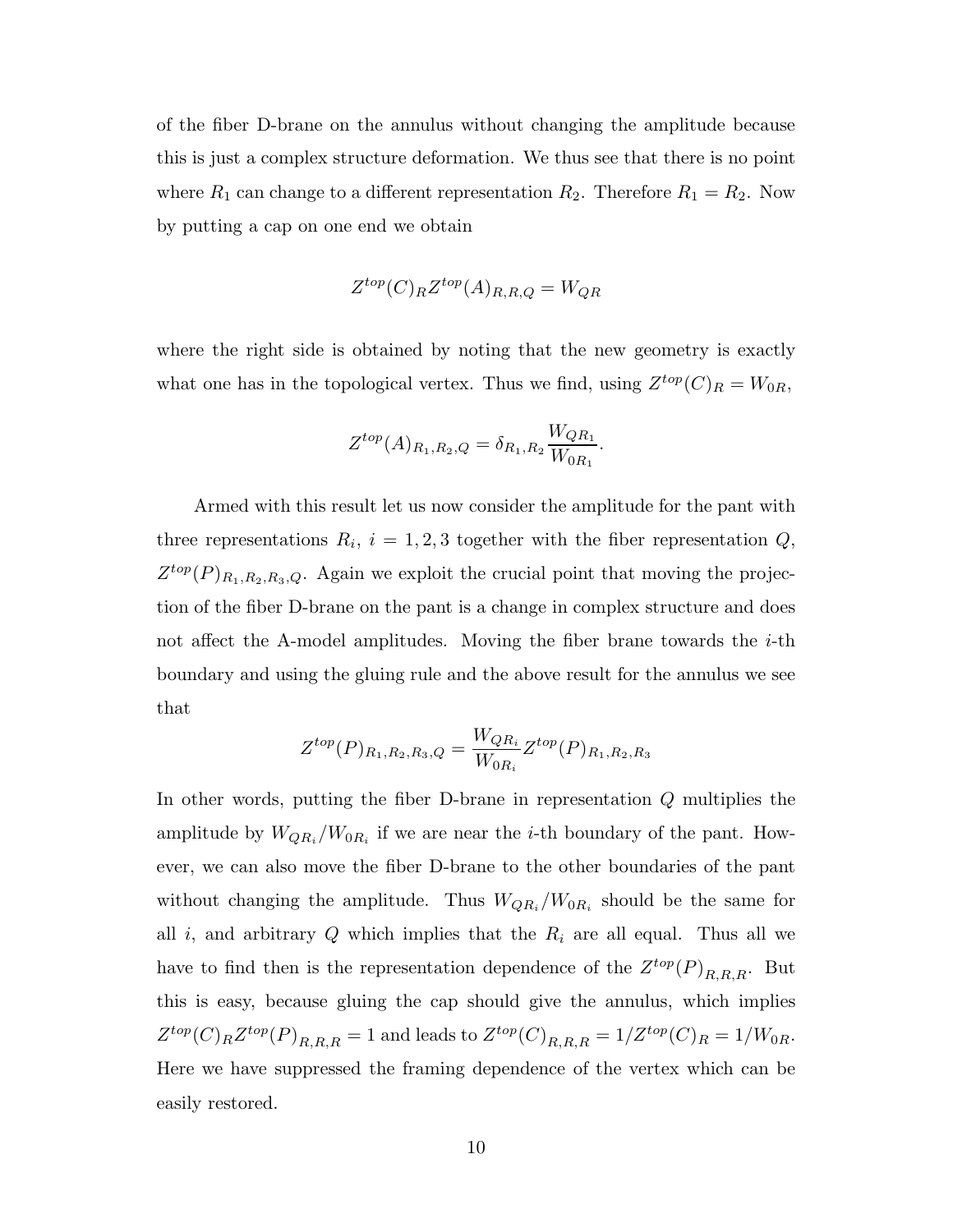of the fiber D-brane on the annulus without changing the amplitude because this is just a complex structure deformation. We thus see that there is no point where  $R_1$  can change to a different representation  $R_2$ . Therefore  $R_1 = R_2$ . Now by putting a cap on one end we obtain

$$
Z^{top}(C)_R Z^{top}(A)_{R,R,Q} = W_{QR}
$$

where the right side is obtained by noting that the new geometry is exactly what one has in the topological vertex. Thus we find, using  $Z^{top}(C)_R = W_{0R}$ ,

$$
Z^{top}(A)_{R_1,R_2,Q} = \delta_{R_1,R_2} \frac{W_{QR_1}}{W_{0R_1}}.
$$

Armed with this result let us now consider the amplitude for the pant with three representations  $R_i$ ,  $i = 1, 2, 3$  together with the fiber representation  $Q$ ,  $Z^{top}(P)_{R_1,R_2,R_3,Q}$ . Again we exploit the crucial point that moving the projection of the fiber D-brane on the pant is a change in complex structure and does not affect the A-model amplitudes. Moving the fiber brane towards the  $i$ -th boundary and using the gluing rule and the above result for the annulus we see that

$$
Z^{top}(P)_{R_1,R_2,R_3,Q} = \frac{W_{QR_i}}{W_{OR_i}} Z^{top}(P)_{R_1,R_2,R_3}
$$

In other words, putting the fiber D-brane in representation Q multiplies the amplitude by  $W_{QR_i}/W_{QR_i}$  if we are near the *i*-th boundary of the pant. However, we can also move the fiber D-brane to the other boundaries of the pant without changing the amplitude. Thus  $W_{QR_i}/W_{OR_i}$  should be the same for all  $i$ , and arbitrary  $Q$  which implies that the  $R_i$  are all equal. Thus all we have to find then is the representation dependence of the  $Z^{top}(P)_{R,R,R}$ . But this is easy, because gluing the cap should give the annulus, which implies  $Z^{top}(C)_{R}Z^{top}(P)_{R,R,R} = 1$  and leads to  $Z^{top}(C)_{R,R,R} = 1/Z^{top}(C)_{R} = 1/W_{0R}$ . Here we have suppressed the framing dependence of the vertex which can be easily restored.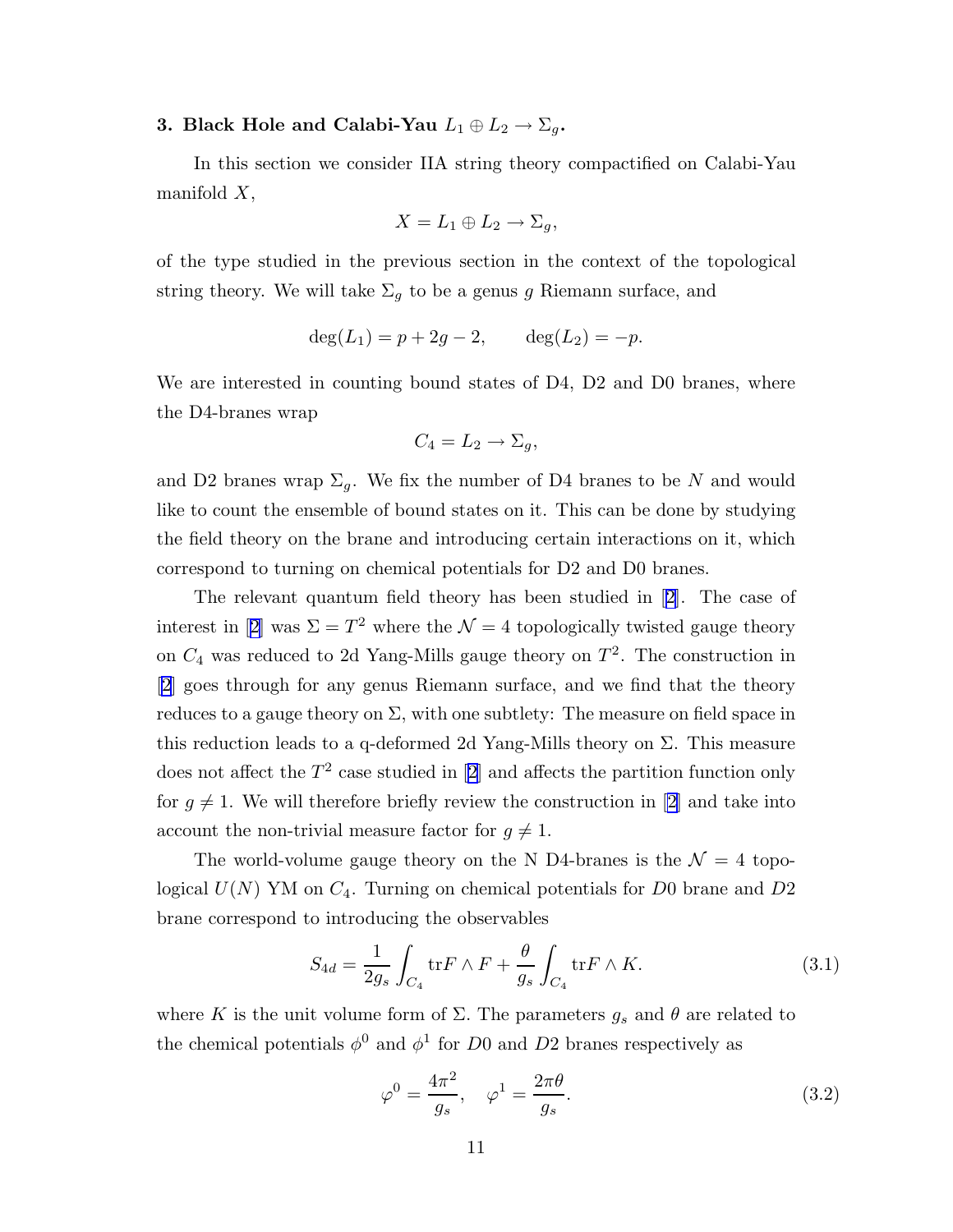### <span id="page-11-0"></span>3. Black Hole and Calabi-Yau  $L_1 \oplus L_2 \rightarrow \Sigma_g$ .

In this section we consider IIA string theory compactified on Calabi-Yau manifold  $X$ ,

$$
X = L_1 \oplus L_2 \to \Sigma_g,
$$

of the type studied in the previous section in the context of the topological string theory. We will take  $\Sigma_g$  to be a genus g Riemann surface, and

$$
deg(L_1) = p + 2g - 2
$$
,  $deg(L_2) = -p$ .

We are interested in counting bound states of D4, D2 and D0 branes, where the D4-branes wrap

$$
C_4 = L_2 \rightarrow \Sigma_g,
$$

and D2 branes wrap  $\Sigma_q$ . We fix the number of D4 branes to be N and would like to count the ensemble of bound states on it. This can be done by studying the field theory on the brane and introducing certain interactions on it, which correspond to turning on chemical potentials for D2 and D0 branes.

The relevant quantum field theory has been studied in[[2\]](#page-55-0). The case of interestin [[2\]](#page-55-0) was  $\Sigma = T^2$  where the  $\mathcal{N} = 4$  topologically twisted gauge theory on  $C_4$  was reduced to 2d Yang-Mills gauge theory on  $T^2$ . The construction in [\[2](#page-55-0)] goes through for any genus Riemann surface, and we find that the theory reduces to a gauge theory on  $\Sigma$ , with one subtlety: The measure on field space in this reduction leads to a q-deformed 2d Yang-Mills theory on  $\Sigma$ . This measure doesnot affect the  $T^2$  case studied in [[2\]](#page-55-0) and affects the partition function only for  $g \neq 1$ . We will therefore briefly review the construction in [\[2](#page-55-0)] and take into account the non-trivial measure factor for  $q \neq 1$ .

The world-volume gauge theory on the N D4-branes is the  $\mathcal{N}=4$  topological  $U(N)$  YM on  $C_4$ . Turning on chemical potentials for D0 brane and D2 brane correspond to introducing the observables

$$
S_{4d} = \frac{1}{2g_s} \int_{C_4} \text{tr} F \wedge F + \frac{\theta}{g_s} \int_{C_4} \text{tr} F \wedge K. \tag{3.1}
$$

where K is the unit volume form of  $\Sigma$ . The parameters  $g_s$  and  $\theta$  are related to the chemical potentials  $\phi^0$  and  $\phi^1$  for D0 and D2 branes respectively as

$$
\varphi^0 = \frac{4\pi^2}{g_s}, \quad \varphi^1 = \frac{2\pi\theta}{g_s}.
$$
\n(3.2)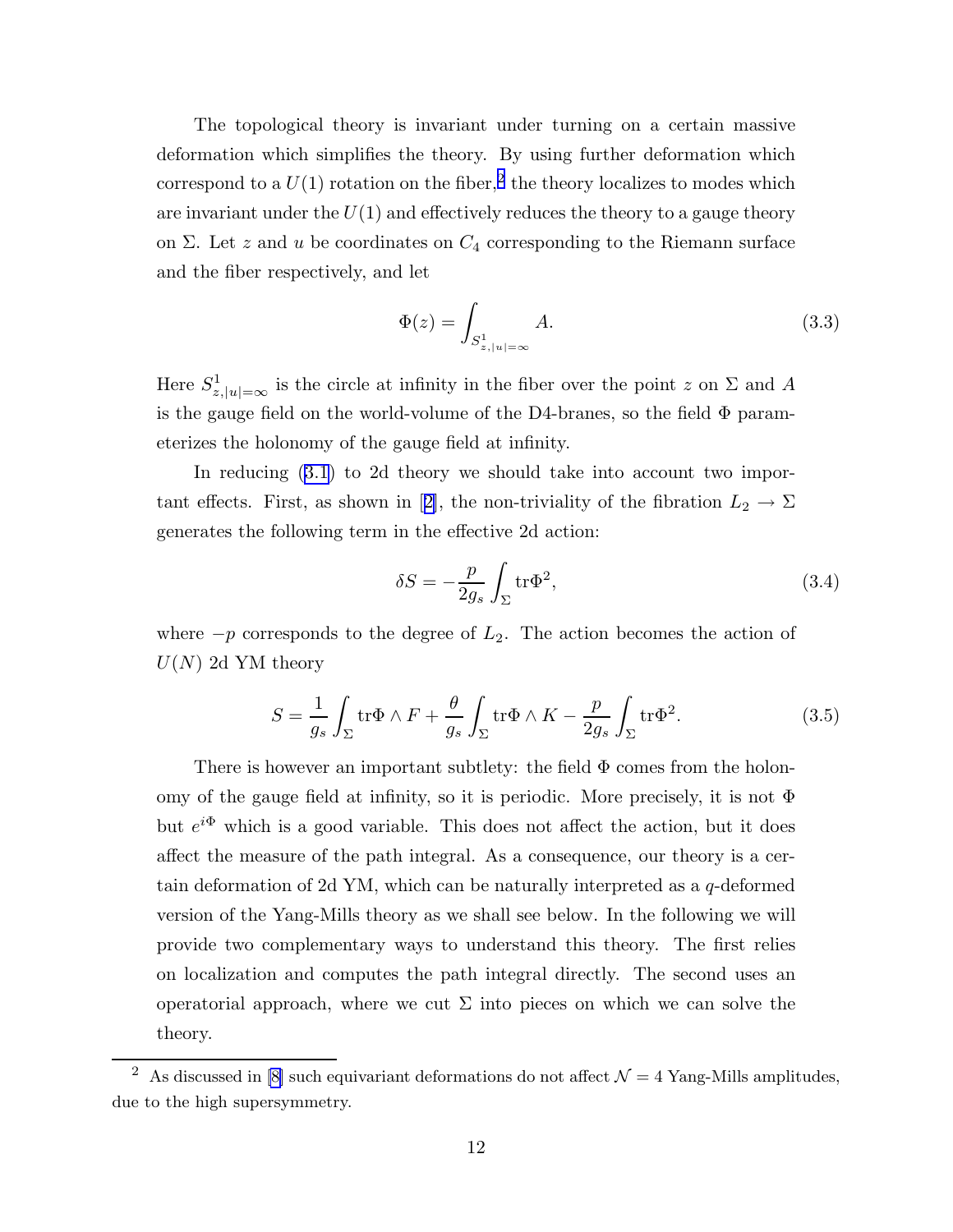The topological theory is invariant under turning on a certain massive deformation which simplifies the theory. By using further deformation which correspond to a  $U(1)$  rotation on the fiber,<sup>2</sup> the theory localizes to modes which are invariant under the  $U(1)$  and effectively reduces the theory to a gauge theory on Σ. Let z and u be coordinates on  $C_4$  corresponding to the Riemann surface and the fiber respectively, and let

$$
\Phi(z) = \int_{S^1_{z,|u|=\infty}} A.
$$
\n(3.3)

Here  $S^1_{z,|u|=\infty}$  is the circle at infinity in the fiber over the point z on  $\Sigma$  and A is the gauge field on the world-volume of the D4-branes, so the field  $\Phi$  parameterizes the holonomy of the gauge field at infinity.

Inreducing  $(3.1)$  $(3.1)$  $(3.1)$  to 2d theory we should take into account two impor-tanteffects. First, as shown in [[2\]](#page-55-0), the non-triviality of the fibration  $L_2 \rightarrow \Sigma$ generates the following term in the effective 2d action:

$$
\delta S = -\frac{p}{2g_s} \int_{\Sigma} \text{tr}\Phi^2,\tag{3.4}
$$

where  $-p$  corresponds to the degree of  $L_2$ . The action becomes the action of  $U(N)$  2d YM theory

$$
S = \frac{1}{g_s} \int_{\Sigma} \text{tr}\Phi \wedge F + \frac{\theta}{g_s} \int_{\Sigma} \text{tr}\Phi \wedge K - \frac{p}{2g_s} \int_{\Sigma} \text{tr}\Phi^2. \tag{3.5}
$$

There is however an important subtlety: the field  $\Phi$  comes from the holonomy of the gauge field at infinity, so it is periodic. More precisely, it is not  $\Phi$ but  $e^{i\Phi}$  which is a good variable. This does not affect the action, but it does affect the measure of the path integral. As a consequence, our theory is a certain deformation of 2d YM, which can be naturally interpreted as a q-deformed version of the Yang-Mills theory as we shall see below. In the following we will provide two complementary ways to understand this theory. The first relies on localization and computes the path integral directly. The second uses an operatorial approach, where we cut  $\Sigma$  into pieces on which we can solve the theory.

<sup>&</sup>lt;sup>2</sup> As discussed in [\[8\]](#page-55-0) such equivariant deformations do not affect  $\mathcal{N}=4$  Yang-Mills amplitudes, due to the high supersymmetry.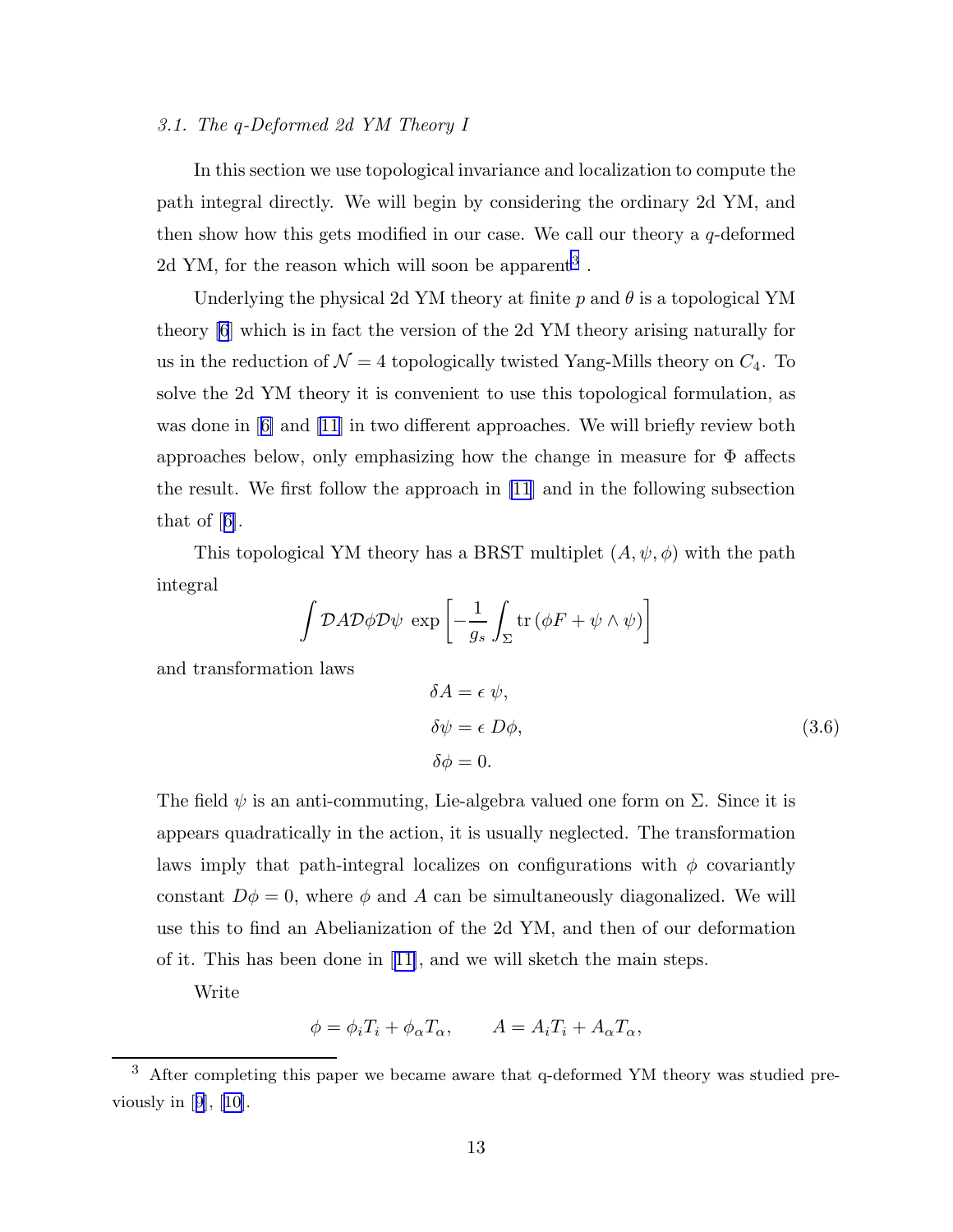#### 3.1. The q-Deformed 2d YM Theory I

In this section we use topological invariance and localization to compute the path integral directly. We will begin by considering the ordinary 2d YM, and then show how this gets modified in our case. We call our theory a  $q$ -deformed 2d YM, for the reason which will soon be apparent<sup>3</sup>.

Underlying the physical 2d YM theory at finite  $p$  and  $\theta$  is a topological YM theory [\[6](#page-55-0)] which is in fact the version of the 2d YM theory arising naturally for us in the reduction of  $\mathcal{N} = 4$  topologically twisted Yang-Mills theory on  $C_4$ . To solve the 2d YM theory it is convenient to use this topological formulation, as wasdone in [[6\]](#page-55-0) and [\[11](#page-55-0)] in two different approaches. We will briefly review both approaches below, only emphasizing how the change in measure for  $\Phi$  affects the result. We first follow the approach in [\[11](#page-55-0)] and in the following subsection that of[[6\]](#page-55-0).

This topological YM theory has a BRST multiplet  $(A, \psi, \phi)$  with the path integral

$$
\int \mathcal{D}A \mathcal{D}\phi \mathcal{D}\psi \exp\left[-\frac{1}{g_s} \int_{\Sigma} \text{tr}\left(\phi F + \psi \wedge \psi\right)\right]
$$

and transformation laws

$$
\delta A = \epsilon \psi,
$$
  
\n
$$
\delta \psi = \epsilon D\phi,
$$
  
\n
$$
\delta \phi = 0.
$$
\n(3.6)

The field  $\psi$  is an anti-commuting, Lie-algebra valued one form on  $\Sigma$ . Since it is appears quadratically in the action, it is usually neglected. The transformation laws imply that path-integral localizes on configurations with  $\phi$  covariantly constant  $D\phi = 0$ , where  $\phi$  and A can be simultaneously diagonalized. We will use this to find an Abelianization of the 2d YM, and then of our deformation of it. This has been done in[[11\]](#page-55-0), and we will sketch the main steps.

Write

$$
\phi = \phi_i T_i + \phi_\alpha T_\alpha, \qquad A = A_i T_i + A_\alpha T_\alpha,
$$

<sup>3</sup> After completing this paper we became aware that q-deformed YM theory was studied previouslyin  $[9]$  $[9]$  $[9]$ ,  $[10]$  $[10]$ .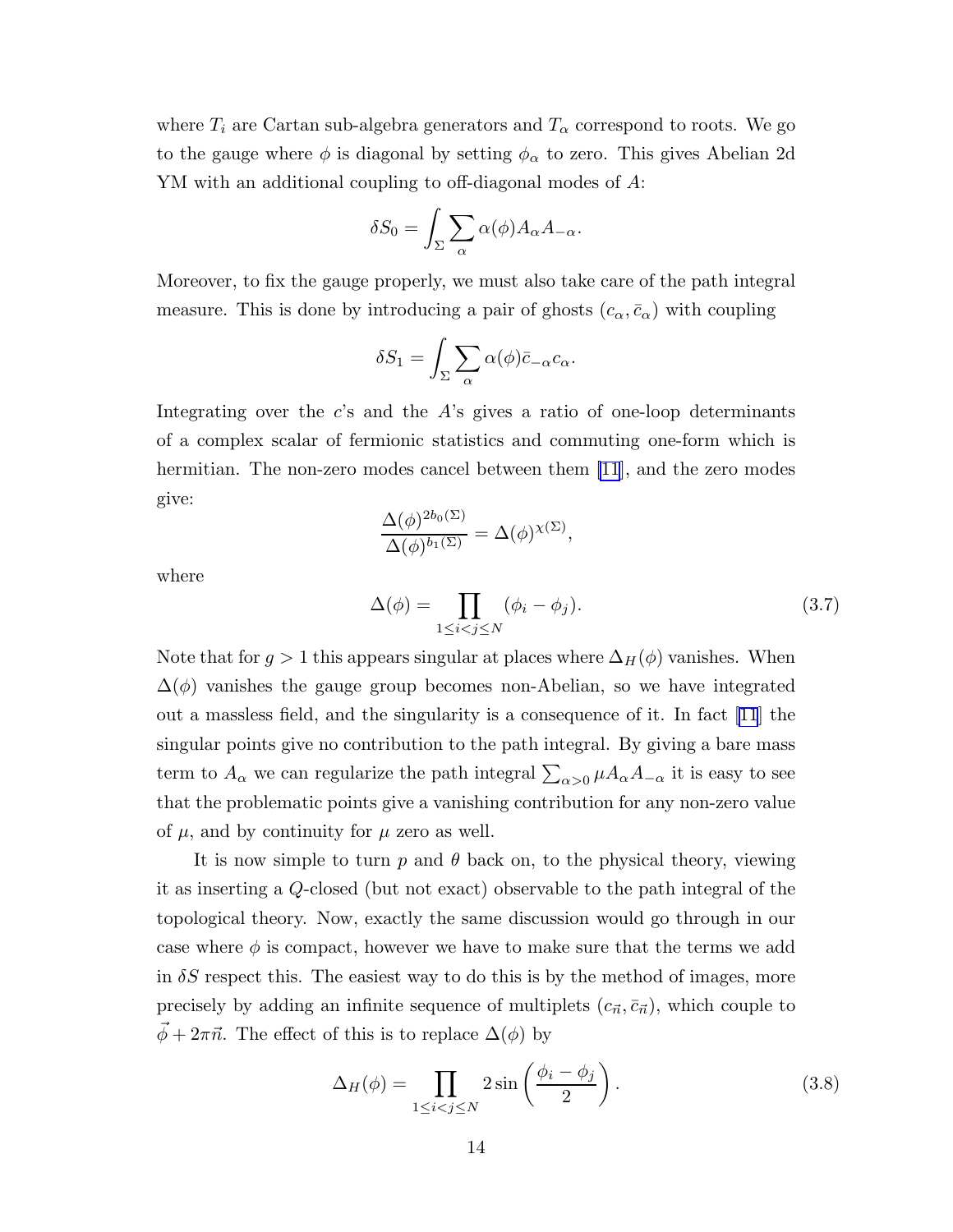<span id="page-14-0"></span>where  $T_i$  are Cartan sub-algebra generators and  $T_\alpha$  correspond to roots. We go to the gauge where  $\phi$  is diagonal by setting  $\phi_{\alpha}$  to zero. This gives Abelian 2d YM with an additional coupling to off-diagonal modes of A:

$$
\delta S_0 = \int_{\Sigma} \sum_{\alpha} \alpha(\phi) A_{\alpha} A_{-\alpha}.
$$

Moreover, to fix the gauge properly, we must also take care of the path integral measure. This is done by introducing a pair of ghosts  $(c_{\alpha}, \bar{c}_{\alpha})$  with coupling

$$
\delta S_1 = \int_{\Sigma} \sum_{\alpha} \alpha(\phi) \bar{c}_{-\alpha} c_{\alpha}.
$$

Integrating over the  $c$ 's and the  $A$ 's gives a ratio of one-loop determinants of a complex scalar of fermionic statistics and commuting one-form which is hermitian. The non-zero modes cancel between them [\[11](#page-55-0)], and the zero modes give:

$$
\frac{\Delta(\phi)^{2b_0(\Sigma)}}{\Delta(\phi)^{b_1(\Sigma)}} = \Delta(\phi)^{\chi(\Sigma)},
$$

where

$$
\Delta(\phi) = \prod_{1 \le i < j \le N} (\phi_i - \phi_j). \tag{3.7}
$$

Note that for  $g > 1$  this appears singular at places where  $\Delta_H(\phi)$  vanishes. When  $\Delta(\phi)$  vanishes the gauge group becomes non-Abelian, so we have integrated out a massless field, and the singularity is a consequence of it. In fact [\[11](#page-55-0)] the singular points give no contribution to the path integral. By giving a bare mass term to  $A_{\alpha}$  we can regularize the path integral  $\sum_{\alpha>0} \mu A_{\alpha} A_{-\alpha}$  it is easy to see that the problematic points give a vanishing contribution for any non-zero value of  $\mu$ , and by continuity for  $\mu$  zero as well.

It is now simple to turn p and  $\theta$  back on, to the physical theory, viewing it as inserting a Q-closed (but not exact) observable to the path integral of the topological theory. Now, exactly the same discussion would go through in our case where  $\phi$  is compact, however we have to make sure that the terms we add in  $\delta S$  respect this. The easiest way to do this is by the method of images, more precisely by adding an infinite sequence of multiplets  $(c_{\vec{n}}, \bar{c}_{\vec{n}})$ , which couple to  $\vec{\phi} + 2\pi \vec{n}$ . The effect of this is to replace  $\Delta(\phi)$  by

$$
\Delta_H(\phi) = \prod_{1 \le i < j \le N} 2\sin\left(\frac{\phi_i - \phi_j}{2}\right). \tag{3.8}
$$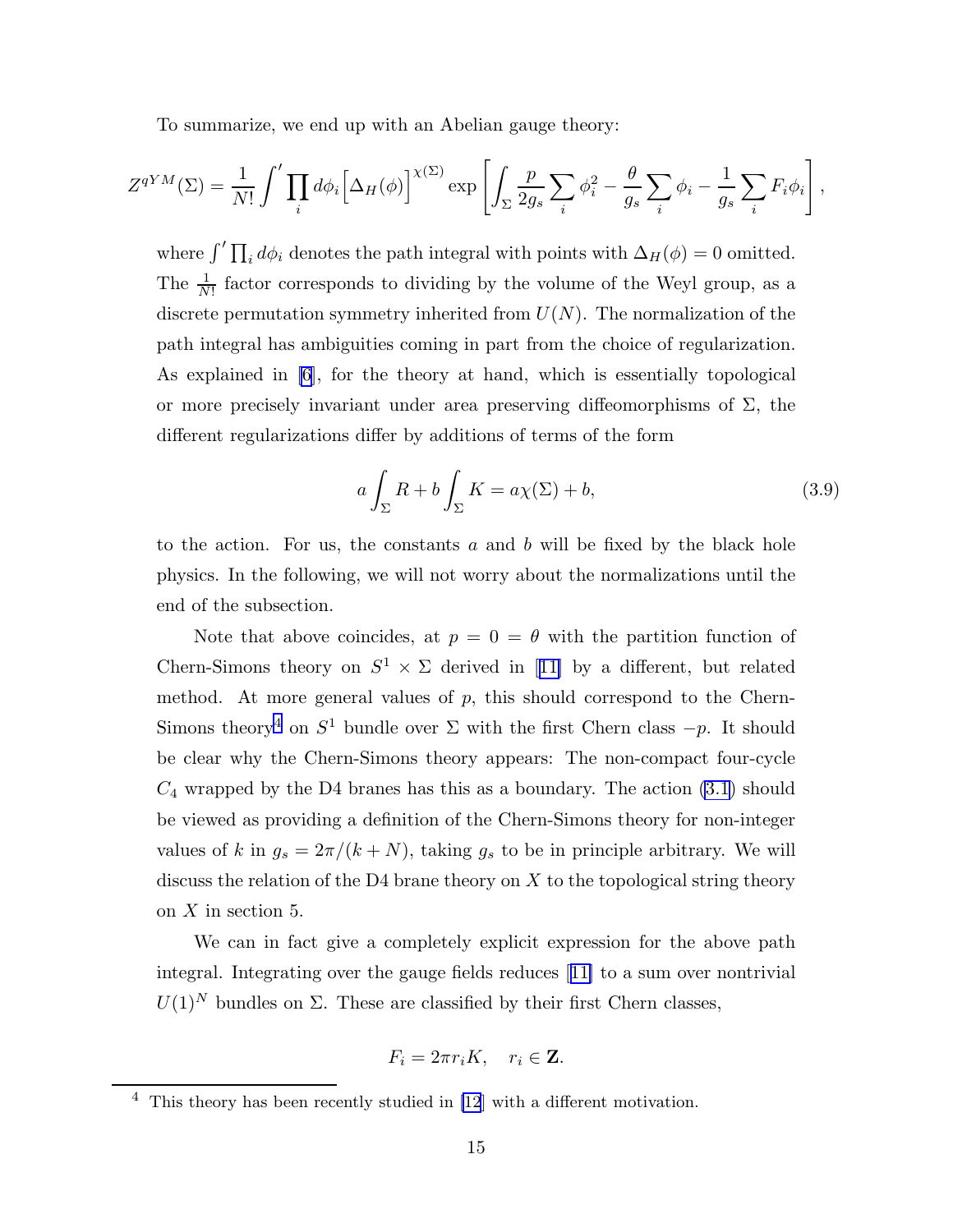<span id="page-15-0"></span>To summarize, we end up with an Abelian gauge theory:

$$
Z^{qYM}(\Sigma) = \frac{1}{N!} \int' \prod_i d\phi_i \Big[ \Delta_H(\phi) \Big]^{\chi(\Sigma)} \exp \left[ \int_{\Sigma} \frac{p}{2g_s} \sum_i \phi_i^2 - \frac{\theta}{g_s} \sum_i \phi_i - \frac{1}{g_s} \sum_i F_i \phi_i \right],
$$

where  $\int' \prod_i d\phi_i$  denotes the path integral with points with  $\Delta_H(\phi) = 0$  omitted. The  $\frac{1}{N!}$  factor corresponds to dividing by the volume of the Weyl group, as a discrete permutation symmetry inherited from  $U(N)$ . The normalization of the path integral has ambiguities coming in part from the choice of regularization. As explained in [\[6](#page-55-0)], for the theory at hand, which is essentially topological or more precisely invariant under area preserving diffeomorphisms of  $\Sigma$ , the different regularizations differ by additions of terms of the form

$$
a\int_{\Sigma} R + b \int_{\Sigma} K = a\chi(\Sigma) + b,\tag{3.9}
$$

to the action. For us, the constants  $a$  and  $b$  will be fixed by the black hole physics. In the following, we will not worry about the normalizations until the end of the subsection.

Note that above coincides, at  $p = 0 = \theta$  with the partition function of Chern-Simonstheory on  $S^1 \times \Sigma$  derived in [[11\]](#page-55-0) by a different, but related method. At more general values of  $p$ , this should correspond to the Chern-Simons theory<sup>4</sup> on  $S^1$  bundle over  $\Sigma$  with the first Chern class  $-p$ . It should be clear why the Chern-Simons theory appears: The non-compact four-cycle  $C_4$  wrapped by the D4 branes has this as a boundary. The action  $(3.1)$  should be viewed as providing a definition of the Chern-Simons theory for non-integer values of k in  $g_s = 2\pi/(k+N)$ , taking  $g_s$  to be in principle arbitrary. We will discuss the relation of the D4 brane theory on  $X$  to the topological string theory on X in section 5.

We can in fact give a completely explicit expression for the above path integral. Integrating over the gauge fields reduces[[11\]](#page-55-0) to a sum over nontrivial  $U(1)^N$  bundles on  $\Sigma$ . These are classified by their first Chern classes,

$$
F_i = 2\pi r_i K, \quad r_i \in \mathbf{Z}.
$$

 $4$  This theory has been recently studied in [\[12](#page-55-0)] with a different motivation.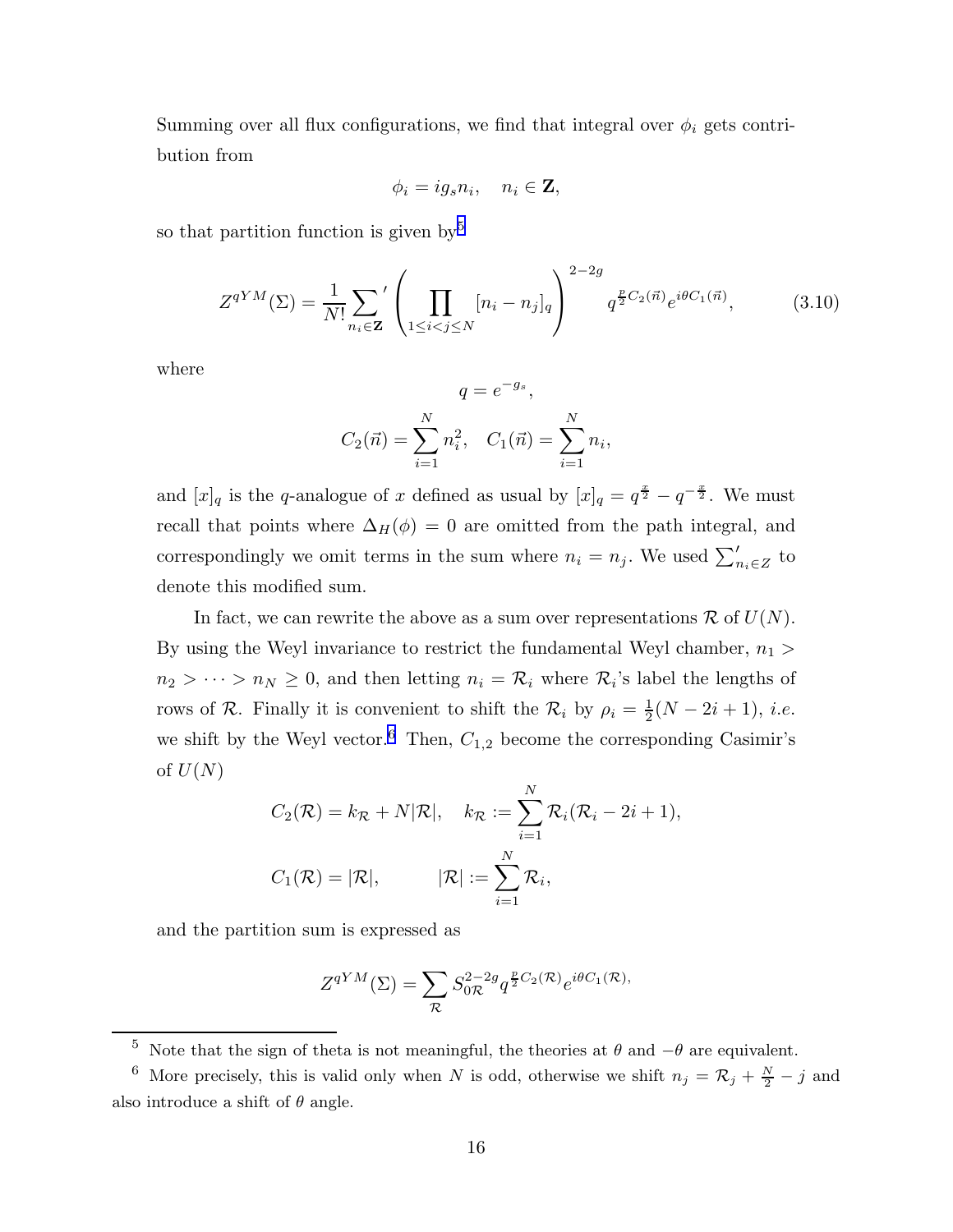<span id="page-16-0"></span>Summing over all flux configurations, we find that integral over  $\phi_i$  gets contribution from

$$
\phi_i = ig_s n_i, \quad n_i \in \mathbf{Z},
$$

so that partition function is given by  $5$ 

$$
Z^{qYM}(\Sigma) = \frac{1}{N!} \sum_{n_i \in \mathbf{Z}}' \left( \prod_{1 \le i < j \le N} [n_i - n_j]_q \right)^{2-2g} q^{\frac{p}{2}C_2(\vec{n})} e^{i\theta C_1(\vec{n})}, \tag{3.10}
$$

where

$$
q = e^{-g_s},
$$
  

$$
C_2(\vec{n}) = \sum_{i=1}^{N} n_i^2, \quad C_1(\vec{n}) = \sum_{i=1}^{N} n_i,
$$

and  $[x]_q$  is the q-analogue of x defined as usual by  $[x]_q = q^{\frac{x}{2}} - q^{-\frac{x}{2}}$ . We must recall that points where  $\Delta_H(\phi) = 0$  are omitted from the path integral, and correspondingly we omit terms in the sum where  $n_i = n_j$ . We used  $\sum'_{n_i \in \mathbb{Z}}$  to denote this modified sum.

In fact, we can rewrite the above as a sum over representations  $\mathcal R$  of  $U(N)$ . By using the Weyl invariance to restrict the fundamental Weyl chamber,  $n_1$  $n_2 > \cdots > n_N \geq 0$ , and then letting  $n_i = \mathcal{R}_i$  where  $\mathcal{R}_i$ 's label the lengths of rows of R. Finally it is convenient to shift the  $\mathcal{R}_i$  by  $\rho_i = \frac{1}{2}$  $\frac{1}{2}(N-2i+1), i.e.$ we shift by the Weyl vector.<sup>6</sup> Then,  $C_{1,2}$  become the corresponding Casimir's of  $U(N)$ 

$$
C_2(\mathcal{R}) = k_{\mathcal{R}} + N|\mathcal{R}|, \quad k_{\mathcal{R}} := \sum_{i=1}^N \mathcal{R}_i(\mathcal{R}_i - 2i + 1),
$$
  

$$
C_1(\mathcal{R}) = |\mathcal{R}|, \qquad |\mathcal{R}| := \sum_{i=1}^N \mathcal{R}_i,
$$

and the partition sum is expressed as

$$
Z^{qYM}(\Sigma) = \sum_{\mathcal{R}} S_{0\mathcal{R}}^{2-2g} q^{\frac{p}{2}C_2(\mathcal{R})} e^{i\theta C_1(\mathcal{R})},
$$

<sup>5</sup> Note that the sign of theta is not meaningful, the theories at  $\theta$  and  $-\theta$  are equivalent.

<sup>&</sup>lt;sup>6</sup> More precisely, this is valid only when N is odd, otherwise we shift  $n_j = \mathcal{R}_j + \frac{N}{2} - j$  and also introduce a shift of  $\theta$  angle.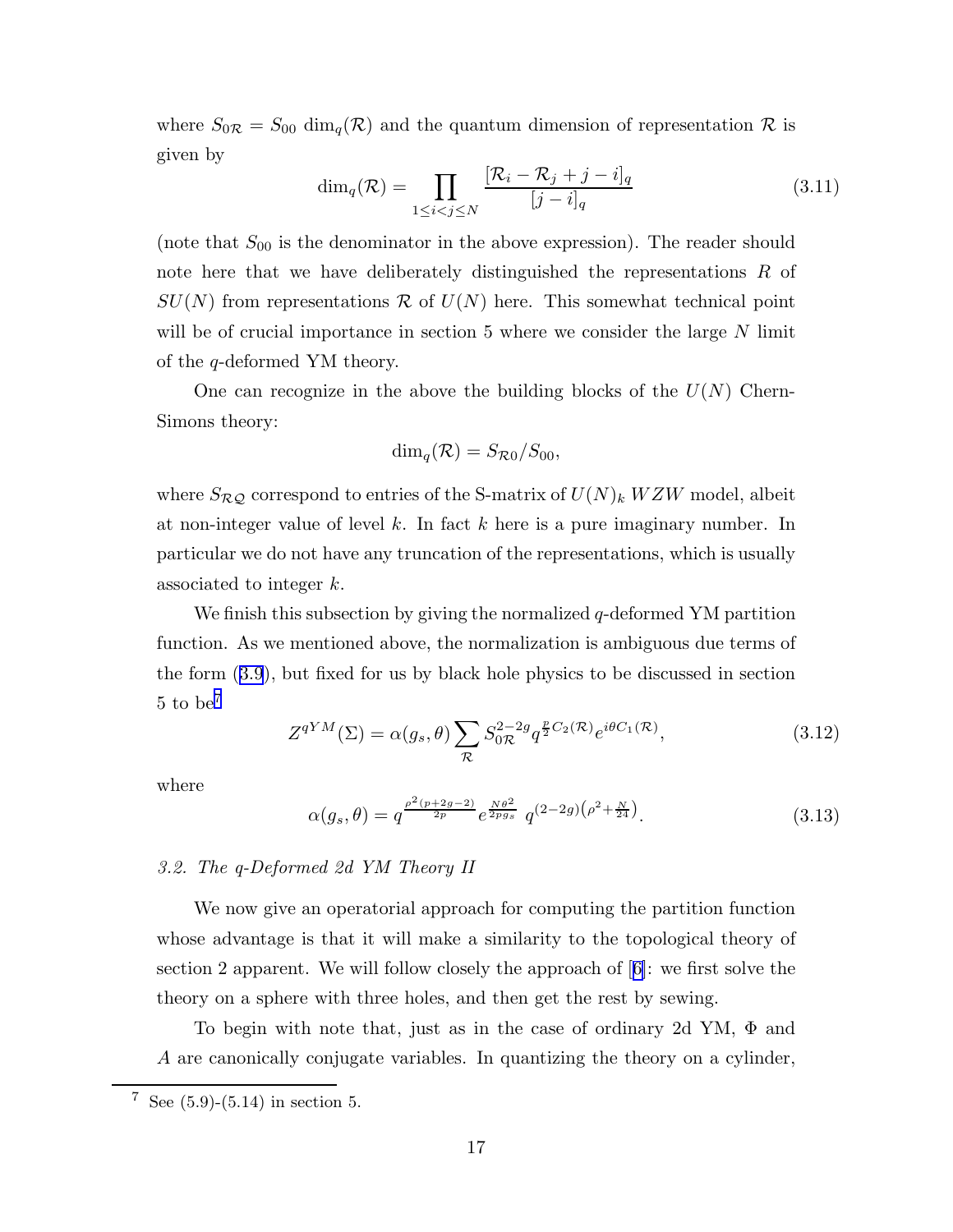<span id="page-17-0"></span>where  $S_{0R} = S_{00} \dim_q(R)$  and the quantum dimension of representation R is given by

$$
\dim_q(\mathcal{R}) = \prod_{1 \le i < j \le N} \frac{[\mathcal{R}_i - \mathcal{R}_j + j - i]_q}{[j - i]_q} \tag{3.11}
$$

(note that  $S_{00}$  is the denominator in the above expression). The reader should note here that we have deliberately distinguished the representations R of  $SU(N)$  from representations R of  $U(N)$  here. This somewhat technical point will be of crucial importance in section 5 where we consider the large  $N$  limit of the q-deformed YM theory.

One can recognize in the above the building blocks of the  $U(N)$  Chern-Simons theory:

$$
\dim_q(\mathcal{R})=S_{\mathcal{R}0}/S_{00},
$$

where  $S_{\mathcal{RQ}}$  correspond to entries of the S-matrix of  $U(N)_k$  WZW model, albeit at non-integer value of level  $k$ . In fact  $k$  here is a pure imaginary number. In particular we do not have any truncation of the representations, which is usually associated to integer k.

We finish this subsection by giving the normalized  $q$ -deformed YM partition function. As we mentioned above, the normalization is ambiguous due terms of the form([3.9](#page-15-0)), but fixed for us by black hole physics to be discussed in section  $5$  to be<sup>7</sup>

$$
Z^{qYM}(\Sigma) = \alpha(g_s, \theta) \sum_{\mathcal{R}} S_{0\mathcal{R}}^{2-2g} q^{\frac{p}{2}C_2(\mathcal{R})} e^{i\theta C_1(\mathcal{R})}, \qquad (3.12)
$$

where

$$
\alpha(g_s, \theta) = q^{\frac{\rho^2 (p+2g-2)}{2p}} e^{\frac{N\theta^2}{2p g_s}} q^{(2-2g)(\rho^2 + \frac{N}{24})}.
$$
\n(3.13)

### 3.2. The q-Deformed 2d YM Theory II

We now give an operatorial approach for computing the partition function whose advantage is that it will make a similarity to the topological theory of section 2 apparent. We will follow closely the approach of[[6\]](#page-55-0): we first solve the theory on a sphere with three holes, and then get the rest by sewing.

To begin with note that, just as in the case of ordinary 2d YM, Φ and A are canonically conjugate variables. In quantizing the theory on a cylinder,

<sup>&</sup>lt;sup>7</sup> See  $(5.9)$ - $(5.14)$  in section 5.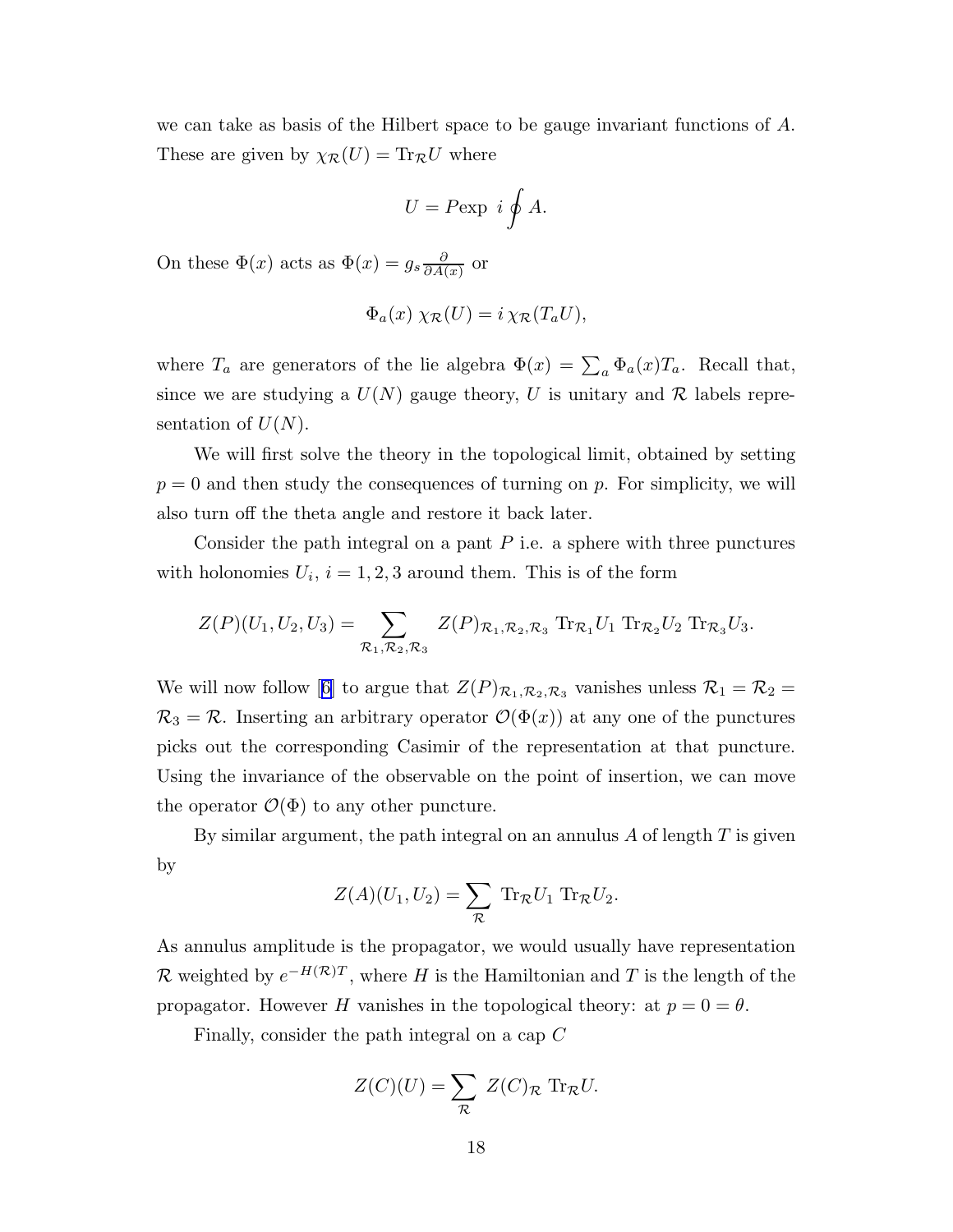we can take as basis of the Hilbert space to be gauge invariant functions of A. These are given by  $\chi_{\mathcal{R}}(U) = \text{Tr}_{\mathcal{R}}U$  where

$$
U=P{\rm exp}~i\oint A.
$$

On these  $\Phi(x)$  acts as  $\Phi(x) = g_s \frac{\partial}{\partial A(x)}$  $\frac{\partial}{\partial A(x)}$  or

$$
\Phi_a(x) \chi_{\mathcal{R}}(U) = i \chi_{\mathcal{R}}(T_a U),
$$

where  $T_a$  are generators of the lie algebra  $\Phi(x) = \sum_a \Phi_a(x) T_a$ . Recall that, since we are studying a  $U(N)$  gauge theory, U is unitary and R labels representation of  $U(N)$ .

We will first solve the theory in the topological limit, obtained by setting  $p = 0$  and then study the consequences of turning on p. For simplicity, we will also turn off the theta angle and restore it back later.

Consider the path integral on a pant  $P$  i.e. a sphere with three punctures with holonomies  $U_i$ ,  $i = 1, 2, 3$  around them. This is of the form

$$
Z(P)(U_1, U_2, U_3) = \sum_{\mathcal{R}_1, \mathcal{R}_2, \mathcal{R}_3} Z(P)_{\mathcal{R}_1, \mathcal{R}_2, \mathcal{R}_3} \operatorname{Tr}_{\mathcal{R}_1} U_1 \operatorname{Tr}_{\mathcal{R}_2} U_2 \operatorname{Tr}_{\mathcal{R}_3} U_3.
$$

Wewill now follow [[6\]](#page-55-0) to argue that  $Z(P)_{\mathcal{R}_1,\mathcal{R}_2,\mathcal{R}_3}$  vanishes unless  $\mathcal{R}_1 = \mathcal{R}_2 =$  $\mathcal{R}_3 = \mathcal{R}$ . Inserting an arbitrary operator  $\mathcal{O}(\Phi(x))$  at any one of the punctures picks out the corresponding Casimir of the representation at that puncture. Using the invariance of the observable on the point of insertion, we can move the operator  $\mathcal{O}(\Phi)$  to any other puncture.

By similar argument, the path integral on an annulus  $\tilde{A}$  of length  $T$  is given by

$$
Z(A)(U_1, U_2) = \sum_{\mathcal{R}} \operatorname{Tr}_{\mathcal{R}} U_1 \operatorname{Tr}_{\mathcal{R}} U_2.
$$

As annulus amplitude is the propagator, we would usually have representation R weighted by  $e^{-H(\mathcal{R})T}$ , where H is the Hamiltonian and T is the length of the propagator. However H vanishes in the topological theory: at  $p = 0 = \theta$ .

Finally, consider the path integral on a cap C

$$
Z(C)(U) = \sum_{\mathcal{R}} Z(C)_{\mathcal{R}} \operatorname{Tr}_{\mathcal{R}} U.
$$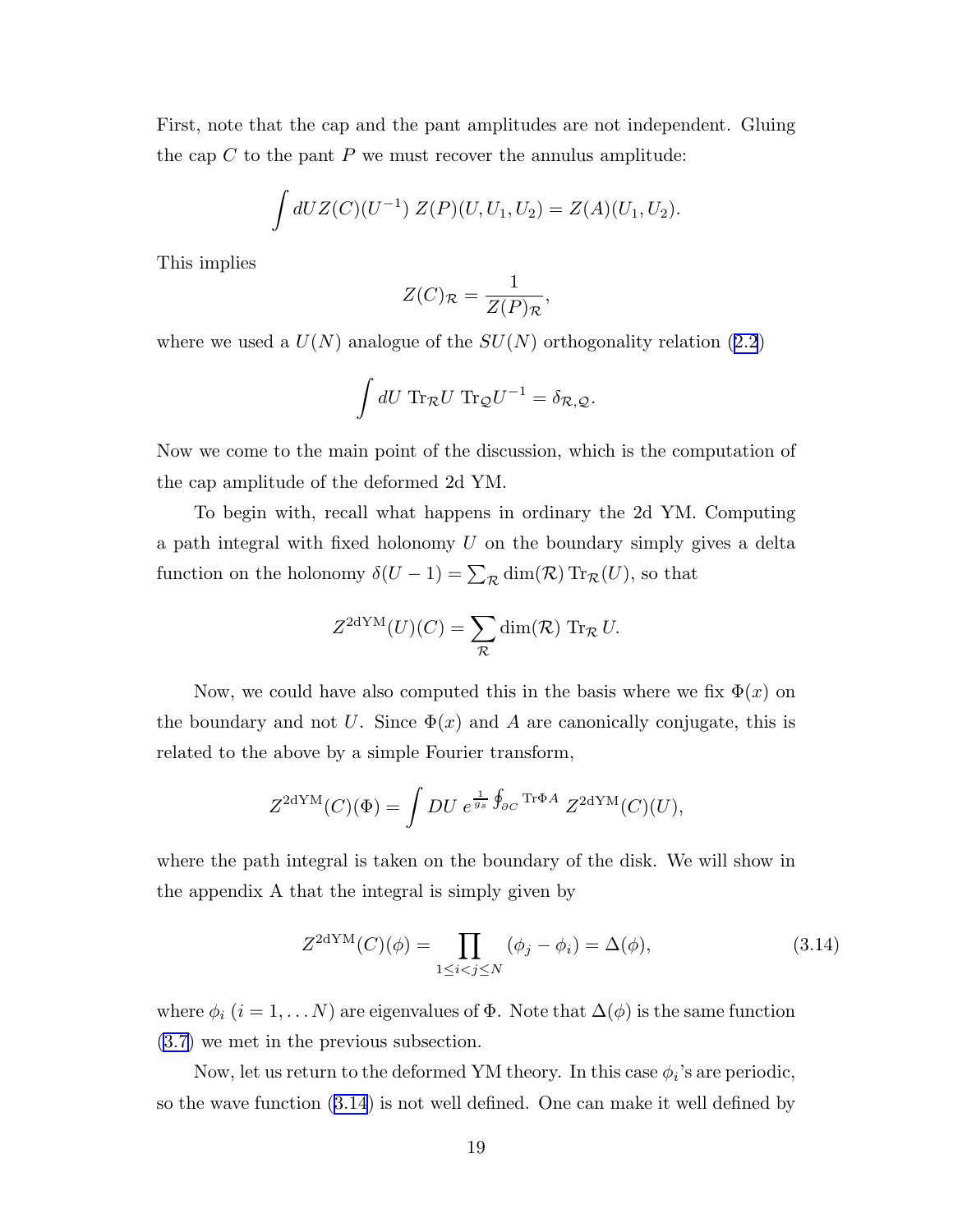First, note that the cap and the pant amplitudes are not independent. Gluing the cap  $C$  to the pant  $P$  we must recover the annulus amplitude:

$$
\int dU Z(C)(U^{-1}) Z(P)(U, U_1, U_2) = Z(A)(U_1, U_2).
$$

This implies

$$
Z(C)_{\mathcal{R}} = \frac{1}{Z(P)_{\mathcal{R}}},
$$

wherewe used a  $U(N)$  analogue of the  $SU(N)$  orthogonality relation ([2.2](#page-5-0))

$$
\int dU \,\mathrm{Tr}_{\mathcal{R}}U \,\mathrm{Tr}_{\mathcal{Q}}U^{-1} = \delta_{\mathcal{R},\mathcal{Q}}.
$$

Now we come to the main point of the discussion, which is the computation of the cap amplitude of the deformed 2d YM.

To begin with, recall what happens in ordinary the 2d YM. Computing a path integral with fixed holonomy  $U$  on the boundary simply gives a delta function on the holonomy  $\delta(U - 1) = \sum_{\mathcal{R}} \dim(\mathcal{R}) \operatorname{Tr}_{\mathcal{R}}(U)$ , so that

$$
Z^{2\mathrm{dYM}}(U)(C) = \sum_{\mathcal{R}} \dim(\mathcal{R}) \operatorname{Tr}_{\mathcal{R}} U.
$$

Now, we could have also computed this in the basis where we fix  $\Phi(x)$  on the boundary and not U. Since  $\Phi(x)$  and A are canonically conjugate, this is related to the above by a simple Fourier transform,

$$
Z^{2d \mathrm{YM}}(C)(\Phi) = \int DU \; e^{\frac{1}{g_s} \oint_{\partial C} \mathrm{Tr} \Phi A} \; Z^{2d \mathrm{YM}}(C)(U),
$$

where the path integral is taken on the boundary of the disk. We will show in the appendix A that the integral is simply given by

$$
Z^{2d\text{YM}}(C)(\phi) = \prod_{1 \le i < j \le N} (\phi_j - \phi_i) = \Delta(\phi),\tag{3.14}
$$

where  $\phi_i$  ( $i = 1, \ldots N$ ) are eigenvalues of  $\Phi$ . Note that  $\Delta(\phi)$  is the same function [\(3.7\)](#page-14-0) we met in the previous subsection.

Now, let us return to the deformed YM theory. In this case  $\phi_i$ 's are periodic, so the wave function (3.14) is not well defined. One can make it well defined by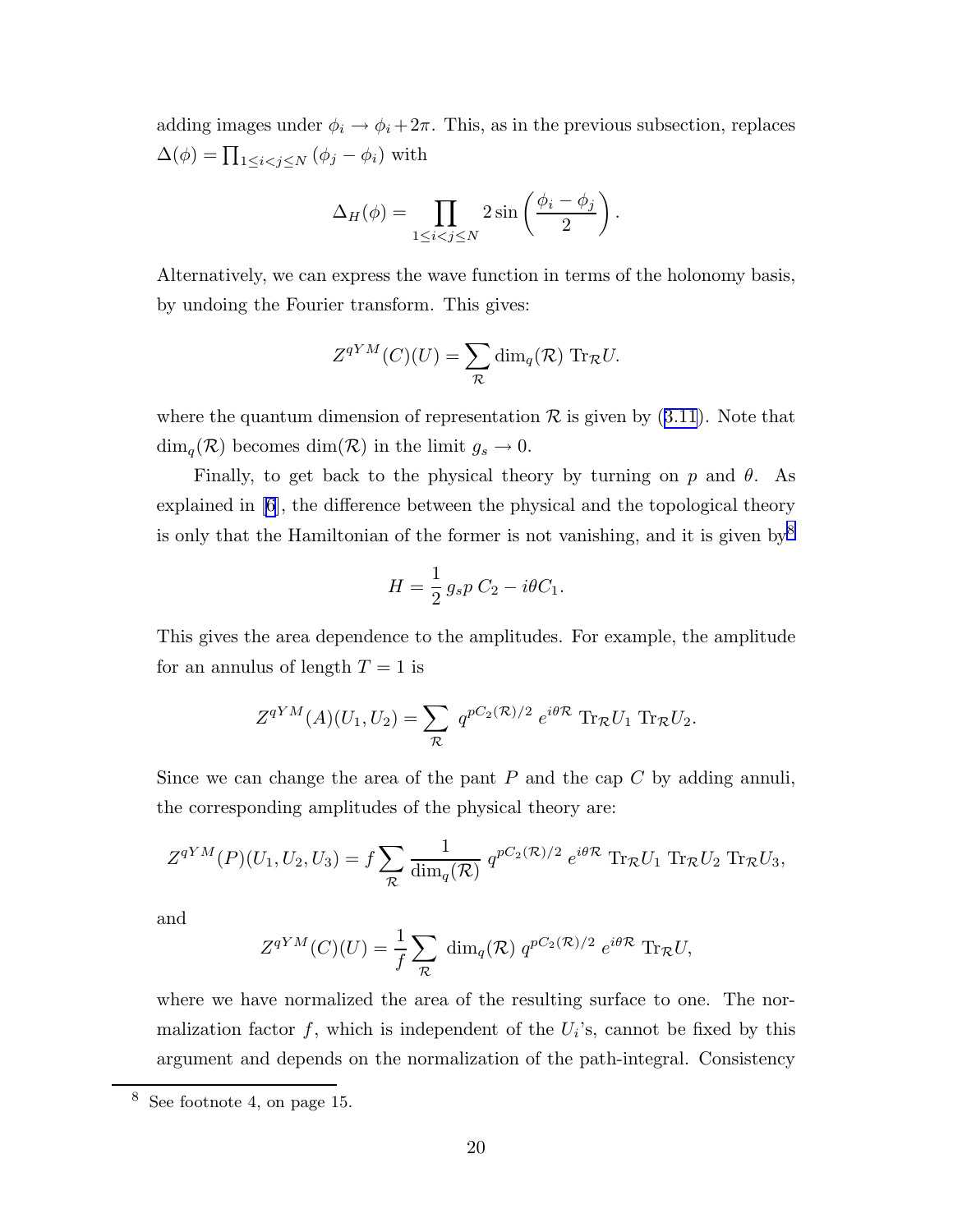adding images under  $\phi_i \to \phi_i + 2\pi$ . This, as in the previous subsection, replaces  $\Delta(\phi) = \prod_{1 \leq i < j \leq N} (\phi_j - \phi_i)$  with

$$
\Delta_H(\phi) = \prod_{1 \leq i < j \leq N} 2 \sin \left( \frac{\phi_i - \phi_j}{2} \right).
$$

Alternatively, we can express the wave function in terms of the holonomy basis, by undoing the Fourier transform. This gives:

$$
Z^{qYM}(C)(U) = \sum_{\mathcal{R}} \dim_q(\mathcal{R}) \operatorname{Tr}_{\mathcal{R}} U.
$$

wherethe quantum dimension of representation  $\mathcal R$  is given by ([3.11](#page-17-0)). Note that  $\dim_q(\mathcal{R})$  becomes  $\dim(\mathcal{R})$  in the limit  $g_s \to 0$ .

Finally, to get back to the physical theory by turning on p and  $\theta$ . As explained in [\[6](#page-55-0)], the difference between the physical and the topological theory is only that the Hamiltonian of the former is not vanishing, and it is given by  $8$ 

$$
H = \frac{1}{2} g_s p C_2 - i\theta C_1.
$$

This gives the area dependence to the amplitudes. For example, the amplitude for an annulus of length  $T = 1$  is

$$
Z^{qYM}(A)(U_1,U_2)=\sum_{\mathcal{R}} q^{pC_2(\mathcal{R})/2} e^{i\theta \mathcal{R}} \operatorname{Tr}_{\mathcal{R}}U_1 \operatorname{Tr}_{\mathcal{R}}U_2.
$$

Since we can change the area of the pant  $P$  and the cap  $C$  by adding annuli, the corresponding amplitudes of the physical theory are:

$$
Z^{qYM}(P)(U_1,U_2,U_3)=f\sum_{\mathcal{R}}\frac{1}{\dim_q(\mathcal{R})}\,q^{pC_2(\mathcal{R})/2}\,e^{i\theta\mathcal{R}}\,\operatorname{Tr}_{\mathcal{R}}U_1\,\operatorname{Tr}_{\mathcal{R}}U_2\,\operatorname{Tr}_{\mathcal{R}}U_3,
$$

and

$$
Z^{qYM}(C)(U) = \frac{1}{f} \sum_{\mathcal{R}} \dim_q(\mathcal{R}) q^{pC_2(\mathcal{R})/2} e^{i\theta \mathcal{R}} \operatorname{Tr}_{\mathcal{R}} U,
$$

where we have normalized the area of the resulting surface to one. The normalization factor  $f$ , which is independent of the  $U_i$ 's, cannot be fixed by this argument and depends on the normalization of the path-integral. Consistency

<sup>8</sup> See footnote 4, on page 15.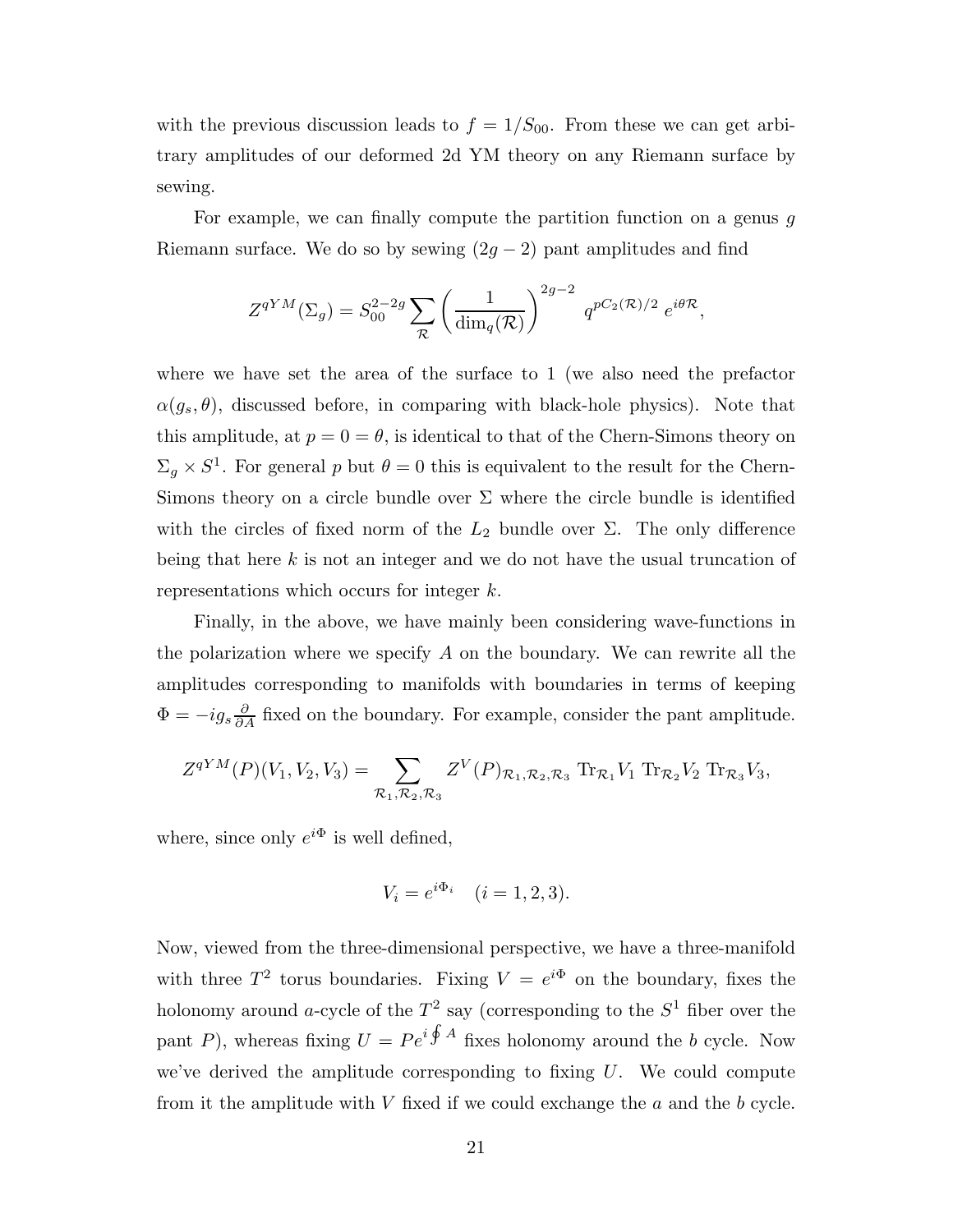with the previous discussion leads to  $f = 1/S_{00}$ . From these we can get arbitrary amplitudes of our deformed 2d YM theory on any Riemann surface by sewing.

For example, we can finally compute the partition function on a genus g Riemann surface. We do so by sewing  $(2g - 2)$  pant amplitudes and find

$$
Z^{qYM}(\Sigma_g) = S_{00}^{2-2g} \sum_{\mathcal{R}} \left(\frac{1}{\dim_q(\mathcal{R})}\right)^{2g-2} q^{pC_2(\mathcal{R})/2} e^{i\theta \mathcal{R}},
$$

where we have set the area of the surface to 1 (we also need the prefactor  $\alpha(g_s, \theta)$ , discussed before, in comparing with black-hole physics). Note that this amplitude, at  $p = 0 = \theta$ , is identical to that of the Chern-Simons theory on  $\Sigma_g \times S^1$ . For general p but  $\theta = 0$  this is equivalent to the result for the Chern-Simons theory on a circle bundle over  $\Sigma$  where the circle bundle is identified with the circles of fixed norm of the  $L_2$  bundle over  $\Sigma$ . The only difference being that here  $k$  is not an integer and we do not have the usual truncation of representations which occurs for integer k.

Finally, in the above, we have mainly been considering wave-functions in the polarization where we specify  $A$  on the boundary. We can rewrite all the amplitudes corresponding to manifolds with boundaries in terms of keeping  $\Phi = -ig_s \frac{\partial}{\partial A}$  fixed on the boundary. For example, consider the pant amplitude.

$$
Z^{qYM}(P)(V_1,V_2,V_3)=\sum_{\mathcal{R}_1,\mathcal{R}_2,\mathcal{R}_3}Z^V(P)_{\mathcal{R}_1,\mathcal{R}_2,\mathcal{R}_3} \operatorname{Tr}_{\mathcal{R}_1}V_1 \operatorname{Tr}_{\mathcal{R}_2}V_2 \operatorname{Tr}_{\mathcal{R}_3}V_3,
$$

where, since only  $e^{i\Phi}$  is well defined,

$$
V_i = e^{i\Phi_i} \quad (i = 1, 2, 3).
$$

Now, viewed from the three-dimensional perspective, we have a three-manifold with three  $T^2$  torus boundaries. Fixing  $V = e^{i\Phi}$  on the boundary, fixes the holonomy around a-cycle of the  $T^2$  say (corresponding to the  $S^1$  fiber over the pant P), whereas fixing  $U = Pe^{i \oint A}$  fixes holonomy around the b cycle. Now we've derived the amplitude corresponding to fixing  $U$ . We could compute from it the amplitude with  $V$  fixed if we could exchange the  $a$  and the  $b$  cycle.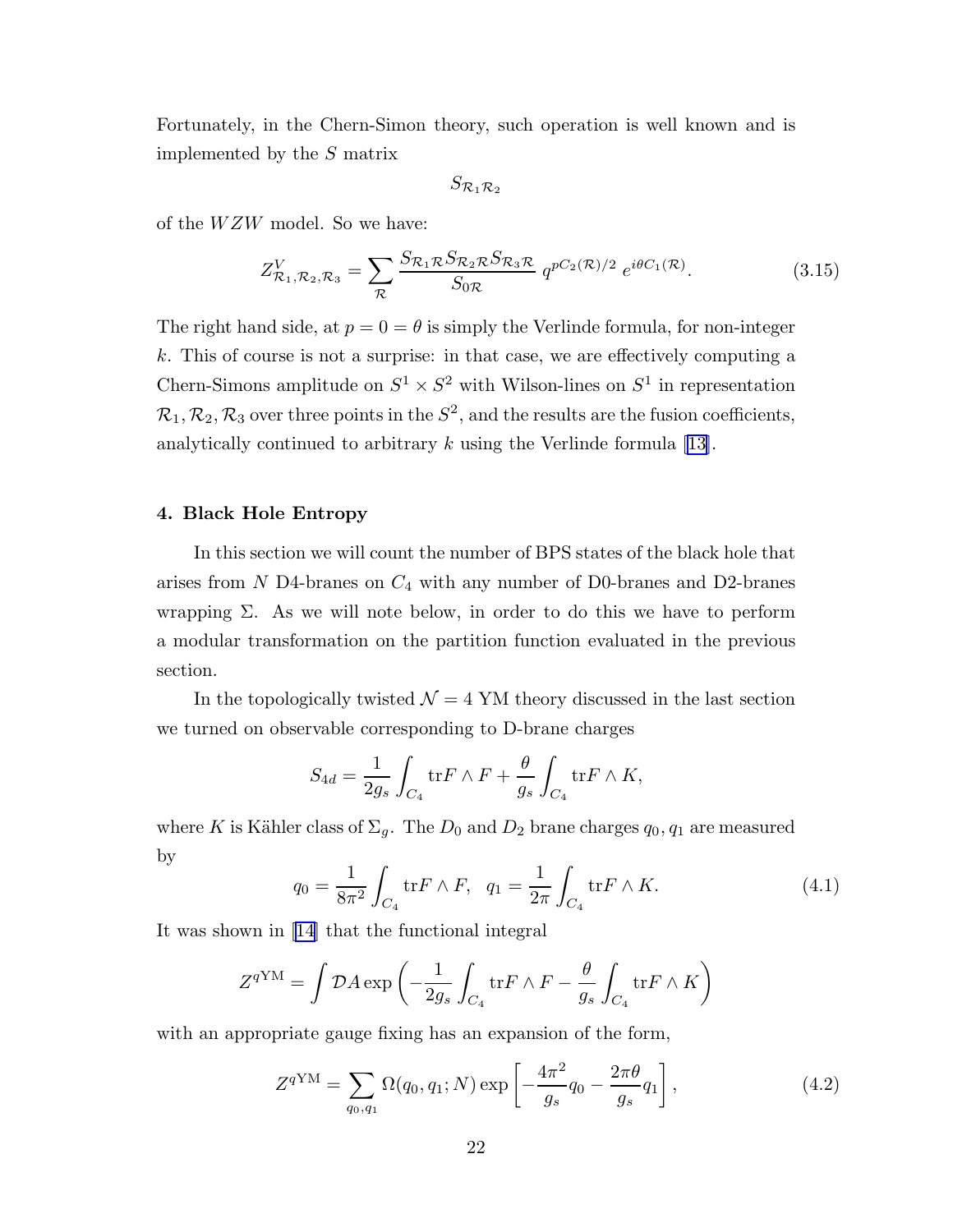<span id="page-22-0"></span>Fortunately, in the Chern-Simon theory, such operation is well known and is implemented by the S matrix

 $S_{\mathcal{R}_1\mathcal{R}_2}$ 

of the WZW model. So we have:

$$
Z_{\mathcal{R}_1,\mathcal{R}_2,\mathcal{R}_3}^V = \sum_{\mathcal{R}} \frac{S_{\mathcal{R}_1\mathcal{R}} S_{\mathcal{R}_2\mathcal{R}} S_{\mathcal{R}_3\mathcal{R}}}{S_{0\mathcal{R}}} q^{pC_2(\mathcal{R})/2} e^{i\theta C_1(\mathcal{R})}.
$$
 (3.15)

The right hand side, at  $p = 0 = \theta$  is simply the Verlinde formula, for non-integer k. This of course is not a surprise: in that case, we are effectively computing a Chern-Simons amplitude on  $S^1 \times S^2$  with Wilson-lines on  $S^1$  in representation  $\mathcal{R}_1, \mathcal{R}_2, \mathcal{R}_3$  over three points in the  $S^2$ , and the results are the fusion coefficients, analyticallycontinued to arbitrary  $k$  using the Verlinde formula [[13\]](#page-55-0).

#### 4. Black Hole Entropy

In this section we will count the number of BPS states of the black hole that arises from  $N$  D4-branes on  $C_4$  with any number of D0-branes and D2-branes wrapping  $\Sigma$ . As we will note below, in order to do this we have to perform a modular transformation on the partition function evaluated in the previous section.

In the topologically twisted  $\mathcal{N} = 4$  YM theory discussed in the last section we turned on observable corresponding to D-brane charges

$$
S_{4d} = \frac{1}{2g_s} \int_{C_4} \text{tr} F \wedge F + \frac{\theta}{g_s} \int_{C_4} \text{tr} F \wedge K,
$$

where K is Kähler class of  $\Sigma_g$ . The  $D_0$  and  $D_2$  brane charges  $q_0, q_1$  are measured by

$$
q_0 = \frac{1}{8\pi^2} \int_{C_4} \text{tr} F \wedge F, \quad q_1 = \frac{1}{2\pi} \int_{C_4} \text{tr} F \wedge K. \tag{4.1}
$$

It was shown in [\[14](#page-55-0)] that the functional integral

$$
Z^{q{\rm YM}} = \int {\cal D} A \exp \left( -\frac{1}{2g_s} \int_{C_4} {\rm tr} F \wedge F - \frac{\theta}{g_s} \int_{C_4} {\rm tr} F \wedge K \right)
$$

with an appropriate gauge fixing has an expansion of the form,

$$
Z^{q{\rm YM}} = \sum_{q_0, q_1} \Omega(q_0, q_1; N) \exp\left[ -\frac{4\pi^2}{g_s} q_0 - \frac{2\pi\theta}{g_s} q_1 \right],
$$
 (4.2)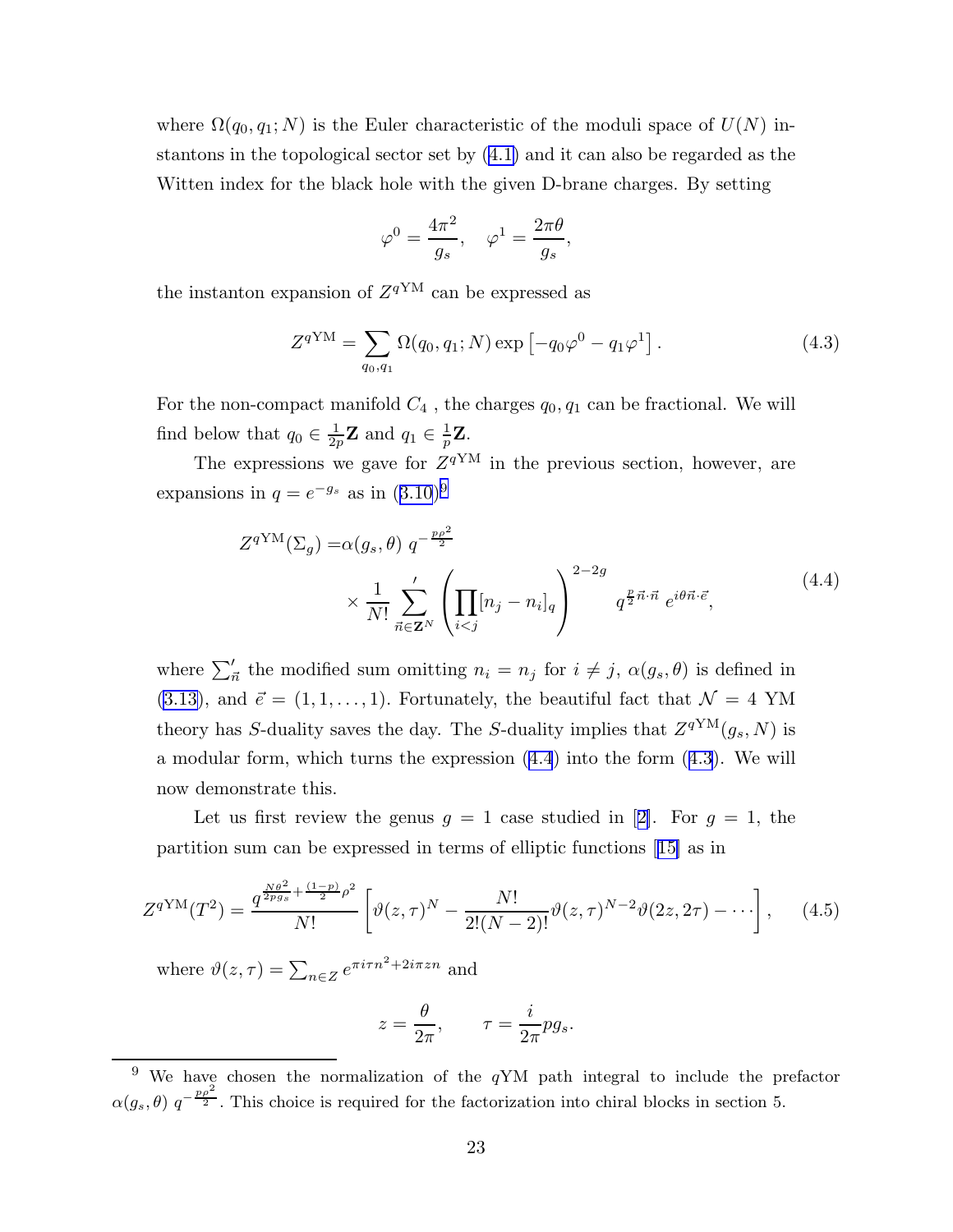<span id="page-23-0"></span>where  $\Omega(q_0, q_1; N)$  is the Euler characteristic of the moduli space of  $U(N)$  instantons in the topological sector set by [\(4.1\)](#page-22-0) and it can also be regarded as the Witten index for the black hole with the given D-brane charges. By setting

$$
\varphi^0 = \frac{4\pi^2}{g_s}, \quad \varphi^1 = \frac{2\pi\theta}{g_s},
$$

the instanton expansion of  $Z^{q{\text{YM}}}$  can be expressed as

$$
Z^{q{\rm YM}} = \sum_{q_0, q_1} \Omega(q_0, q_1; N) \exp \left[ -q_0 \varphi^0 - q_1 \varphi^1 \right]. \tag{4.3}
$$

For the non-compact manifold  $C_4$ , the charges  $q_0, q_1$  can be fractional. We will find below that  $q_0 \in \frac{1}{2p}$  $\frac{1}{2p} \mathbf{Z}$  and  $q_1 \in \frac{1}{p}$  $\frac{1}{p}{\bf Z}.$ 

The expressions we gave for  $Z^{q \text{YM}}$  in the previous section, however, are expansionsin  $q = e^{-g_s}$  as in  $(3.10)^9$  $(3.10)^9$  $(3.10)^9$ 

$$
Z^{q \text{YM}}(\Sigma_g) = \alpha(g_s, \theta) q^{-\frac{p\rho^2}{2}} \times \frac{1}{N!} \sum_{\vec{n} \in \mathbf{Z}^N} \left( \prod_{i < j} [n_j - n_i]_q \right)^{2 - 2g} q^{\frac{p}{2}\vec{n} \cdot \vec{n}} e^{i\theta \vec{n} \cdot \vec{e}}, \tag{4.4}
$$

where  $\sum'_{\vec{n}}$  the modified sum omitting  $n_i = n_j$  for  $i \neq j$ ,  $\alpha(g_s, \theta)$  is defined in [\(3.13\)](#page-17-0), and  $\vec{e} = (1, 1, \ldots, 1)$ . Fortunately, the beautiful fact that  $\mathcal{N} = 4$  YM theory has S-duality saves the day. The S-duality implies that  $Z^{q \text{YM}}(g_s, N)$  is a modular form, which turns the expression (4.4) into the form (4.3). We will now demonstrate this.

Letus first review the genus  $g = 1$  case studied in [[2\]](#page-55-0). For  $g = 1$ , the partition sum can be expressed in terms of elliptic functions[[15\]](#page-55-0) as in

$$
Z^{q{\rm YM}}(T^2) = \frac{q^{\frac{N\theta^2}{2p_{gs}} + \frac{(1-p)}{2}\rho^2}}{N!} \left[ \vartheta(z,\tau)^N - \frac{N!}{2!(N-2)!} \vartheta(z,\tau)^{N-2} \vartheta(2z,2\tau) - \cdots \right], \qquad (4.5)
$$

where  $\vartheta(z,\tau) = \sum_{n \in \mathbb{Z}} e^{\pi i \tau n^2 + 2i\pi zn}$  and

$$
z = \frac{\theta}{2\pi}, \qquad \tau = \frac{i}{2\pi}pg_s.
$$

<sup>&</sup>lt;sup>9</sup> We have chosen the normalization of the  $qYM$  path integral to include the prefactor  $\alpha(g_s, \theta) \, q^{-\frac{p\rho^2}{2}}$ . This choice is required for the factorization into chiral blocks in section 5.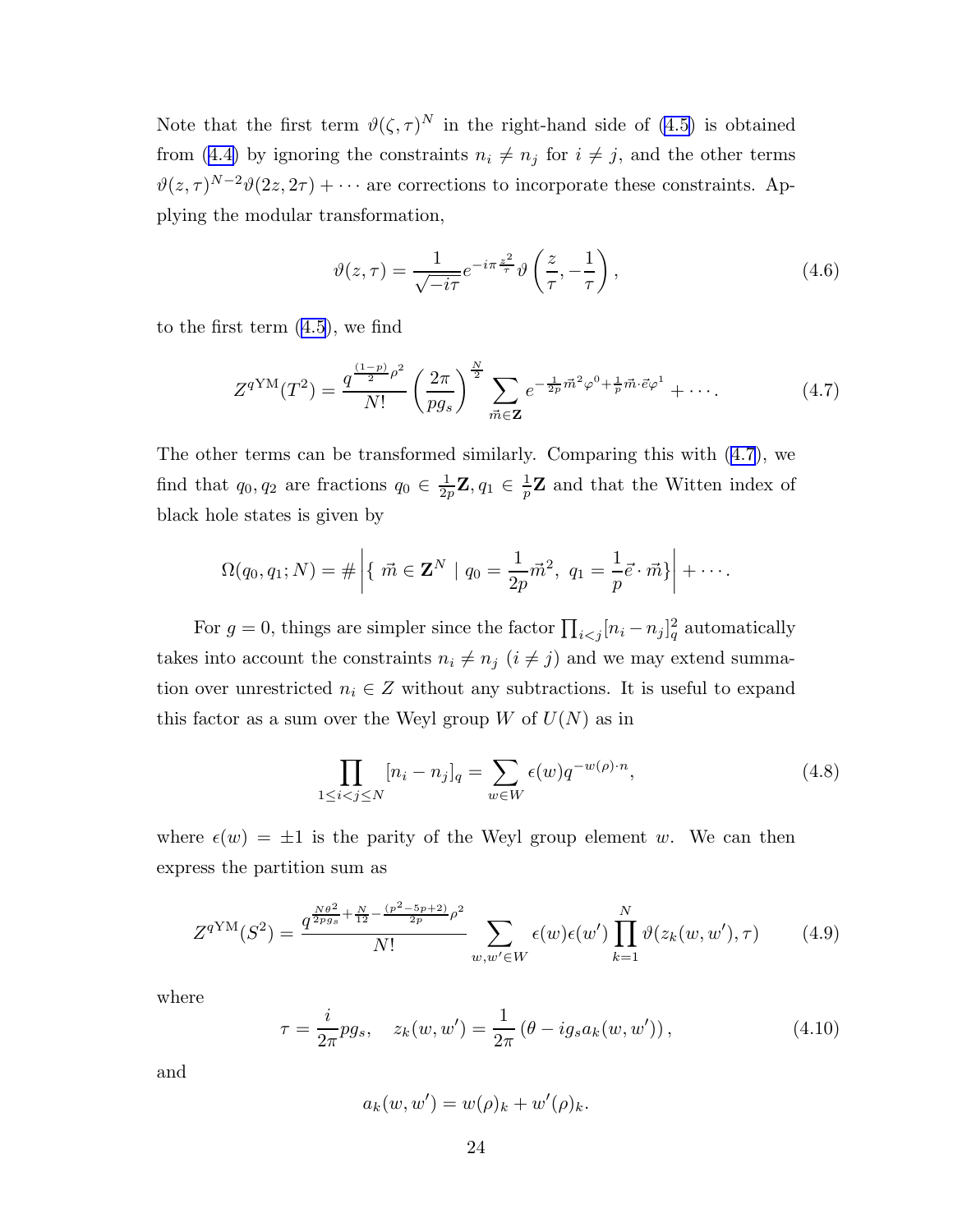<span id="page-24-0"></span>Note that the first term  $\vartheta(\zeta, \tau)^N$  in the right-hand side of [\(4.5\)](#page-23-0) is obtained from [\(4.4\)](#page-23-0) by ignoring the constraints  $n_i \neq n_j$  for  $i \neq j$ , and the other terms  $\vartheta(z,\tau)^{N-2}\vartheta(2z,2\tau)+\cdots$  are corrections to incorporate these constraints. Applying the modular transformation,

$$
\vartheta(z,\tau) = \frac{1}{\sqrt{-i\tau}} e^{-i\pi \frac{z^2}{\tau}} \vartheta\left(\frac{z}{\tau}, -\frac{1}{\tau}\right),\tag{4.6}
$$

to the first term([4.5](#page-23-0)), we find

$$
Z^{q \text{YM}}(T^2) = \frac{q^{\frac{(1-p)}{2}\rho^2}}{N!} \left(\frac{2\pi}{pg_s}\right)^{\frac{N}{2}} \sum_{\vec{m}\in\mathbf{Z}} e^{-\frac{1}{2p}\vec{m}^2\varphi^0 + \frac{1}{p}\vec{m}\cdot\vec{e}\varphi^1} + \cdots. \tag{4.7}
$$

The other terms can be transformed similarly. Comparing this with (4.7), we find that  $q_0, q_2$  are fractions  $q_0 \in \frac{1}{2p}$  $\frac{1}{2p}{\bf Z},q_1\in\frac{1}{p}$  $\frac{1}{p}$ **Z** and that the Witten index of black hole states is given by

$$
\Omega(q_0, q_1; N) = \#\left| \{ \ \vec{m} \in \mathbf{Z}^N \ | \ q_0 = \frac{1}{2p} \vec{m}^2, \ q_1 = \frac{1}{p} \vec{e} \cdot \vec{m} \} \right| + \cdots.
$$

For  $g = 0$ , things are simpler since the factor  $\prod_{i < j} [n_i - n_j]_q^2$  automatically takes into account the constraints  $n_i \neq n_j$   $(i \neq j)$  and we may extend summation over unrestricted  $n_i \in \mathbb{Z}$  without any subtractions. It is useful to expand this factor as a sum over the Weyl group W of  $U(N)$  as in

$$
\prod_{1 \le i < j \le N} [n_i - n_j]_q = \sum_{w \in W} \epsilon(w) q^{-w(\rho) \cdot n},\tag{4.8}
$$

where  $\epsilon(w) = \pm 1$  is the parity of the Weyl group element w. We can then express the partition sum as

$$
Z^{q \text{YM}}(S^2) = \frac{q^{\frac{N\theta^2}{2p g_s} + \frac{N}{12} - \frac{(p^2 - 5p + 2)}{2p} \rho^2}}{N!} \sum_{w, w' \in W} \epsilon(w) \epsilon(w') \prod_{k=1}^N \vartheta(z_k(w, w'), \tau) \qquad (4.9)
$$

where

$$
\tau = \frac{i}{2\pi}pg_s, \quad z_k(w, w') = \frac{1}{2\pi} \left(\theta - ig_s a_k(w, w')\right), \tag{4.10}
$$

and

$$
a_k(w, w') = w(\rho)_k + w'(\rho)_k.
$$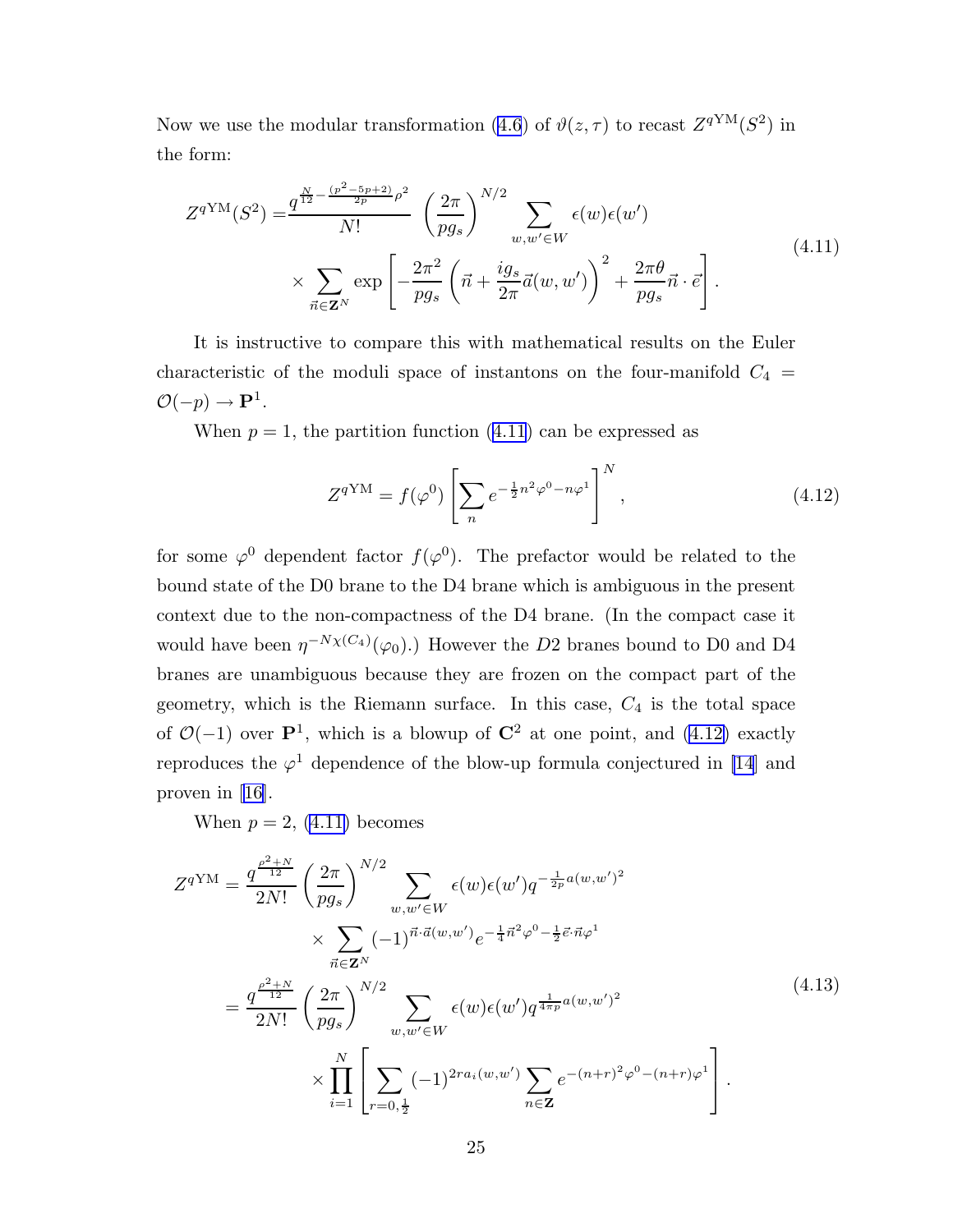<span id="page-25-0"></span>Now we use the modular transformation [\(4.6](#page-24-0)) of  $\vartheta(z, \tau)$  to recast  $Z^{q \text{YM}}(S^2)$  in the form:

$$
Z^{q \text{YM}}(S^2) = \frac{q^{\frac{N}{12} - \frac{(p^2 - 5p + 2)}{2p} \rho^2}}{N!} \left(\frac{2\pi}{pg_s}\right)^{N/2} \sum_{w, w' \in W} \epsilon(w) \epsilon(w')
$$
  
 
$$
\times \sum_{\vec{n} \in \mathbb{Z}^N} \exp\left[-\frac{2\pi^2}{pg_s} \left(\vec{n} + \frac{ig_s}{2\pi}\vec{a}(w, w')\right)^2 + \frac{2\pi\theta}{pg_s}\vec{n} \cdot \vec{e}\right].
$$
 (4.11)

It is instructive to compare this with mathematical results on the Euler characteristic of the moduli space of instantons on the four-manifold  $C_4$  =  $\mathcal{O}(-p) \rightarrow \mathbf{P}^1$ .

When  $p = 1$ , the partition function (4.11) can be expressed as

$$
Z^{q \text{YM}} = f(\varphi^0) \left[ \sum_n e^{-\frac{1}{2}n^2 \varphi^0 - n\varphi^1} \right]^N, \tag{4.12}
$$

for some  $\varphi^0$  dependent factor  $f(\varphi^0)$ . The prefactor would be related to the bound state of the D0 brane to the D4 brane which is ambiguous in the present context due to the non-compactness of the D4 brane. (In the compact case it would have been  $\eta^{-N\chi(C_4)}(\varphi_0)$ .) However the D2 branes bound to D0 and D4 branes are unambiguous because they are frozen on the compact part of the geometry, which is the Riemann surface. In this case,  $C_4$  is the total space of  $\mathcal{O}(-1)$  over  $\mathbf{P}^1$ , which is a blowup of  $\mathbf{C}^2$  at one point, and (4.12) exactly reproduces the  $\varphi^1$  dependence of the blow-up formula conjectured in [\[14](#page-55-0)] and proven in[[16\]](#page-55-0).

When  $p = 2$ , (4.11) becomes

$$
Z^{q \text{YM}} = \frac{q^{\frac{\rho^2 + N}{12}}}{2N!} \left( \frac{2\pi}{pg_s} \right)^{N/2} \sum_{w,w' \in W} \epsilon(w) \epsilon(w') q^{-\frac{1}{2p} a(w,w')^2} \times \sum_{\vec{n} \in \mathbf{Z}^N} (-1)^{\vec{n} \cdot \vec{a}(w,w')} e^{-\frac{1}{4} \vec{n}^2 \varphi^0 - \frac{1}{2} \vec{e} \cdot \vec{n} \varphi^1} = \frac{q^{\frac{\rho^2 + N}{12}}}{2N!} \left( \frac{2\pi}{pg_s} \right)^{N/2} \sum_{w,w' \in W} \epsilon(w) \epsilon(w') q^{\frac{1}{4\pi p} a(w,w')^2} \times \prod_{i=1}^N \left[ \sum_{r=0, \frac{1}{2}} (-1)^{2r a_i(w,w')} \sum_{n \in \mathbf{Z}} e^{-(n+r)^2 \varphi^0 - (n+r) \varphi^1} \right].
$$
\n(4.13)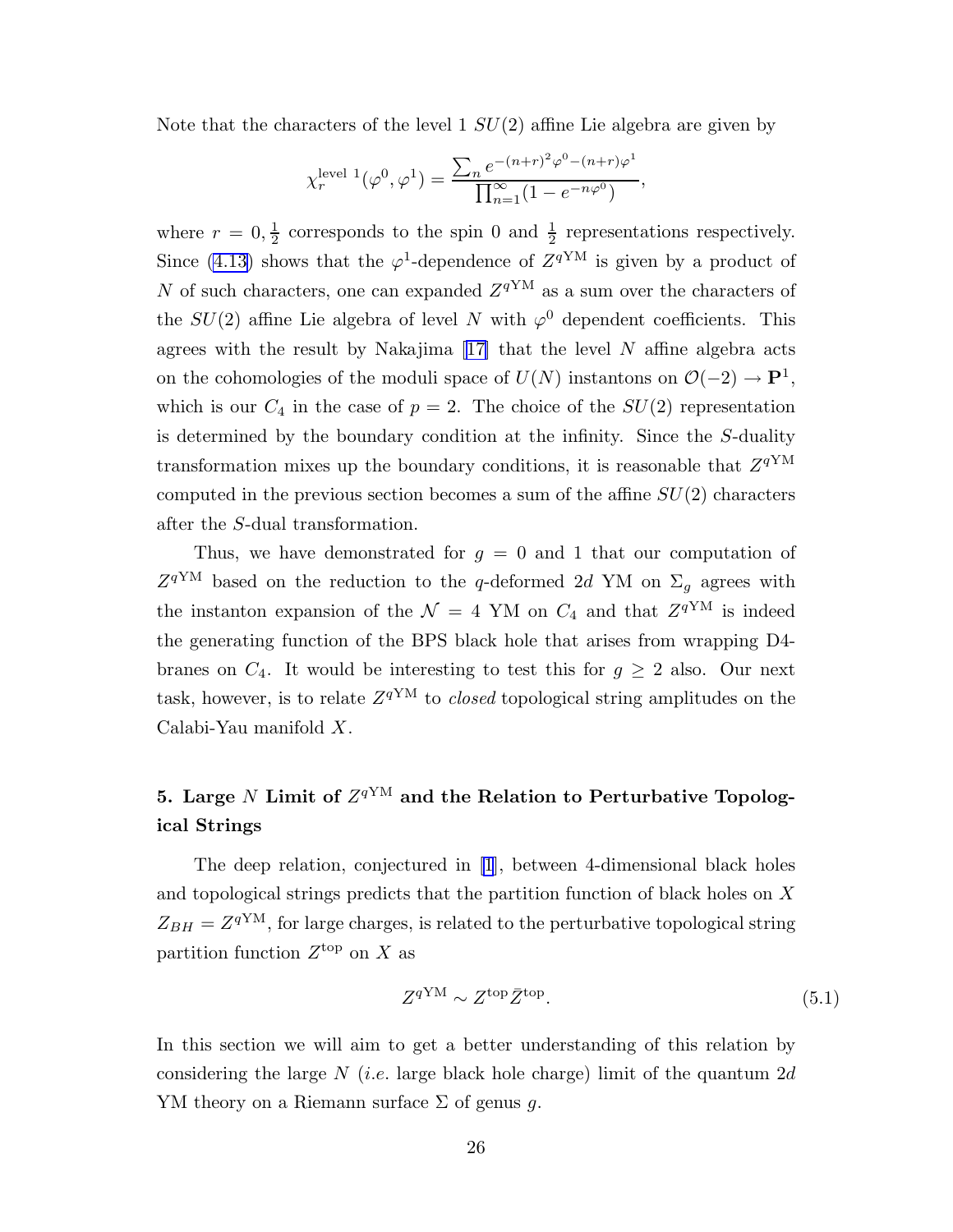<span id="page-26-0"></span>Note that the characters of the level  $1 SU(2)$  affine Lie algebra are given by

$$
\chi_r^{\text{level 1}}(\varphi^0, \varphi^1) = \frac{\sum_n e^{-(n+r)^2 \varphi^0 - (n+r)\varphi^1}}{\prod_{n=1}^{\infty} (1 - e^{-n\varphi^0})},
$$

where  $r = 0, \frac{1}{2}$  $\frac{1}{2}$  corresponds to the spin 0 and  $\frac{1}{2}$  representations respectively. Since [\(4.13\)](#page-25-0) shows that the  $\varphi^1$ -dependence of  $Z^{q \text{YM}}$  is given by a product of N of such characters, one can expanded  $Z^{q \text{YM}}$  as a sum over the characters of the  $SU(2)$  affine Lie algebra of level N with  $\varphi^0$  dependent coefficients. This agreeswith the result by Nakajima  $[17]$  $[17]$  that the level N affine algebra acts on the cohomologies of the moduli space of  $U(N)$  instantons on  $\mathcal{O}(-2) \to \mathbf{P}^1$ , which is our  $C_4$  in the case of  $p = 2$ . The choice of the  $SU(2)$  representation is determined by the boundary condition at the infinity. Since the S-duality transformation mixes up the boundary conditions, it is reasonable that  $Z^{q{\text{YM}}}$ computed in the previous section becomes a sum of the affine  $SU(2)$  characters after the S-dual transformation.

Thus, we have demonstrated for  $g = 0$  and 1 that our computation of  $Z^{q{\text{YM}}}$  based on the reduction to the q-deformed 2d YM on  $\Sigma_g$  agrees with the instanton expansion of the  $\mathcal{N} = 4$  YM on  $C_4$  and that  $Z^{q \text{YM}}$  is indeed the generating function of the BPS black hole that arises from wrapping D4 branes on  $C_4$ . It would be interesting to test this for  $q \geq 2$  also. Our next task, however, is to relate  $Z^{q{\text{YM}}}$  to *closed* topological string amplitudes on the Calabi-Yau manifold X.

# 5. Large N Limit of  $Z^{q{\rm YM}}$  and the Relation to Perturbative Topological Strings

The deep relation, conjectured in [\[1](#page-55-0)], between 4-dimensional black holes and topological strings predicts that the partition function of black holes on X  $Z_{BH} = Z^{q{\text{YM}}}$ , for large charges, is related to the perturbative topological string partition function  $Z^{\text{top}}$  on X as

$$
Z^{q{\rm YM}} \sim Z^{\rm top}\bar{Z}^{\rm top}.\tag{5.1}
$$

In this section we will aim to get a better understanding of this relation by considering the large N (*i.e.* large black hole charge) limit of the quantum  $2d$ YM theory on a Riemann surface  $\Sigma$  of genus g.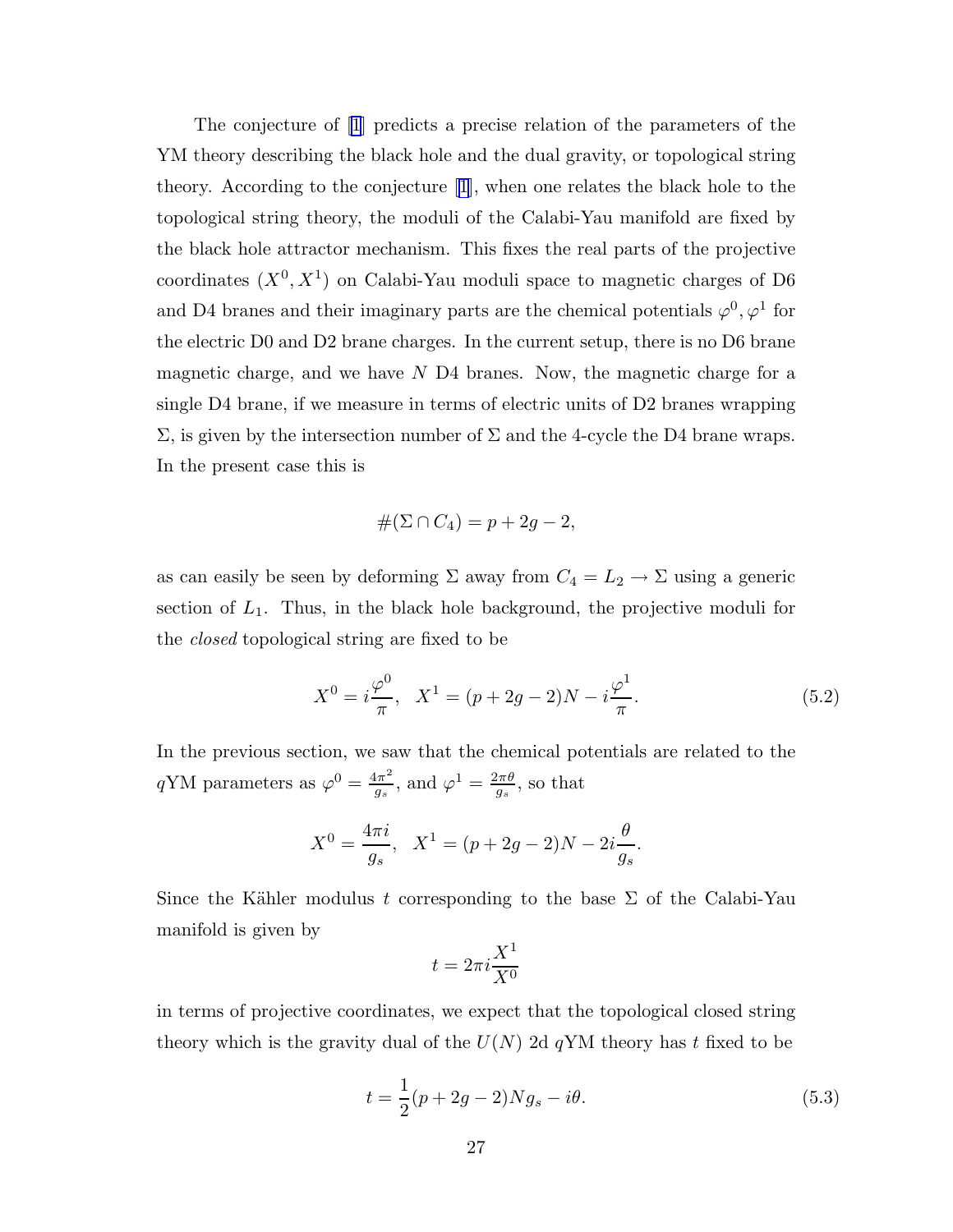<span id="page-27-0"></span>The conjecture of [\[1](#page-55-0)] predicts a precise relation of the parameters of the YM theory describing the black hole and the dual gravity, or topological string theory. According to the conjecture [\[1](#page-55-0)], when one relates the black hole to the topological string theory, the moduli of the Calabi-Yau manifold are fixed by the black hole attractor mechanism. This fixes the real parts of the projective coordinates  $(X^0, X^1)$  on Calabi-Yau moduli space to magnetic charges of D6 and D4 branes and their imaginary parts are the chemical potentials  $\varphi^0, \varphi^1$  for the electric D0 and D2 brane charges. In the current setup, there is no D6 brane magnetic charge, and we have  $N$  D4 branes. Now, the magnetic charge for a single D4 brane, if we measure in terms of electric units of D2 branes wrapping  $\Sigma$ , is given by the intersection number of  $\Sigma$  and the 4-cycle the D4 brane wraps. In the present case this is

$$
\#(\Sigma \cap C_4) = p + 2g - 2,
$$

as can easily be seen by deforming  $\Sigma$  away from  $C_4 = L_2 \rightarrow \Sigma$  using a generic section of  $L_1$ . Thus, in the black hole background, the projective moduli for the closed topological string are fixed to be

$$
X^{0} = i\frac{\varphi^{0}}{\pi}, \quad X^{1} = (p + 2g - 2)N - i\frac{\varphi^{1}}{\pi}.
$$
\n(5.2)

In the previous section, we saw that the chemical potentials are related to the qYM parameters as  $\varphi^0 = \frac{4\pi^2}{a}$  $\frac{q_s}{g_s}$ , and  $\varphi^1 = \frac{2\pi\theta}{g_s}$  $\frac{2\pi\theta}{g_s}$ , so that

$$
X^{0} = \frac{4\pi i}{g_{s}}, \quad X^{1} = (p + 2g - 2)N - 2i\frac{\theta}{g_{s}}.
$$

Since the Kähler modulus t corresponding to the base  $\Sigma$  of the Calabi-Yau manifold is given by

$$
t=2\pi i\frac{X^1}{X^0}
$$

in terms of projective coordinates, we expect that the topological closed string theory which is the gravity dual of the  $U(N)$  2d qYM theory has t fixed to be

$$
t = \frac{1}{2}(p + 2g - 2)Ng_s - i\theta.
$$
\n(5.3)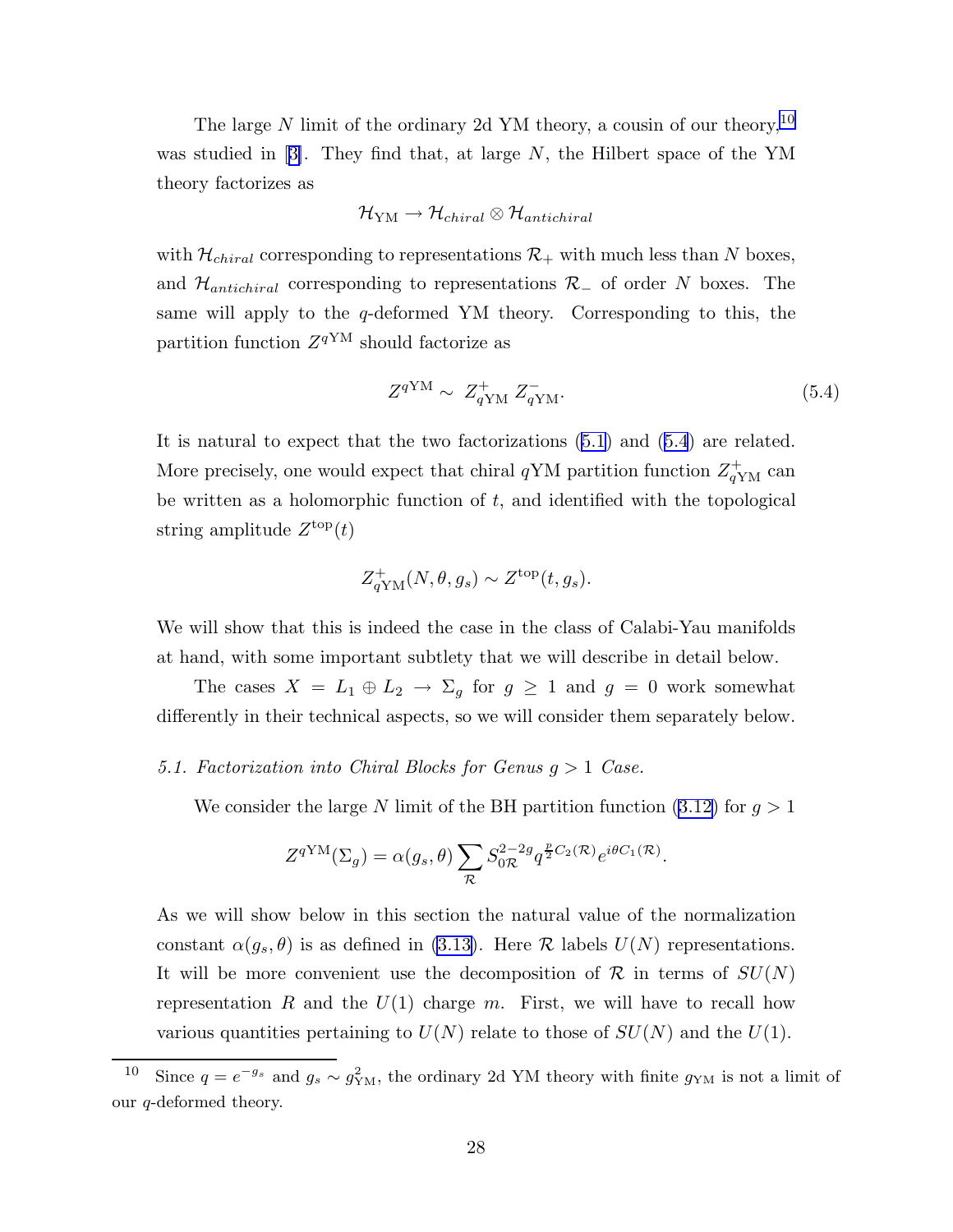The large N limit of the ordinary 2d YM theory, a cousin of our theory,  $10$ wasstudied in  $[3]$  $[3]$ . They find that, at large N, the Hilbert space of the YM theory factorizes as

## $\mathcal{H}_{\text{YM}} \to \mathcal{H}_{chiral} \otimes \mathcal{H}_{antichiral}$

with  $\mathcal{H}_{chiral}$  corresponding to representations  $\mathcal{R}_+$  with much less than N boxes, and  $\mathcal{H}_{antichiral}$  corresponding to representations  $\mathcal{R}_-$  of order N boxes. The same will apply to the  $q$ -deformed YM theory. Corresponding to this, the partition function  $Z^{q \text{YM}}$  should factorize as

$$
Z^{q{\rm YM}} \sim Z_{q{\rm YM}}^+ Z_{q{\rm YM}}^-.
$$
\n(5.4)

It is natural to expect that the two factorizations([5.1](#page-26-0)) and (5.4) are related. More precisely, one would expect that chiral  $q{\rm YM}$  partition function  $Z_{q{\rm YM}}^+$  can be written as a holomorphic function of  $t$ , and identified with the topological string amplitude  $Z^{\text{top}}(t)$ 

$$
Z_{q{\rm YM}}^+(N,\theta,g_s) \sim Z^{\rm top}(t,g_s).
$$

We will show that this is indeed the case in the class of Calabi-Yau manifolds at hand, with some important subtlety that we will describe in detail below.

The cases  $X = L_1 \oplus L_2 \rightarrow \Sigma_g$  for  $g \ge 1$  and  $g = 0$  work somewhat differently in their technical aspects, so we will consider them separately below.

### 5.1. Factorization into Chiral Blocks for Genus  $g > 1$  Case.

We consider the large N limit of the BH partition function  $(3.12)$  for  $g > 1$ 

$$
Z^{q \text{YM}}(\Sigma_g) = \alpha(g_s, \theta) \sum_{\mathcal{R}} S_{0\mathcal{R}}^{2-2g} q^{\frac{p}{2}C_2(\mathcal{R})} e^{i\theta C_1(\mathcal{R})}.
$$

As we will show below in this section the natural value of the normalization constant  $\alpha(g_s, \theta)$  is as defined in [\(3.13\)](#page-17-0). Here  $\mathcal R$  labels  $U(N)$  representations. It will be more convenient use the decomposition of  $\mathcal R$  in terms of  $SU(N)$ representation R and the  $U(1)$  charge m. First, we will have to recall how various quantities pertaining to  $U(N)$  relate to those of  $SU(N)$  and the  $U(1)$ .

<sup>&</sup>lt;sup>10</sup> Since  $q = e^{-g_s}$  and  $g_s \sim g_{\text{YM}}^2$ , the ordinary 2d YM theory with finite  $g_{\text{YM}}$  is not a limit of our q-deformed theory.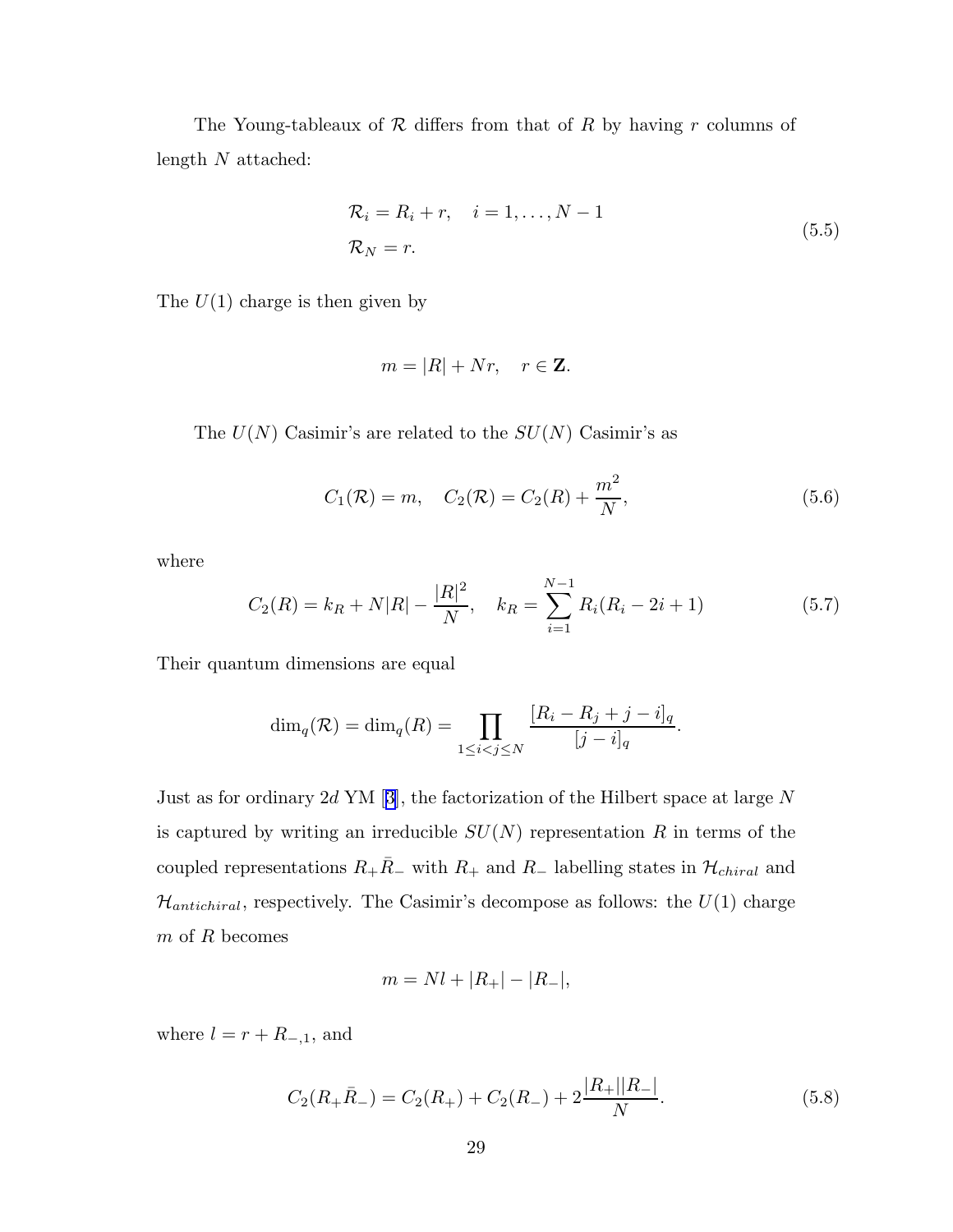<span id="page-29-0"></span>The Young-tableaux of  $R$  differs from that of  $R$  by having  $r$  columns of length N attached:

$$
\mathcal{R}_i = R_i + r, \quad i = 1, \dots, N - 1
$$
  

$$
\mathcal{R}_N = r.
$$
  
(5.5)

The  $U(1)$  charge is then given by

$$
m = |R| + Nr, \quad r \in \mathbf{Z}.
$$

The  $U(N)$  Casimir's are related to the  $SU(N)$  Casimir's as

$$
C_1(\mathcal{R}) = m
$$
,  $C_2(\mathcal{R}) = C_2(R) + \frac{m^2}{N}$ , (5.6)

where

$$
C_2(R) = k_R + N|R| - \frac{|R|^2}{N}, \quad k_R = \sum_{i=1}^{N-1} R_i(R_i - 2i + 1)
$$
\n(5.7)

Their quantum dimensions are equal

$$
\dim_q(\mathcal{R}) = \dim_q(R) = \prod_{1 \le i < j \le N} \frac{[R_i - R_j + j - i]_q}{[j - i]_q}.
$$

Justas for ordinary  $2d$  YM [[3\]](#page-55-0), the factorization of the Hilbert space at large N is captured by writing an irreducible  $SU(N)$  representation R in terms of the coupled representations  $R_+\bar{R}_-$  with  $R_+$  and  $R_-$  labelling states in  $\mathcal{H}_{chiral}$  and  $\mathcal{H}_{antichiral}$ , respectively. The Casimir's decompose as follows: the  $U(1)$  charge m of R becomes

$$
m = Nl + |R_+| - |R_-|,
$$

where  $l = r + R_{-,1}$ , and

$$
C_2(R_+\bar{R}_-) = C_2(R_+) + C_2(R_-) + 2\frac{|R_+||R_-|}{N}.
$$
\n(5.8)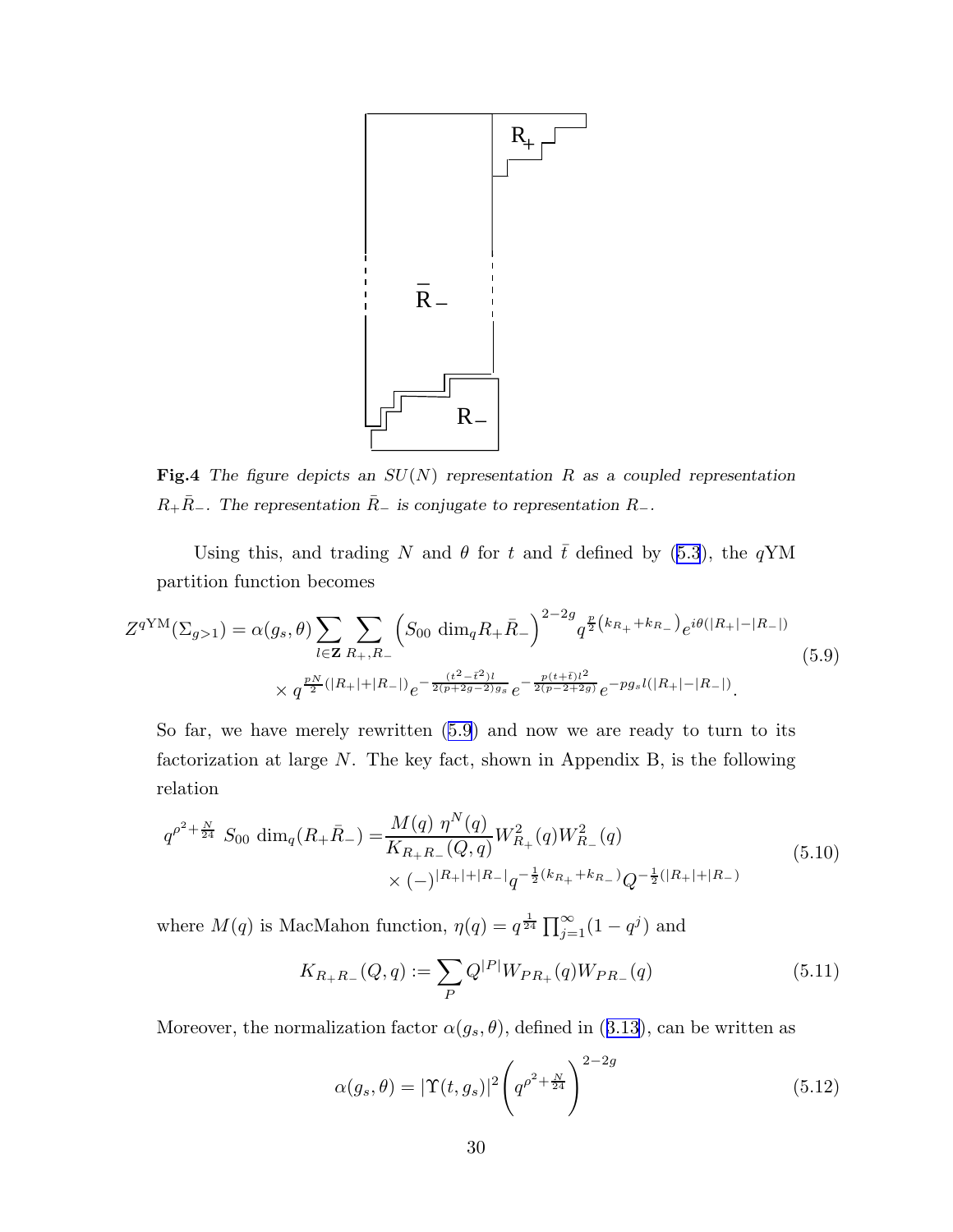<span id="page-30-0"></span>

**Fig.4** The figure depicts an  $SU(N)$  representation R as a coupled representation  $R_+\bar{R}_-$ . The representation  $\bar{R}_-$  is conjugate to representation  $R_-\$ .

Usingthis, and trading N and  $\theta$  for t and  $\bar{t}$  defined by ([5.3](#page-27-0)), the qYM partition function becomes

$$
Z^{q \text{YM}}(\Sigma_{g>1}) = \alpha(g_s, \theta) \sum_{l \in \mathbf{Z}} \sum_{R_+, R_-} \left( S_{00} \dim_q R_+ \bar{R}_- \right)^{2-2g} q^{\frac{p}{2}(k_{R_+} + k_{R_-})} e^{i\theta(|R_+| - |R_-|)} \times q^{\frac{pN}{2}(|R_+| + |R_-|)} e^{-\frac{(t^2 - t^2)l}{2(p + 2g - 2)gs}} e^{-\frac{p(t + \bar{t})l^2}{2(p - 2 + 2g)}} e^{-p g_s l(|R_+| - |R_-|)}.
$$
\n
$$
(5.9)
$$

So far, we have merely rewritten (5.9) and now we are ready to turn to its factorization at large  $N$ . The key fact, shown in Appendix B, is the following relation

$$
q^{\rho^2 + \frac{N}{24}} S_{00} \dim_q(R_+ \bar{R}_-) = \frac{M(q) \eta^N(q)}{K_{R_+ R_-}(Q, q)} W_{R_+}^2(q) W_{R_-}^2(q)
$$
  
 
$$
\times (-)^{|R_+|+|R_-|} q^{-\frac{1}{2}(k_{R_+} + k_{R_-})} Q^{-\frac{1}{2}(|R_+|+|R_-)}
$$
(5.10)

where  $M(q)$  is MacMahon function,  $\eta(q) = q^{\frac{1}{24}} \prod_{j=1}^{\infty} (1 - q^j)$  and

$$
K_{R+R-}(Q,q) := \sum_{P} Q^{|P|} W_{PR+}(q) W_{PR-}(q)
$$
\n(5.11)

Moreover,the normalization factor  $\alpha(g_s, \theta)$ , defined in ([3.13\)](#page-17-0), can be written as

$$
\alpha(g_s, \theta) = |\Upsilon(t, g_s)|^2 \left( q^{\rho^2 + \frac{N}{24}} \right)^{2-2g} \tag{5.12}
$$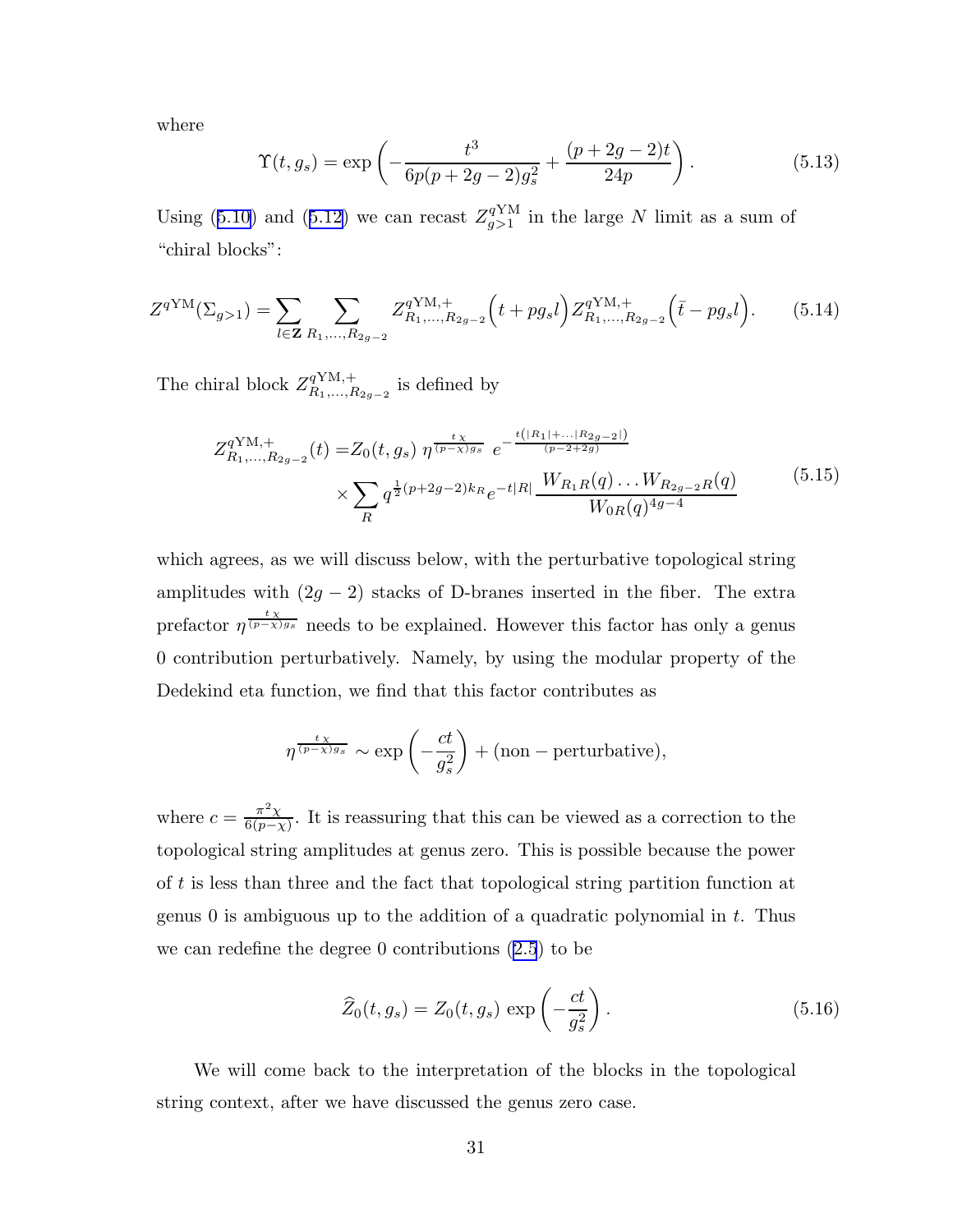<span id="page-31-0"></span>where

$$
\Upsilon(t, g_s) = \exp\left(-\frac{t^3}{6p(p+2g-2)g_s^2} + \frac{(p+2g-2)t}{24p}\right).
$$
\n(5.13)

Using([5.10\)](#page-30-0) and ([5.12\)](#page-30-0) we can recast  $Z_{q>1}^{q{\rm YM}}$  $q_{s>1}^{q_{tM}}$  in the large N limit as a sum of "chiral blocks":

$$
Z^{q{\rm YM}}(\Sigma_{g>1}) = \sum_{l \in \mathbf{Z}} \sum_{R_1, \dots, R_{2g-2}} Z^{q{\rm YM},+}_{R_1, \dots, R_{2g-2}} \Big( t + pg_s l \Big) Z^{q{\rm YM},+}_{R_1, \dots, R_{2g-2}} \Big( \bar{t} - pg_s l \Big). \tag{5.14}
$$

The chiral block  $Z_{R_1,...,R}^{q \text{YM},+}$  $R_1, \ldots, R_{2g-2}$  is defined by

$$
Z_{R_1,...,R_{2g-2}}^{q \text{YM},+}(t) = Z_0(t,g_s) \eta^{\frac{t \chi}{(p-\chi)g_s}} e^{-\frac{t(|R_1|+...|R_{2g-2}|)}{(p-2+2g)}} \times \sum_R q^{\frac{1}{2}(p+2g-2)k_R} e^{-t|R|} \frac{W_{R_1R}(q)...W_{R_{2g-2}R}(q)}{W_{0R}(q)^{4g-4}}
$$
(5.15)

which agrees, as we will discuss below, with the perturbative topological string amplitudes with  $(2g - 2)$  stacks of D-branes inserted in the fiber. The extra prefactor  $\eta^{\frac{t\chi}{(p-\chi)g_s}}$  needs to be explained. However this factor has only a genus 0 contribution perturbatively. Namely, by using the modular property of the Dedekind eta function, we find that this factor contributes as

$$
\eta^{\frac{t\chi}{(p-\chi)g_s}} \sim \exp\left(-\frac{ct}{g_s^2}\right) + (\text{non-perturbative}),
$$

where  $c = \frac{\pi^2 \chi}{6(n-1)}$  $\frac{\pi^{-\chi}}{6(p-\chi)}$ . It is reassuring that this can be viewed as a correction to the topological string amplitudes at genus zero. This is possible because the power of t is less than three and the fact that topological string partition function at genus 0 is ambiguous up to the addition of a quadratic polynomial in  $t$ . Thus we can redefine the degree 0 contributions([2.5](#page-6-0)) to be

$$
\widehat{Z}_0(t, g_s) = Z_0(t, g_s) \exp\left(-\frac{ct}{g_s^2}\right). \tag{5.16}
$$

We will come back to the interpretation of the blocks in the topological string context, after we have discussed the genus zero case.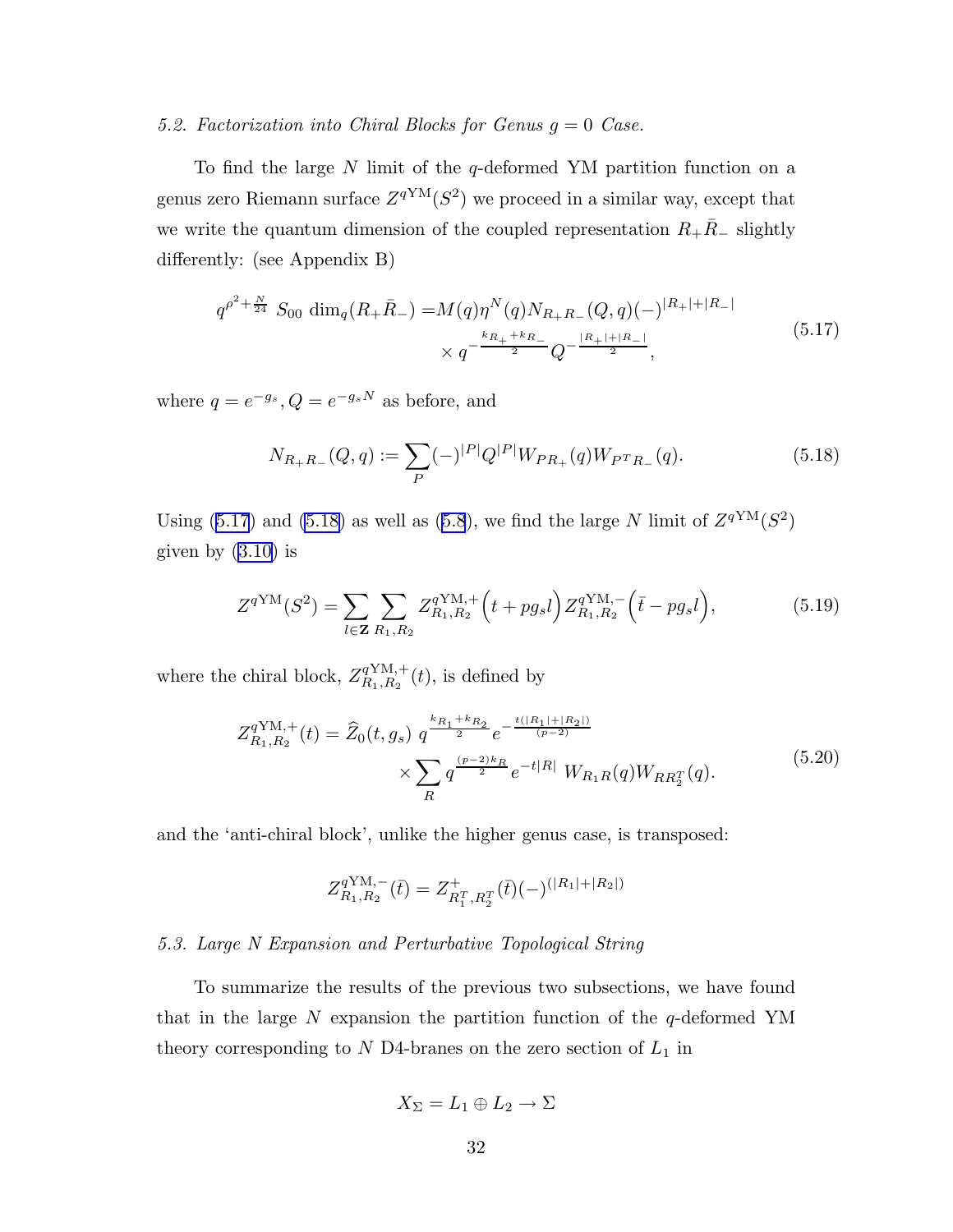#### 5.2. Factorization into Chiral Blocks for Genus  $q = 0$  Case.

To find the large N limit of the q-deformed YM partition function on a genus zero Riemann surface  $Z^{q \text{YM}}(S^2)$  we proceed in a similar way, except that we write the quantum dimension of the coupled representation  $R_+\overline{R}_-$  slightly differently: (see Appendix B)

$$
q^{\rho^2 + \frac{N}{24}} S_{00} \dim_q(R_+ \bar{R}_-) = M(q) \eta^N(q) N_{R_+ R_-}(Q, q) (-)^{|R_+|+|R_-|}
$$
  
 
$$
\times q^{-\frac{k_{R_+} + k_{R_-}}{2}} Q^{-\frac{|R_+|+|R_-|}{2}}, \qquad (5.17)
$$

where  $q = e^{-g_s}, Q = e^{-g_s N}$  as before, and

$$
N_{R_+R_-}(Q,q) := \sum_P (-)^{|P|} Q^{|P|} W_{PR_+}(q) W_{PTR_-}(q). \tag{5.18}
$$

Using (5.17) and (5.18) as well as [\(5.8](#page-29-0)), we find the large N limit of  $Z^{q \text{YM}}(S^2)$ given by  $(3.10)$  is

$$
Z^{q{\rm YM}}(S^2) = \sum_{l \in \mathbf{Z}} \sum_{R_1, R_2} Z^{q{\rm YM},+}_{R_1, R_2} \left( t + pg_s l \right) Z^{q{\rm YM},-}_{R_1, R_2} \left( \bar{t} - pg_s l \right),\tag{5.19}
$$

where the chiral block,  $Z_{R_1,R_2}^{q \text{YM},+}$  $R_1, R_2 \nvert t$ , is defined by

$$
Z_{R_1,R_2}^{q{\rm YM},+}(t) = \hat{Z}_0(t,g_s) \, q^{\frac{k_{R_1}+k_{R_2}}{2}} e^{-\frac{t(|R_1|+|R_2|)}{(p-2)}} \times \sum_R q^{\frac{(p-2)k_R}{2}} e^{-t|R|} \, W_{R_1R}(q) W_{RR_2^T}(q). \tag{5.20}
$$

and the 'anti-chiral block', unlike the higher genus case, is transposed:

$$
Z_{R_1,R_2}^{q{\rm YM},-}(\bar{t})=Z_{R_1^T,R_2^T}^{+}(\bar{t})(-)^{(|R_1|+|R_2|)}
$$

#### 5.3. Large N Expansion and Perturbative Topological String

To summarize the results of the previous two subsections, we have found that in the large  $N$  expansion the partition function of the  $q$ -deformed YM theory corresponding to  $N$  D4-branes on the zero section of  $L_1$  in

$$
X_{\Sigma} = L_1 \oplus L_2 \to \Sigma
$$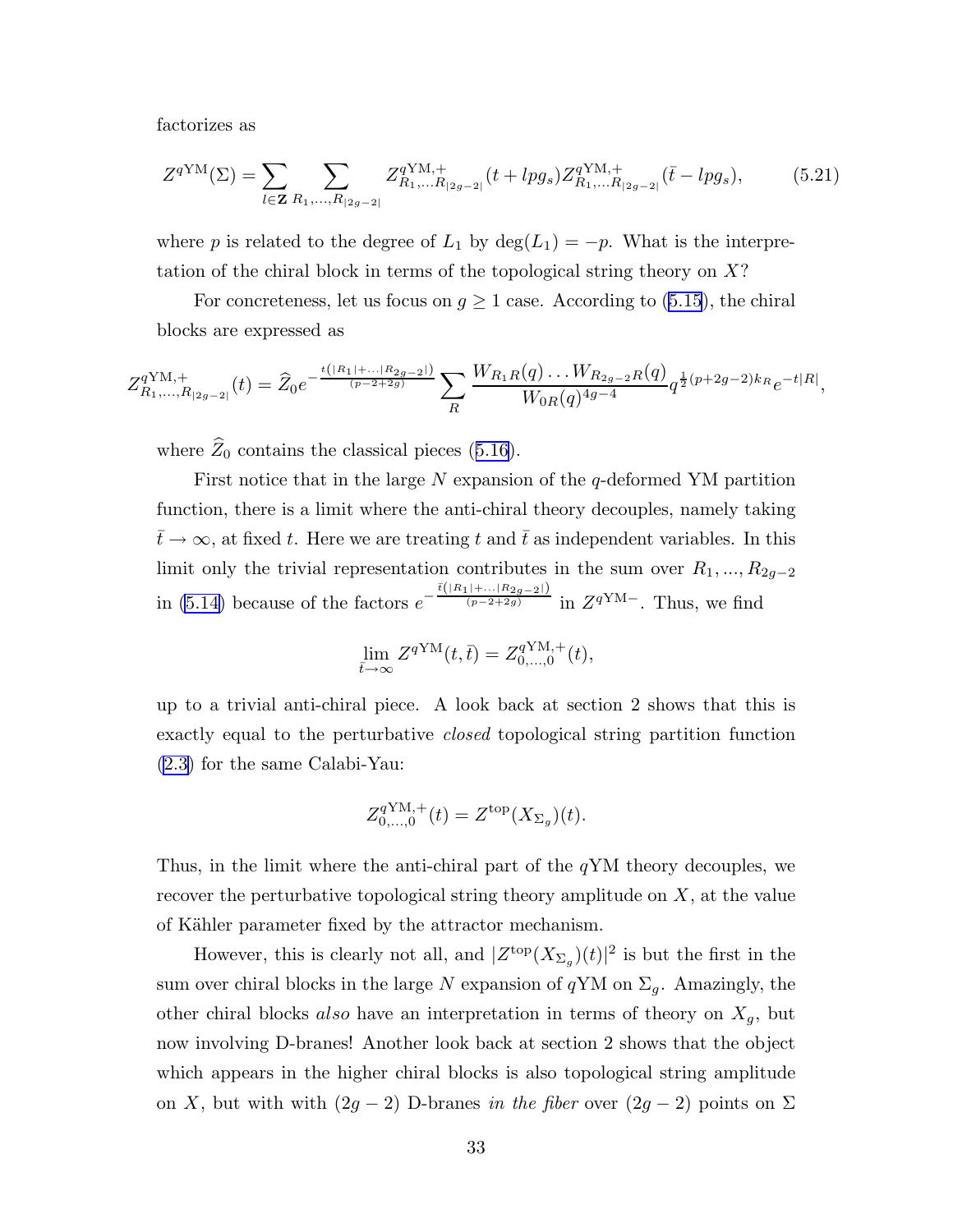factorizes as

$$
Z^{q{\rm YM}}(\Sigma) = \sum_{l \in \mathbf{Z}} \sum_{R_1, \dots, R_{|2g-2|}} Z^{q{\rm YM},+}_{R_1, \dots, R_{|2g-2|}}(t + lpg_s) Z^{q{\rm YM},+}_{R_1, \dots, R_{|2g-2|}}(\bar{t} - lpg_s), \tag{5.21}
$$

where p is related to the degree of  $L_1$  by  $deg(L_1) = -p$ . What is the interpretation of the chiral block in terms of the topological string theory on X?

Forconcreteness, let us focus on  $g \ge 1$  case. According to ([5.15](#page-31-0)), the chiral blocks are expressed as

$$
Z_{R_1,...,R_{|2g-2|}}^{q \text{YM},+}(t) = \widehat{Z}_0 e^{-\frac{t(|R_1|+...|R_{2g-2}|)}{(p-2+2g)}} \sum_R \frac{W_{R_1R}(q) \dots W_{R_{2g-2}R}(q)}{W_{0R}(q)^{4g-4}} q^{\frac{1}{2}(p+2g-2)k_R} e^{-t|R|},
$$

where $\widehat{Z}_0$  contains the classical pieces ([5.16\)](#page-31-0).

First notice that in the large  $N$  expansion of the q-deformed YM partition function, there is a limit where the anti-chiral theory decouples, namely taking  $\bar{t} \to \infty$ , at fixed t. Here we are treating t and  $\bar{t}$  as independent variables. In this limit only the trivial representation contributes in the sum over  $R_1, ..., R_{2g-2}$ in [\(5.14\)](#page-31-0) because of the factors  $e^{-\frac{\bar{t}(|R_1|+\ldots|R_{2g-2}|)}{(p-2+2g)}}$  in  $Z^{q \text{YM}-}$ . Thus, we find

$$
\lim_{\bar{t}\to\infty} Z^{q{\rm YM}}(t,\bar{t}) = Z_{0,\ldots,0}^{q{\rm YM},+}(t),
$$

up to a trivial anti-chiral piece. A look back at section 2 shows that this is exactly equal to the perturbative closed topological string partition function [\(2.3\)](#page-6-0) for the same Calabi-Yau:

$$
Z_{0,\ldots,0}^{q{\rm YM},+}(t) = Z^{\rm top}(X_{\Sigma_g})(t).
$$

Thus, in the limit where the anti-chiral part of the  $qYM$  theory decouples, we recover the perturbative topological string theory amplitude on X, at the value of Kähler parameter fixed by the attractor mechanism.

However, this is clearly not all, and  $|Z^{\text{top}}(X_{\Sigma_g})(t)|^2$  is but the first in the sum over chiral blocks in the large N expansion of  $q{\rm YM}$  on  $\Sigma_g$ . Amazingly, the other chiral blocks also have an interpretation in terms of theory on  $X_g$ , but now involving D-branes! Another look back at section 2 shows that the object which appears in the higher chiral blocks is also topological string amplitude on X, but with with  $(2g - 2)$  D-branes in the fiber over  $(2g - 2)$  points on  $\Sigma$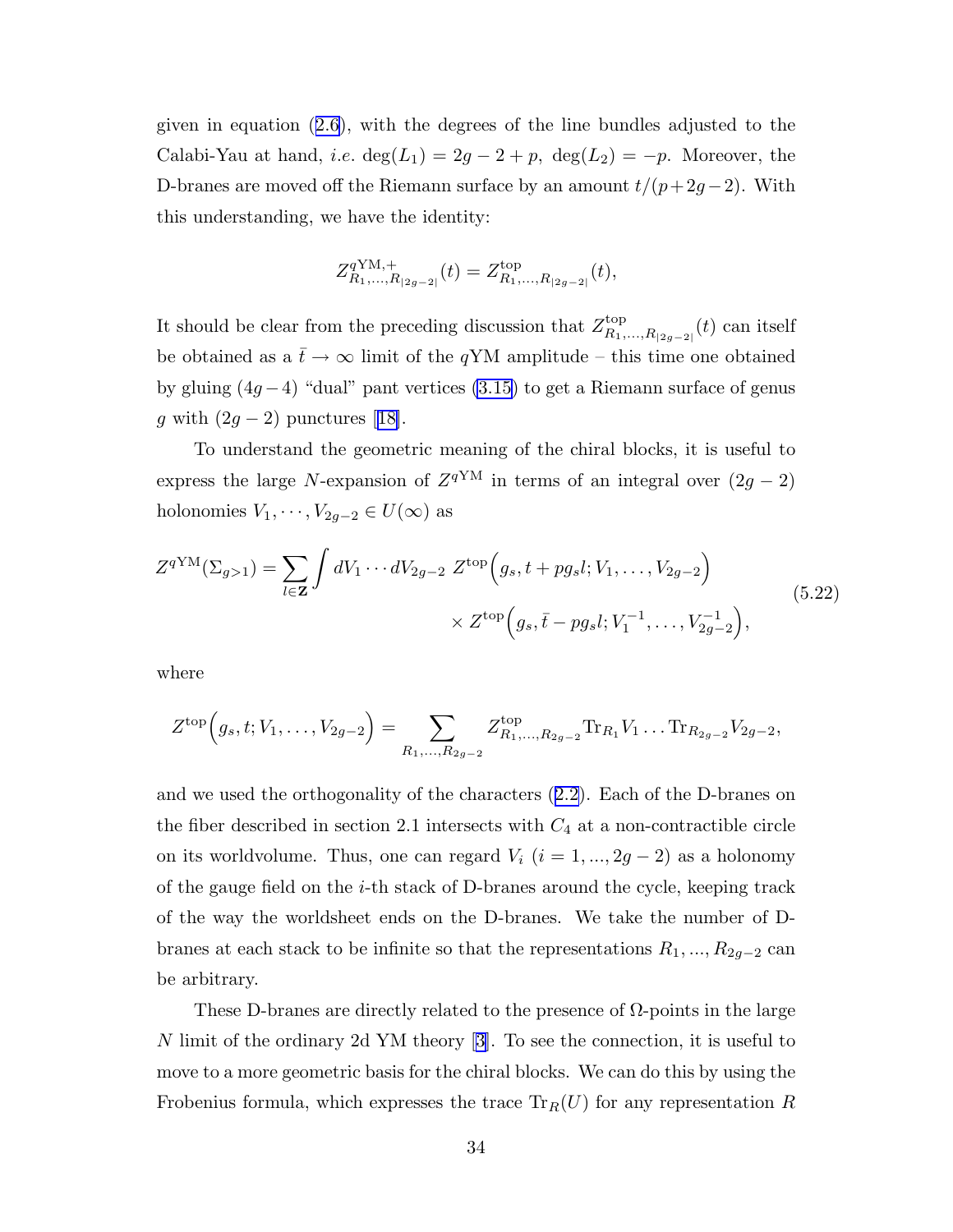<span id="page-34-0"></span>given in equation([2.6](#page-8-0)), with the degrees of the line bundles adjusted to the Calabi-Yau at hand, *i.e.* deg( $L_1$ ) = 2g − 2 + p, deg( $L_2$ ) = −p. Moreover, the D-branes are moved off the Riemann surface by an amount  $t/(p+2g-2)$ . With this understanding, we have the identity:

$$
Z_{R_1,...,R_{|2g-2|}}^{\text{qYM},+}(t) = Z_{R_1,...,R_{|2g-2|}}^{\text{top}}(t),
$$

It should be clear from the preceding discussion that  $Z_{B_1}^{\text{top}}$  $R_{1},...,R_{|2g-2|}(t)$  can itself be obtained as a  $\bar{t} \to \infty$  limit of the qYM amplitude – this time one obtained by gluing  $(4g-4)$  "dual" pant vertices [\(3.15\)](#page-22-0) to get a Riemann surface of genus gwith  $(2g-2)$  punctures [[18\]](#page-56-0).

To understand the geometric meaning of the chiral blocks, it is useful to express the large N-expansion of  $Z^{q{\text{YM}}}$  in terms of an integral over  $(2g - 2)$ holonomies  $V_1, \dots, V_{2g-2} \in U(\infty)$  as

$$
Z^{q \text{YM}}(\Sigma_{g>1}) = \sum_{l \in \mathbf{Z}} \int dV_1 \cdots dV_{2g-2} Z^{\text{top}}(g_s, t + pg_s l; V_1, \dots, V_{2g-2})
$$
  
 
$$
\times Z^{\text{top}}(g_s, \bar{t} - pg_s l; V_1^{-1}, \dots, V_{2g-2}^{-1}),
$$
(5.22)

where

$$
Z^{\text{top}}(g_s, t; V_1, \ldots, V_{2g-2}) = \sum_{R_1, \ldots, R_{2g-2}} Z^{\text{top}}_{R_1, \ldots, R_{2g-2}} \text{Tr}_{R_1} V_1 \ldots \text{Tr}_{R_{2g-2}} V_{2g-2},
$$

and we used the orthogonality of the characters([2.2\)](#page-5-0). Each of the D-branes on the fiber described in section 2.1 intersects with  $C_4$  at a non-contractible circle on its worldvolume. Thus, one can regard  $V_i$   $(i = 1, ..., 2g - 2)$  as a holonomy of the gauge field on the i-th stack of D-branes around the cycle, keeping track of the way the worldsheet ends on the D-branes. We take the number of Dbranes at each stack to be infinite so that the representations  $R_1, ..., R_{2g-2}$  can be arbitrary.

These D-branes are directly related to the presence of  $\Omega$ -points in the large N limit of the ordinary 2d YM theory[[3\]](#page-55-0). To see the connection, it is useful to move to a more geometric basis for the chiral blocks. We can do this by using the Frobenius formula, which expresses the trace  $\text{Tr}_R(U)$  for any representation R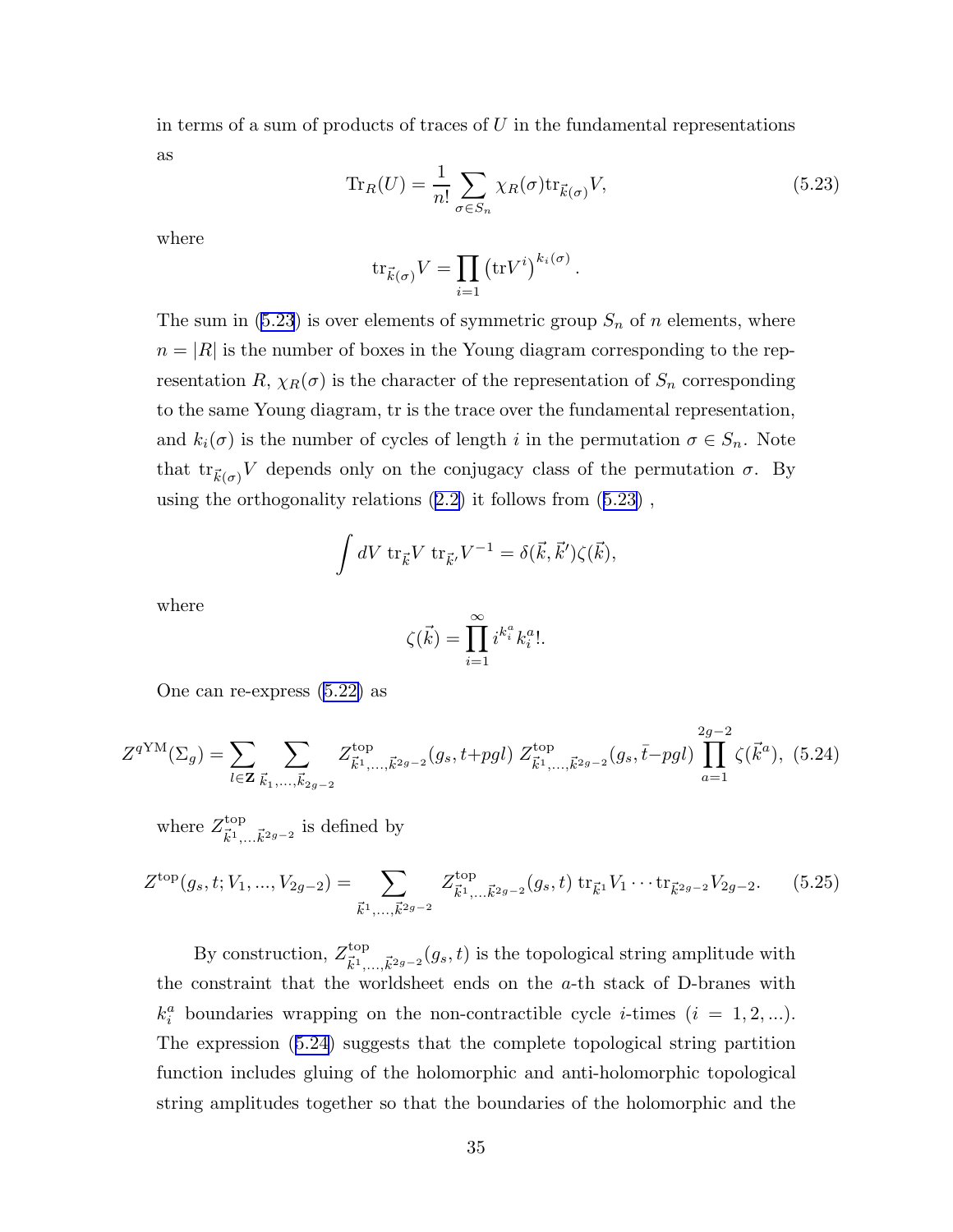<span id="page-35-0"></span>in terms of a sum of products of traces of  $U$  in the fundamental representations as

$$
\text{Tr}_R(U) = \frac{1}{n!} \sum_{\sigma \in S_n} \chi_R(\sigma) \text{tr}_{\vec{k}(\sigma)} V,\tag{5.23}
$$

.

where

$$
\operatorname{tr}_{\vec{k}(\sigma)} V = \prod_{i=1} (\operatorname{tr} V^i)^{k_i(\sigma)}
$$

The sum in  $(5.23)$  is over elements of symmetric group  $S_n$  of n elements, where  $n = |R|$  is the number of boxes in the Young diagram corresponding to the representation R,  $\chi_R(\sigma)$  is the character of the representation of  $S_n$  corresponding to the same Young diagram, tr is the trace over the fundamental representation, and  $k_i(\sigma)$  is the number of cycles of length i in the permutation  $\sigma \in S_n$ . Note that  $\text{tr}_{\vec{k}(\sigma)} V$  depends only on the conjugacy class of the permutation  $\sigma$ . By usingthe orthogonality relations  $(2.2)$  $(2.2)$  $(2.2)$  it follows from  $(5.23)$ ,

$$
\int dV \, \text{tr}_{\vec{k}} V \, \text{tr}_{\vec{k'}} V^{-1} = \delta(\vec{k}, \vec{k'}) \zeta(\vec{k}),
$$

where

$$
\zeta(\vec{k}) = \prod_{i=1}^{\infty} i^{k_i^a} k_i^a!
$$

One can re-express [\(5.22\)](#page-34-0) as

$$
Z^{q \text{YM}}(\Sigma_g) = \sum_{l \in \mathbf{Z}} \sum_{\vec{k}_1, \dots, \vec{k}_{2g-2}} Z^{\text{top}}_{\vec{k}^1, \dots, \vec{k}^{2g-2}}(g_s, t + pgl) \ Z^{\text{top}}_{\vec{k}^1, \dots, \vec{k}^{2g-2}}(g_s, \bar{t} - pgl) \prod_{a=1}^{2g-2} \zeta(\vec{k}^a), \tag{5.24}
$$

where  $Z_{\vec{i}1}^{\text{top}}$  $\frac{\partial^2 u}{\partial \vec{k}^1,\dots \vec{k}^{2g-2}}$  is defined by

$$
Z^{\text{top}}(g_s, t; V_1, ..., V_{2g-2}) = \sum_{\vec{k}^1, ..., \vec{k}^{2g-2}} Z^{\text{top}}_{\vec{k}^1, ..., \vec{k}^{2g-2}}(g_s, t) \operatorname{tr}_{\vec{k}^1} V_1 \cdots \operatorname{tr}_{\vec{k}^{2g-2}} V_{2g-2}.
$$
 (5.25)

By construction,  $Z_{\vec{\iota}^1}^{\text{top}}$ <sup>ktop</sup> $\vec{k}^{1},...,\vec{k}^{2g-2}(g_s,t)$  is the topological string amplitude with the constraint that the worldsheet ends on the a-th stack of D-branes with  $k_i^a$  boundaries wrapping on the non-contractible cycle *i*-times  $(i = 1, 2, ...).$ The expression (5.24) suggests that the complete topological string partition function includes gluing of the holomorphic and anti-holomorphic topological string amplitudes together so that the boundaries of the holomorphic and the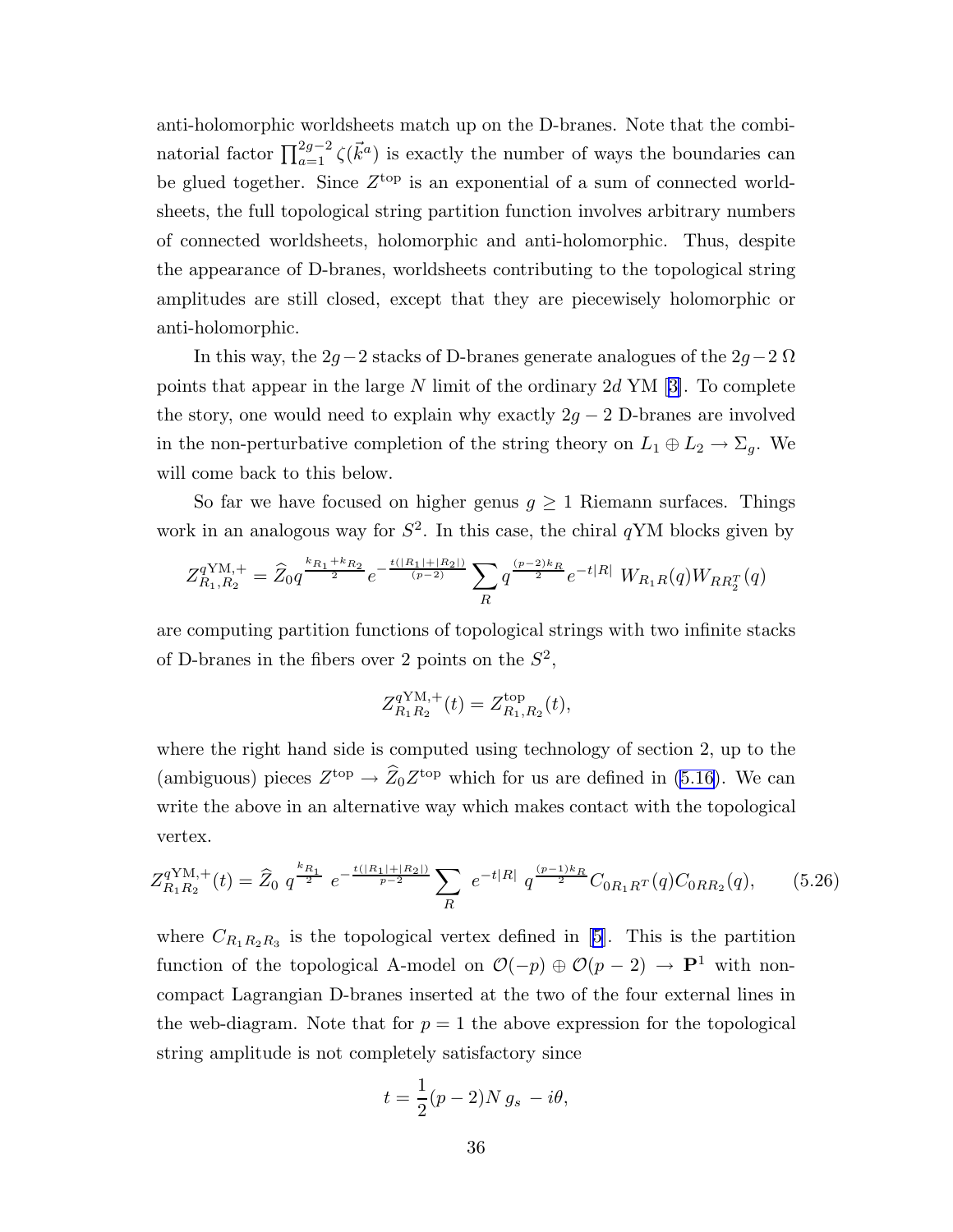anti-holomorphic worldsheets match up on the D-branes. Note that the combinatorial factor  $\prod_{a=1}^{2g-2} \zeta(\vec{k}^a)$  is exactly the number of ways the boundaries can be glued together. Since  $Z^{\text{top}}$  is an exponential of a sum of connected worldsheets, the full topological string partition function involves arbitrary numbers of connected worldsheets, holomorphic and anti-holomorphic. Thus, despite the appearance of D-branes, worldsheets contributing to the topological string amplitudes are still closed, except that they are piecewisely holomorphic or anti-holomorphic.

In this way, the 2g−2 stacks of D-branes generate analogues of the  $2g-2\Omega$ pointsthat appear in the large N limit of the ordinary  $2d$  YM [[3\]](#page-55-0). To complete the story, one would need to explain why exactly  $2g - 2$  D-branes are involved in the non-perturbative completion of the string theory on  $L_1 \oplus L_2 \rightarrow \Sigma_g$ . We will come back to this below.

So far we have focused on higher genus  $g \geq 1$  Riemann surfaces. Things work in an analogous way for  $S^2$ . In this case, the chiral  $qYM$  blocks given by

$$
Z_{R_1,R_2}^{q{\rm YM},+}=\widehat{Z}_0 q^{\frac{k_{R_1}+k_{R_2}}{2}}e^{-\frac{t(|R_1|+|R_2|)}{(p-2)}}\sum_R q^{\frac{(p-2)k_R}{2}}e^{-t|R|}\ W_{R_1R}(q)W_{RR_2^T}(q)
$$

are computing partition functions of topological strings with two infinite stacks of D-branes in the fibers over 2 points on the  $S^2$ ,

$$
Z_{R_1R_2}^{q{\rm YM},+}(t) = Z_{R_1,R_2}^{\rm top}(t),
$$

where the right hand side is computed using technology of section 2, up to the (ambiguous) pieces  $Z^{\text{top}} \to \hat{Z}_0 Z^{\text{top}}$  which for us are defined in [\(5.16\)](#page-31-0). We can write the above in an alternative way which makes contact with the topological vertex.

$$
Z_{R_1R_2}^{q \text{YM},+}(t) = \widehat{Z}_0 \ q^{\frac{k_{R_1}}{2}} \ e^{-\frac{t(|R_1|+|R_2|)}{p-2}} \sum_R \ e^{-t|R|} \ q^{\frac{(p-1)k_R}{2}} C_{0R_1R^T}(q) C_{0RR_2}(q), \tag{5.26}
$$

where $C_{R_1R_2R_3}$  is the topological vertex defined in [[5](#page-55-0)]. This is the partition function of the topological A-model on  $\mathcal{O}(-p) \oplus \mathcal{O}(p-2) \rightarrow \mathbf{P}^1$  with noncompact Lagrangian D-branes inserted at the two of the four external lines in the web-diagram. Note that for  $p = 1$  the above expression for the topological string amplitude is not completely satisfactory since

$$
t = \frac{1}{2}(p-2)Ng_s - i\theta,
$$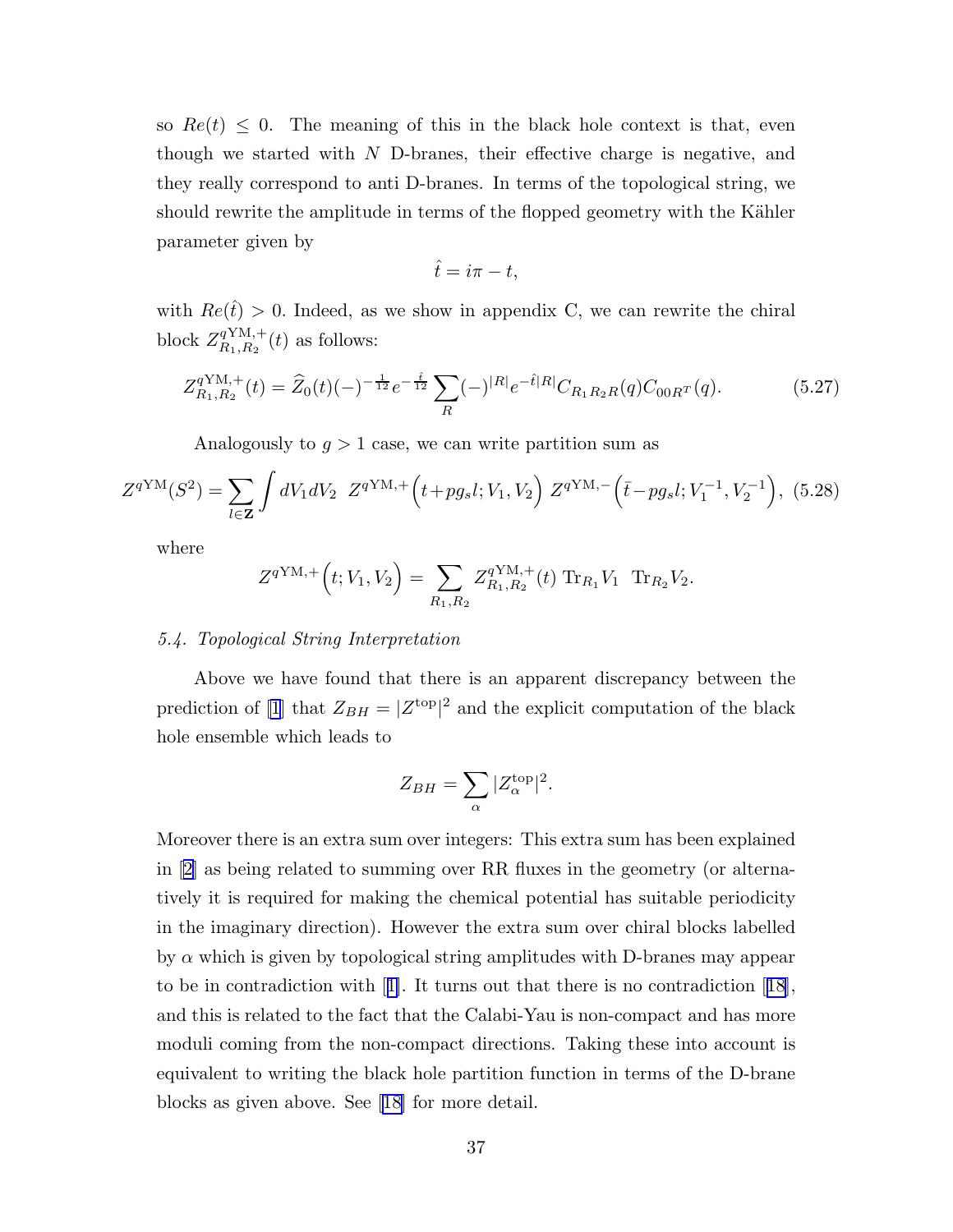so  $Re(t) \leq 0$ . The meaning of this in the black hole context is that, even though we started with  $N$  D-branes, their effective charge is negative, and they really correspond to anti D-branes. In terms of the topological string, we should rewrite the amplitude in terms of the flopped geometry with the Kähler parameter given by

$$
\hat{t}=i\pi-t,
$$

with  $Re(\hat{t}) > 0$ . Indeed, as we show in appendix C, we can rewrite the chiral block  $Z_{R_1,R_2}^{q \text{YM},+}$  $R_1, R_2(t)$  as follows:

$$
Z_{R_1,R_2}^{q \text{YM},+}(t) = \hat{Z}_0(t)(-)^{-\frac{1}{12}} e^{-\frac{\hat{t}}{12}} \sum_R (-)^{|R|} e^{-\hat{t}|R|} C_{R_1R_2R}(q) C_{00R}r(q). \tag{5.27}
$$

Analogously to  $q > 1$  case, we can write partition sum as

$$
Z^{q \text{YM}}(S^2) = \sum_{l \in \mathbf{Z}} \int dV_1 dV_2 \ Z^{q \text{YM},+} \left( t + pg_s l; V_1, V_2 \right) Z^{q \text{YM},-} \left( \bar{t} - pg_s l; V_1^{-1}, V_2^{-1} \right), \tag{5.28}
$$

where

$$
Z^{q{\rm YM},+}\Bigl(t;V_1,V_2\Bigr)=\sum_{R_1,R_2}Z^{q{\rm YM},+}_{R_1,R_2}(t)\;{\rm Tr}_{R_1}V_1\;{\rm Tr}_{R_2}V_2.
$$

#### 5.4. Topological String Interpretation

Above we have found that there is an apparent discrepancy between the prediction of [\[1](#page-55-0)] that  $Z_{BH} = |Z^{\text{top}}|^2$  and the explicit computation of the black hole ensemble which leads to

$$
Z_{BH} = \sum_{\alpha} |Z_{\alpha}^{\text{top}}|^{2}.
$$

Moreover there is an extra sum over integers: This extra sum has been explained in[[2\]](#page-55-0) as being related to summing over RR fluxes in the geometry (or alternatively it is required for making the chemical potential has suitable periodicity in the imaginary direction). However the extra sum over chiral blocks labelled by  $\alpha$  which is given by topological string amplitudes with D-branes may appear to be in contradiction with[[1\]](#page-55-0). It turns out that there is no contradiction[[18\]](#page-56-0), and this is related to the fact that the Calabi-Yau is non-compact and has more moduli coming from the non-compact directions. Taking these into account is equivalent to writing the black hole partition function in terms of the D-brane blocks as given above. See[[18](#page-56-0)] for more detail.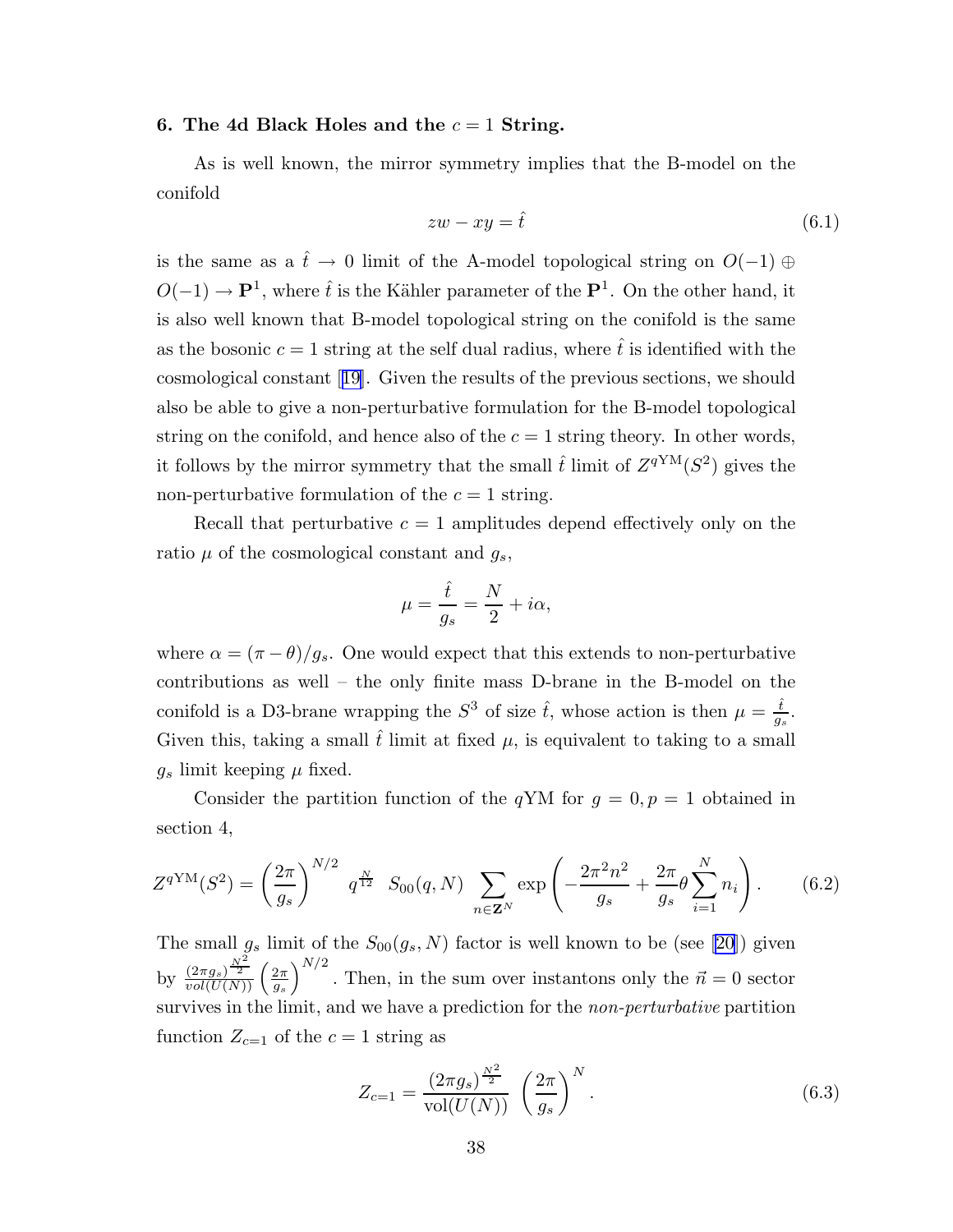#### <span id="page-38-0"></span>6. The 4d Black Holes and the  $c = 1$  String.

As is well known, the mirror symmetry implies that the B-model on the conifold

$$
zw - xy = \hat{t} \tag{6.1}
$$

is the same as a  $\hat{t} \to 0$  limit of the A-model topological string on  $O(-1) \oplus$  $O(-1) \rightarrow P^1$ , where  $\hat{t}$  is the Kähler parameter of the  $P^1$ . On the other hand, it is also well known that B-model topological string on the conifold is the same as the bosonic  $c = 1$  string at the self dual radius, where the is identified with the cosmological constant[[19\]](#page-56-0). Given the results of the previous sections, we should also be able to give a non-perturbative formulation for the B-model topological string on the conifold, and hence also of the  $c = 1$  string theory. In other words, it follows by the mirror symmetry that the small  $\hat{t}$  limit of  $Z^{q \text{YM}}(S^2)$  gives the non-perturbative formulation of the  $c = 1$  string.

Recall that perturbative  $c = 1$  amplitudes depend effectively only on the ratio  $\mu$  of the cosmological constant and  $g_s$ ,

$$
\mu = \frac{\hat{t}}{g_s} = \frac{N}{2} + i\alpha,
$$

where  $\alpha = (\pi - \theta)/g_s$ . One would expect that this extends to non-perturbative contributions as well – the only finite mass D-brane in the B-model on the conifold is a D3-brane wrapping the  $S^3$  of size  $\hat{t}$ , whose action is then  $\mu = \frac{\hat{t}}{g}$  $\frac{t}{g_s}$  . Given this, taking a small  $\hat{t}$  limit at fixed  $\mu$ , is equivalent to taking to a small  $g_s$  limit keeping  $\mu$  fixed.

Consider the partition function of the qYM for  $q = 0, p = 1$  obtained in section 4,

$$
Z^{q \text{YM}}(S^2) = \left(\frac{2\pi}{g_s}\right)^{N/2} q^{\frac{N}{12}} S_{00}(q, N) \sum_{n \in \mathbf{Z}^N} \exp\left(-\frac{2\pi^2 n^2}{g_s} + \frac{2\pi}{g_s} \theta \sum_{i=1}^N n_i\right). \tag{6.2}
$$

The small  $g_s$  limit of the  $S_{00}(g_s, N)$  factor is well known to be (see [\[20](#page-56-0)]) given by  $\frac{(2\pi g_s)^{\frac{N^2}{2}}}{vol(U(N))} \left(\frac{2\pi g_s}{g_s}\right)$  $g_{s}$  $\int^{N/2}$ . Then, in the sum over instantons only the  $\vec{n} = 0$  sector survives in the limit, and we have a prediction for the *non-perturbative* partition function  $Z_{c=1}$  of the  $c=1$  string as

$$
Z_{c=1} = \frac{(2\pi g_s)^{\frac{N^2}{2}}}{\text{vol}(U(N))} \left(\frac{2\pi}{g_s}\right)^N.
$$
\n(6.3)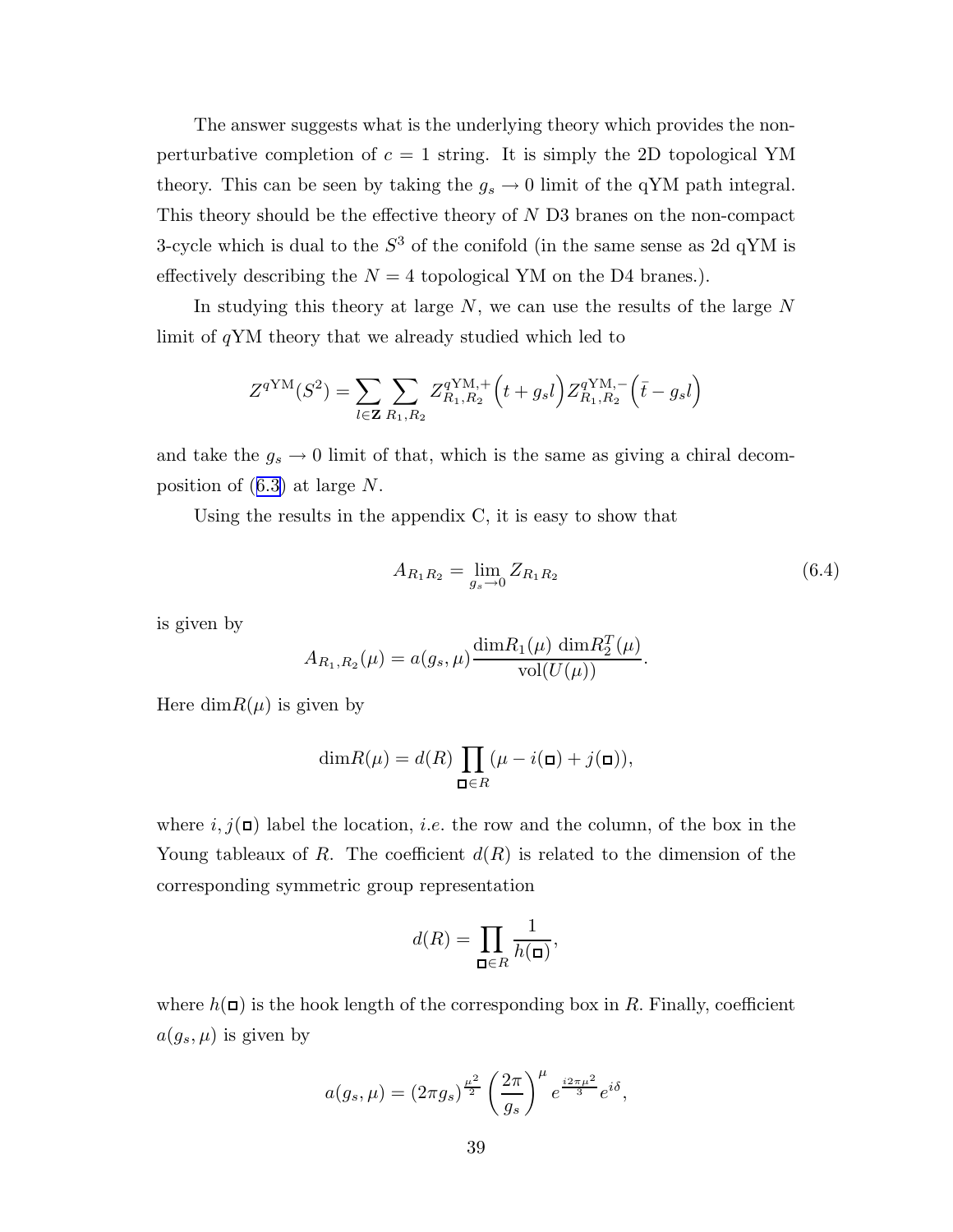The answer suggests what is the underlying theory which provides the nonperturbative completion of  $c = 1$  string. It is simply the 2D topological YM theory. This can be seen by taking the  $g_s \to 0$  limit of the qYM path integral. This theory should be the effective theory of  $N$  D3 branes on the non-compact 3-cycle which is dual to the  $S^3$  of the conifold (in the same sense as 2d qYM is effectively describing the  $N = 4$  topological YM on the D4 branes.).

In studying this theory at large  $N$ , we can use the results of the large  $N$ limit of qYM theory that we already studied which led to

$$
Z^{q{\rm YM}}(S^2) = \sum_{l \in \mathbf{Z}} \sum_{R_1, R_2} Z^{q{\rm YM},+}_{R_1, R_2} (t + g_s l) Z^{q{\rm YM},-}_{R_1, R_2} (\bar{t} - g_s l)
$$

and take the  $g_s \to 0$  limit of that, which is the same as giving a chiral decomposition of([6.3\)](#page-38-0) at large N.

Using the results in the appendix C, it is easy to show that

$$
A_{R_1R_2} = \lim_{g_s \to 0} Z_{R_1R_2}
$$
\n(6.4)

is given by

$$
A_{R_1,R_2}(\mu) = a(g_s, \mu) \frac{\dim R_1(\mu) \dim R_2^T(\mu)}{\text{vol}(U(\mu))}.
$$

Here  $\dim R(\mu)$  is given by

$$
\dim R(\mu) = d(R) \prod_{\Box \in R} (\mu - i(\Box) + j(\Box)),
$$

where  $i, j(\square)$  label the location, *i.e.* the row and the column, of the box in the Young tableaux of R. The coefficient  $d(R)$  is related to the dimension of the corresponding symmetric group representation

$$
d(R)=\prod_{\square\in R}\frac{1}{h(\square)},
$$

where  $h(\Box)$  is the hook length of the corresponding box in R. Finally, coefficient  $a(g_s, \mu)$  is given by

$$
a(g_s, \mu) = (2\pi g_s)^{\frac{\mu^2}{2}} \left(\frac{2\pi}{g_s}\right)^{\mu} e^{\frac{i2\pi\mu^2}{3}} e^{i\delta},
$$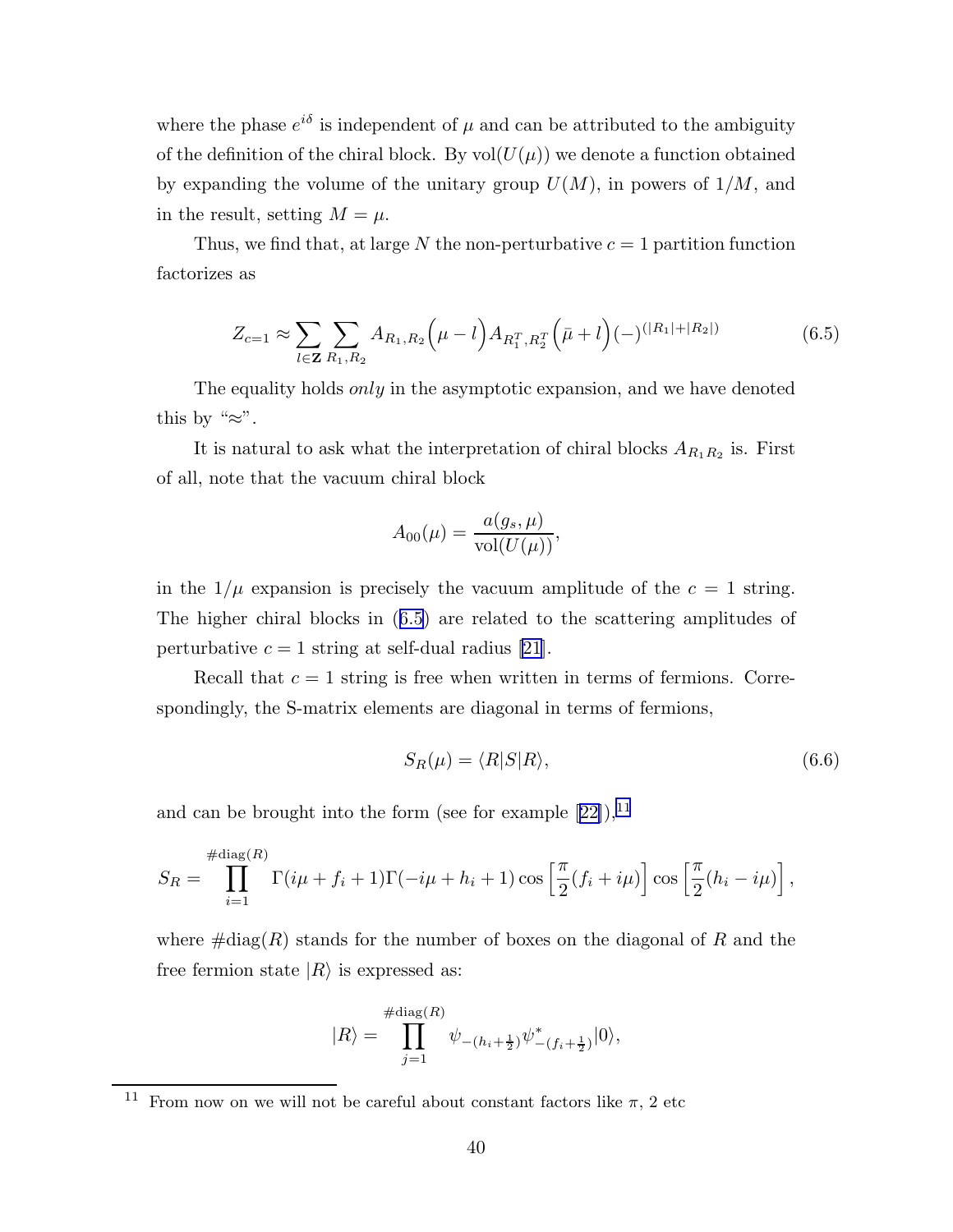<span id="page-40-0"></span>where the phase  $e^{i\delta}$  is independent of  $\mu$  and can be attributed to the ambiguity of the definition of the chiral block. By  $vol(U(\mu))$  we denote a function obtained by expanding the volume of the unitary group  $U(M)$ , in powers of  $1/M$ , and in the result, setting  $M = \mu$ .

Thus, we find that, at large N the non-perturbative  $c = 1$  partition function factorizes as

$$
Z_{c=1} \approx \sum_{l \in \mathbf{Z}} \sum_{R_1, R_2} A_{R_1, R_2} (\mu - l) A_{R_1^T, R_2^T} (\bar{\mu} + l) (-)^{(|R_1| + |R_2|)}
$$
(6.5)

The equality holds only in the asymptotic expansion, and we have denoted this by " $\approx$ ".

It is natural to ask what the interpretation of chiral blocks  $A_{R_1R_2}$  is. First of all, note that the vacuum chiral block

$$
A_{00}(\mu) = \frac{a(g_s, \mu)}{\text{vol}(U(\mu))},
$$

in the  $1/\mu$  expansion is precisely the vacuum amplitude of the  $c = 1$  string. The higher chiral blocks in (6.5) are related to the scattering amplitudes of perturbative $c = 1$  string at self-dual radius [[21](#page-56-0)].

Recall that  $c = 1$  string is free when written in terms of fermions. Correspondingly, the S-matrix elements are diagonal in terms of fermions,

$$
S_R(\mu) = \langle R|S|R\rangle,\tag{6.6}
$$

andcan be brought into the form (see for example  $[22]$  $[22]$ ),<sup>11</sup>

$$
S_R = \prod_{i=1}^{\#\text{diag}(R)} \Gamma(i\mu + f_i + 1)\Gamma(-i\mu + h_i + 1)\cos\left[\frac{\pi}{2}(f_i + i\mu)\right] \cos\left[\frac{\pi}{2}(h_i - i\mu)\right],
$$

where  $\#\text{diag}(R)$  stands for the number of boxes on the diagonal of R and the free fermion state  $|R\rangle$  is expressed as:

$$
|R\rangle = \prod_{j=1}^{\#\text{diag}(R)} \psi_{-(h_i + \frac{1}{2})} \psi_{-(f_i + \frac{1}{2})}^* |0\rangle,
$$

 $^{11}$  From now on we will not be careful about constant factors like  $\pi,$  2 etc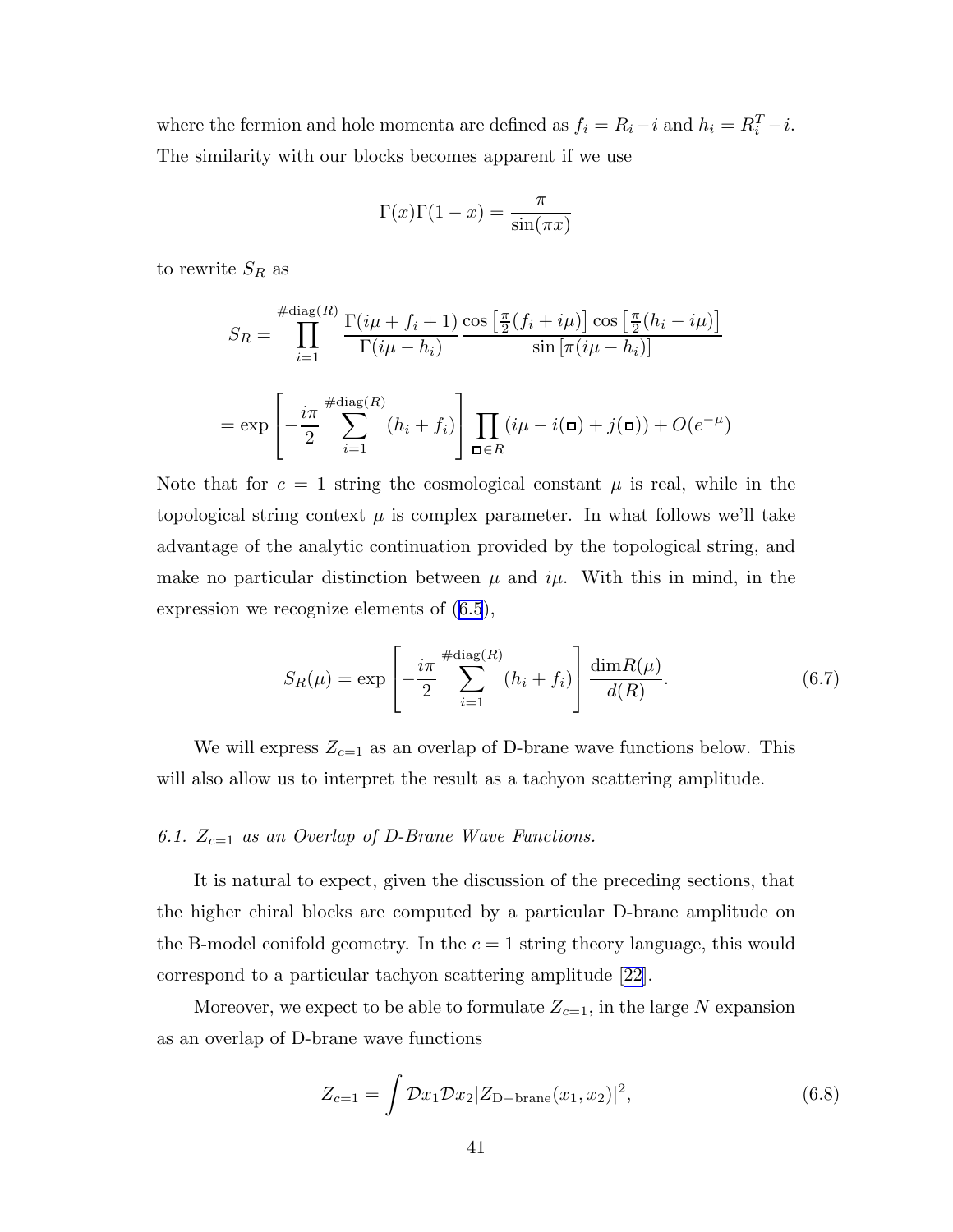<span id="page-41-0"></span>where the fermion and hole momenta are defined as  $f_i = R_i - i$  and  $h_i = R_i^T - i$ . The similarity with our blocks becomes apparent if we use

$$
\Gamma(x)\Gamma(1-x) = \frac{\pi}{\sin(\pi x)}
$$

to rewrite  $S_R$  as

$$
S_R = \prod_{i=1}^{\#\text{diag}(R)} \frac{\Gamma(i\mu + f_i + 1)}{\Gamma(i\mu - h_i)} \frac{\cos\left[\frac{\pi}{2}(f_i + i\mu)\right] \cos\left[\frac{\pi}{2}(h_i - i\mu)\right]}{\sin\left[\pi(i\mu - h_i)\right]}
$$

$$
= \exp\left[-\frac{i\pi}{2} \sum_{i=1}^{\#\text{diag}(R)} (h_i + f_i)\right] \prod_{\square \in R} (i\mu - i(\square) + j(\square)) + O(e^{-\mu})
$$

Note that for  $c = 1$  string the cosmological constant  $\mu$  is real, while in the topological string context  $\mu$  is complex parameter. In what follows we'll take advantage of the analytic continuation provided by the topological string, and make no particular distinction between  $\mu$  and  $i\mu$ . With this in mind, in the expression we recognize elements of([6.5](#page-40-0)),

$$
S_R(\mu) = \exp\left[-\frac{i\pi}{2} \sum_{i=1}^{\#\text{diag}(R)} (h_i + f_i)\right] \frac{\dim R(\mu)}{d(R)}.\tag{6.7}
$$

We will express  $Z_{c=1}$  as an overlap of D-brane wave functions below. This will also allow us to interpret the result as a tachyon scattering amplitude.

### 6.1.  $Z_{c=1}$  as an Overlap of D-Brane Wave Functions.

It is natural to expect, given the discussion of the preceding sections, that the higher chiral blocks are computed by a particular D-brane amplitude on the B-model conifold geometry. In the  $c = 1$  string theory language, this would correspond to a particular tachyon scattering amplitude[[22\]](#page-56-0).

Moreover, we expect to be able to formulate  $Z_{c=1}$ , in the large N expansion as an overlap of D-brane wave functions

$$
Z_{c=1} = \int \mathcal{D}x_1 \mathcal{D}x_2 |Z_{\text{D-brane}}(x_1, x_2)|^2,
$$
 (6.8)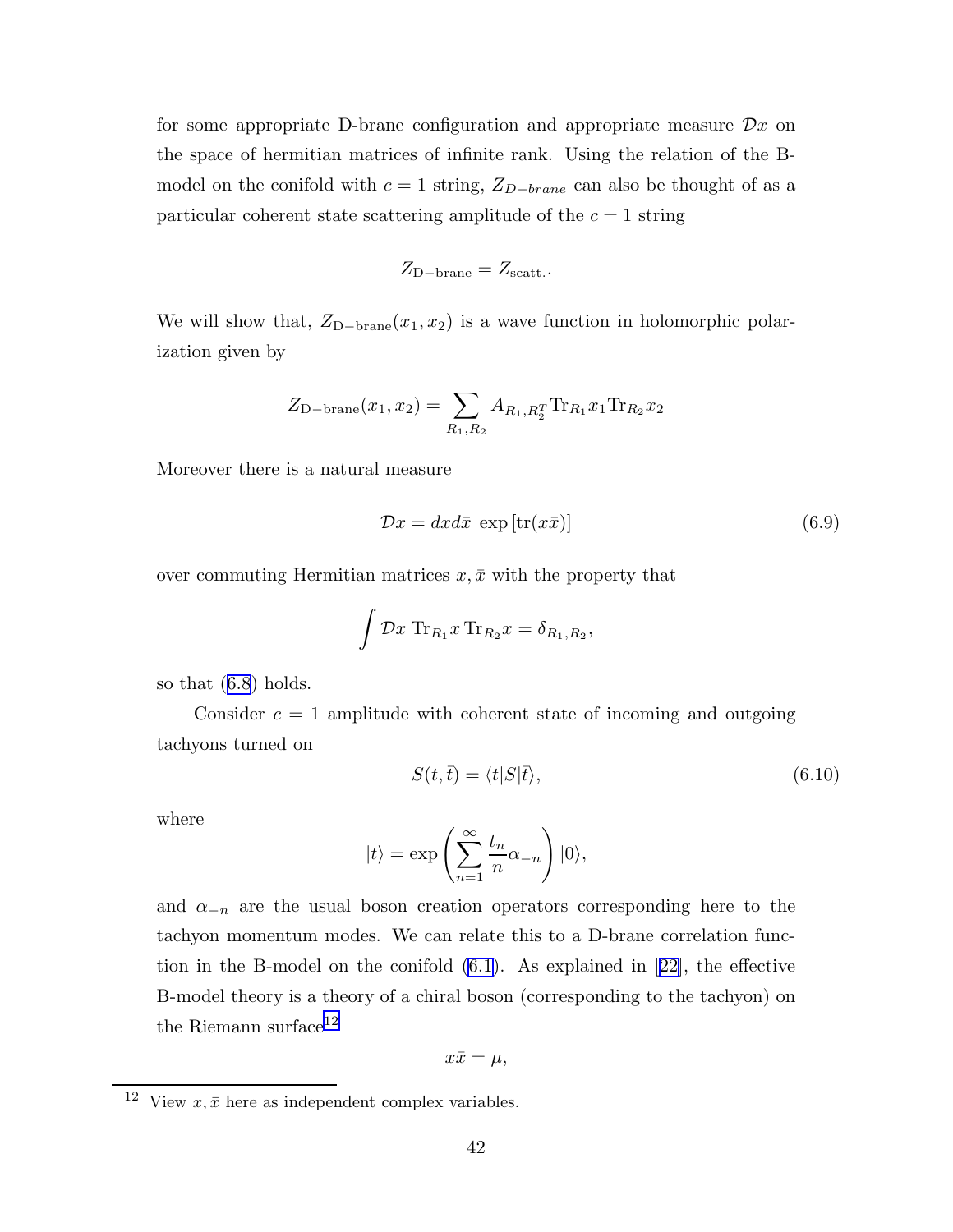<span id="page-42-0"></span>for some appropriate D-brane configuration and appropriate measure  $\mathcal{D}x$  on the space of hermitian matrices of infinite rank. Using the relation of the Bmodel on the conifold with  $c = 1$  string,  $Z_{D-brane}$  can also be thought of as a particular coherent state scattering amplitude of the  $c = 1$  string

$$
Z_{\text{D-brane}} = Z_{\text{scatt.}}.
$$

We will show that,  $Z_{D-brane}(x_1, x_2)$  is a wave function in holomorphic polarization given by

$$
Z_{\text{D-brane}}(x_1, x_2) = \sum_{R_1, R_2} A_{R_1, R_2^T} \text{Tr}_{R_1} x_1 \text{Tr}_{R_2} x_2
$$

Moreover there is a natural measure

$$
\mathcal{D}x = dx d\bar{x} \exp\left[\text{tr}(x\bar{x})\right] \tag{6.9}
$$

over commuting Hermitian matrices  $x, \bar{x}$  with the property that

$$
\int \mathcal{D}x \operatorname{Tr}_{R_1} x \operatorname{Tr}_{R_2} x = \delta_{R_1, R_2},
$$

so that([6.8](#page-41-0)) holds.

Consider  $c = 1$  amplitude with coherent state of incoming and outgoing tachyons turned on

$$
S(t,\bar{t}) = \langle t|S|\bar{t}\rangle, \tag{6.10}
$$

where

$$
|t\rangle = \exp\left(\sum_{n=1}^{\infty} \frac{t_n}{n} \alpha_{-n}\right) |0\rangle,
$$

and  $\alpha_{-n}$  are the usual boson creation operators corresponding here to the tachyon momentum modes. We can relate this to a D-brane correlation function in the B-model on the conifold [\(6.1\)](#page-38-0). As explained in[[22\]](#page-56-0), the effective B-model theory is a theory of a chiral boson (corresponding to the tachyon) on the Riemann surface  $^{12}$ 

$$
x\bar{x}=\mu,
$$

<sup>&</sup>lt;sup>12</sup> View  $x, \bar{x}$  here as independent complex variables.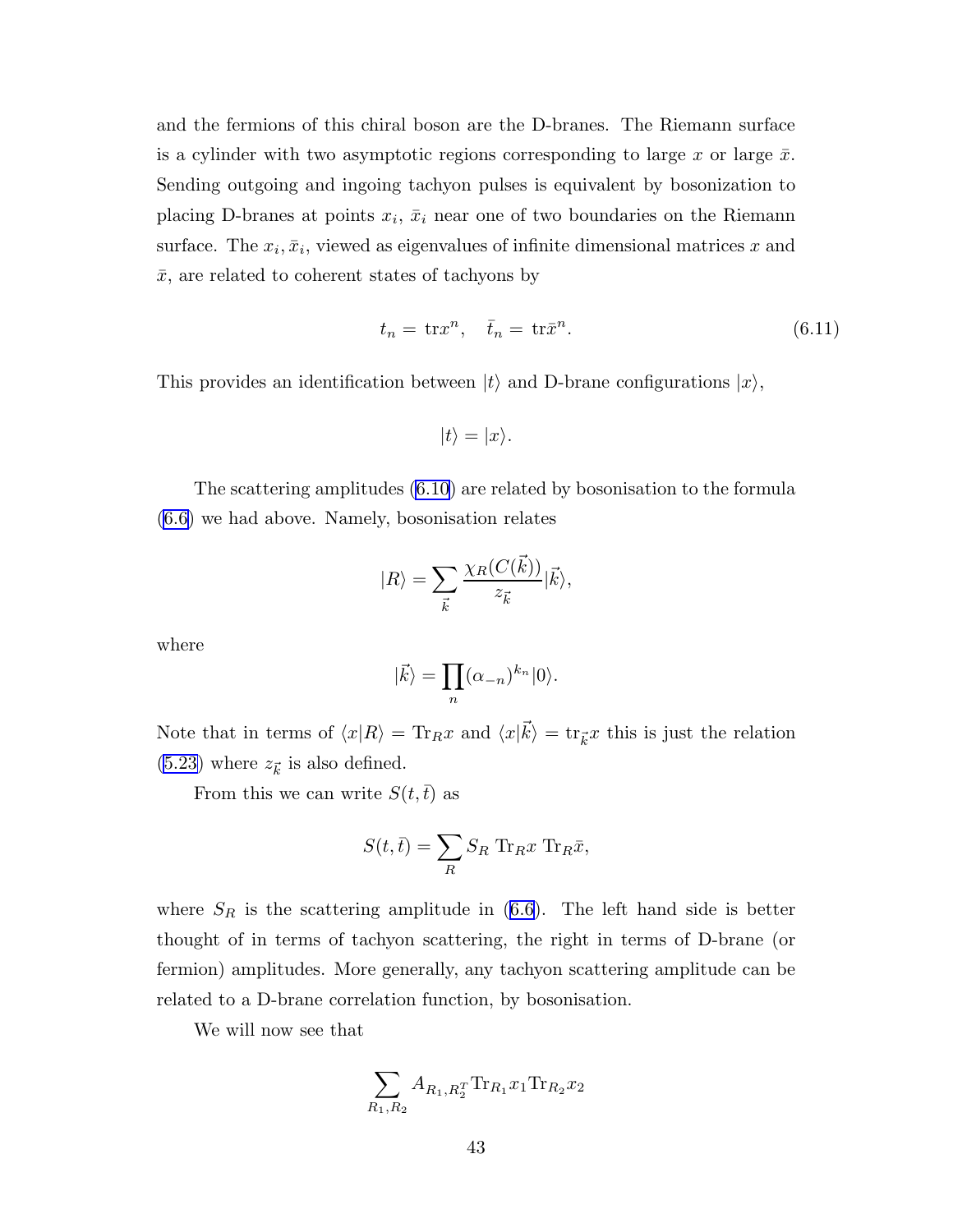<span id="page-43-0"></span>and the fermions of this chiral boson are the D-branes. The Riemann surface is a cylinder with two asymptotic regions corresponding to large x or large  $\bar{x}$ . Sending outgoing and ingoing tachyon pulses is equivalent by bosonization to placing D-branes at points  $x_i$ ,  $\bar{x}_i$  near one of two boundaries on the Riemann surface. The  $x_i, \bar{x}_i$ , viewed as eigenvalues of infinite dimensional matrices x and  $\bar{x}$ , are related to coherent states of tachyons by

$$
t_n = \text{tr}x^n, \quad \bar{t}_n = \text{tr}\bar{x}^n. \tag{6.11}
$$

This provides an identification between  $|t\rangle$  and D-brane configurations  $|x\rangle$ ,

$$
|t\rangle = |x\rangle.
$$

The scattering amplitudes [\(6.10\)](#page-42-0) are related by bosonisation to the formula [\(6.6\)](#page-40-0) we had above. Namely, bosonisation relates

$$
|R\rangle = \sum_{\vec{k}} \frac{\chi_R(C(\vec{k}))}{z_{\vec{k}}} |\vec{k}\rangle,
$$

where

$$
|\vec{k}\rangle = \prod_n (\alpha_{-n})^{k_n} |0\rangle.
$$

Note that in terms of  $\langle x|R\rangle = \text{Tr}_Rx$  and  $\langle x|\vec{k}\rangle = \text{tr}_{\vec{k}}x$  this is just the relation  $(5.23)$  where  $z_{\vec{k}}$  is also defined.

From this we can write  $S(t, \bar{t})$  as

$$
S(t,\bar{t}) = \sum_{R} S_R \operatorname{Tr}_{R} x \operatorname{Tr}_{R} \bar{x},
$$

where $S_R$  is the scattering amplitude in ([6.6](#page-40-0)). The left hand side is better thought of in terms of tachyon scattering, the right in terms of D-brane (or fermion) amplitudes. More generally, any tachyon scattering amplitude can be related to a D-brane correlation function, by bosonisation.

We will now see that

$$
\sum_{R_1, R_2} A_{R_1, R_2^T} \text{Tr}_{R_1} x_1 \text{Tr}_{R_2} x_2
$$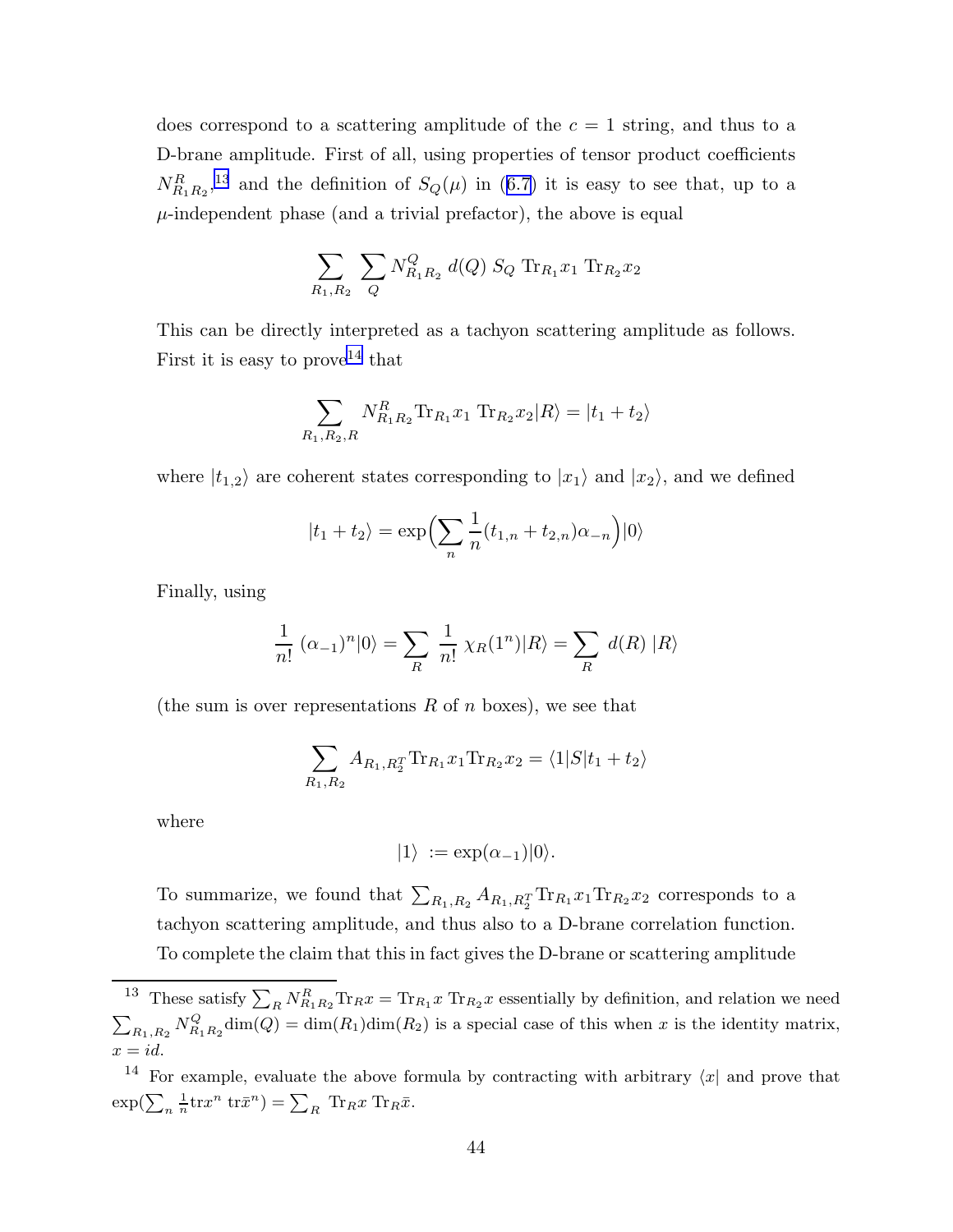does correspond to a scattering amplitude of the  $c = 1$  string, and thus to a D-brane amplitude. First of all, using properties of tensor product coefficients  $N_{R_1R_2}^R$ ,<sup>13</sup>and the definition of  $S_Q(\mu)$  in ([6.7\)](#page-41-0) it is easy to see that, up to a  $\mu$ -independent phase (and a trivial prefactor), the above is equal

$$
\sum_{R_1,R_2} \sum_{Q} N_{R_1R_2}^Q d(Q) S_Q \text{Tr}_{R_1} x_1 \text{Tr}_{R_2} x_2
$$

This can be directly interpreted as a tachyon scattering amplitude as follows. First it is easy to prove  $14$  that

$$
\sum_{R_1, R_2, R} N_{R_1 R_2}^R \text{Tr}_{R_1} x_1 \text{ Tr}_{R_2} x_2 |R\rangle = |t_1 + t_2\rangle
$$

where  $|t_{1,2}\rangle$  are coherent states corresponding to  $|x_1\rangle$  and  $|x_2\rangle$ , and we defined

$$
|t_1 + t_2\rangle = \exp\left(\sum_n \frac{1}{n}(t_{1,n} + t_{2,n})\alpha_{-n}\right)|0\rangle
$$

Finally, using

$$
\frac{1}{n!} (\alpha_{-1})^n |0\rangle = \sum_R \frac{1}{n!} \chi_R(1^n) |R\rangle = \sum_R d(R) |R\rangle
$$

(the sum is over representations R of n boxes), we see that

$$
\sum_{R_1, R_2} A_{R_1, R_2^T} \text{Tr}_{R_1} x_1 \text{Tr}_{R_2} x_2 = \langle 1 | S | t_1 + t_2 \rangle
$$

where

$$
|1\rangle := \exp(\alpha_{-1})|0\rangle.
$$

To summarize, we found that  $\sum_{R_1,R_2} A_{R_1,R_2}$   $\text{Tr}_{R_1} x_1 \text{Tr}_{R_2} x_2$  corresponds to a tachyon scattering amplitude, and thus also to a D-brane correlation function. To complete the claim that this in fact gives the D-brane or scattering amplitude

<sup>&</sup>lt;sup>13</sup> These satisfy  $\sum_R N_{R_1R_2}^R \text{Tr}_{R}x = \text{Tr}_{R_1}x \text{ Tr}_{R_2}x$  essentially by definition, and relation we need  $\sum_{R_1,R_2} N_R^Q$  $R_{1R_2}^Q \dim(Q) = \dim(R_1) \dim(R_2)$  is a special case of this when x is the identity matrix,  $x = id$ .

<sup>&</sup>lt;sup>14</sup> For example, evaluate the above formula by contracting with arbitrary  $\langle x|$  and prove that  $\exp(\sum_n$  $\frac{1}{n}$ tr $x^n$  tr $\bar{x}^n$ ) =  $\sum_R$  Tr<sub>R</sub>x Tr<sub>R</sub> $\bar{x}$ .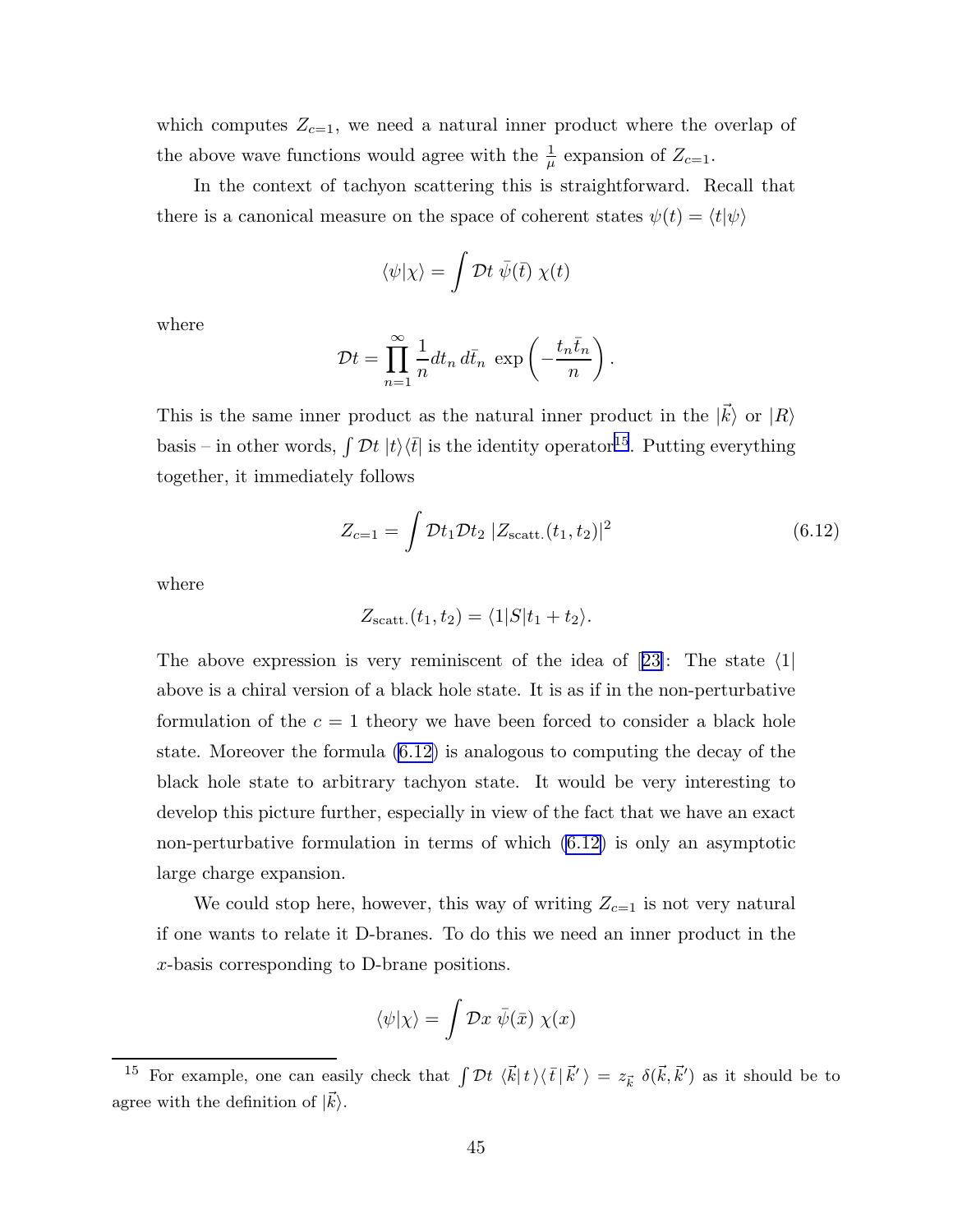which computes  $Z_{c=1}$ , we need a natural inner product where the overlap of the above wave functions would agree with the  $\frac{1}{\mu}$  expansion of  $Z_{c=1}$ .

In the context of tachyon scattering this is straightforward. Recall that there is a canonical measure on the space of coherent states  $\psi(t) = \langle t | \psi \rangle$ 

$$
\langle \psi | \chi \rangle = \int \mathcal{D}t \; \bar{\psi}(\bar{t}) \; \chi(t)
$$

where

$$
\mathcal{D}t = \prod_{n=1}^{\infty} \frac{1}{n} dt_n d\bar{t}_n \exp\left(-\frac{t_n \bar{t}_n}{n}\right).
$$

This is the same inner product as the natural inner product in the  $|\vec{k}\rangle$  or  $|R\rangle$ basis – in other words,  $\int \mathcal{D}t \, |t\rangle\langle \bar{t}|$  is the identity operator<sup>15</sup>. Putting everything together, it immediately follows

$$
Z_{c=1} = \int \mathcal{D}t_1 \mathcal{D}t_2 \, |Z_{\text{scatt.}}(t_1, t_2)|^2 \tag{6.12}
$$

where

$$
Z_{\text{scatt.}}(t_1, t_2) = \langle 1|S|t_1 + t_2 \rangle.
$$

Theabove expression is very reminiscent of the idea of [[23\]](#page-56-0): The state  $\langle 1|$ above is a chiral version of a black hole state. It is as if in the non-perturbative formulation of the  $c = 1$  theory we have been forced to consider a black hole state. Moreover the formula (6.12) is analogous to computing the decay of the black hole state to arbitrary tachyon state. It would be very interesting to develop this picture further, especially in view of the fact that we have an exact non-perturbative formulation in terms of which (6.12) is only an asymptotic large charge expansion.

We could stop here, however, this way of writing  $Z_{c=1}$  is not very natural if one wants to relate it D-branes. To do this we need an inner product in the x-basis corresponding to D-brane positions.

$$
\langle \psi | \chi \rangle = \int \mathcal{D}x \; \bar{\psi}(\bar{x}) \; \chi(x)
$$

<sup>&</sup>lt;sup>15</sup> For example, one can easily check that  $\int \mathcal{D}t \langle \vec{k} | t \rangle \langle \bar{t} | \vec{k}' \rangle = z_{\vec{k}} \delta(\vec{k}, \vec{k}')$  as it should be to agree with the definition of  $|\vec{k}\rangle$ .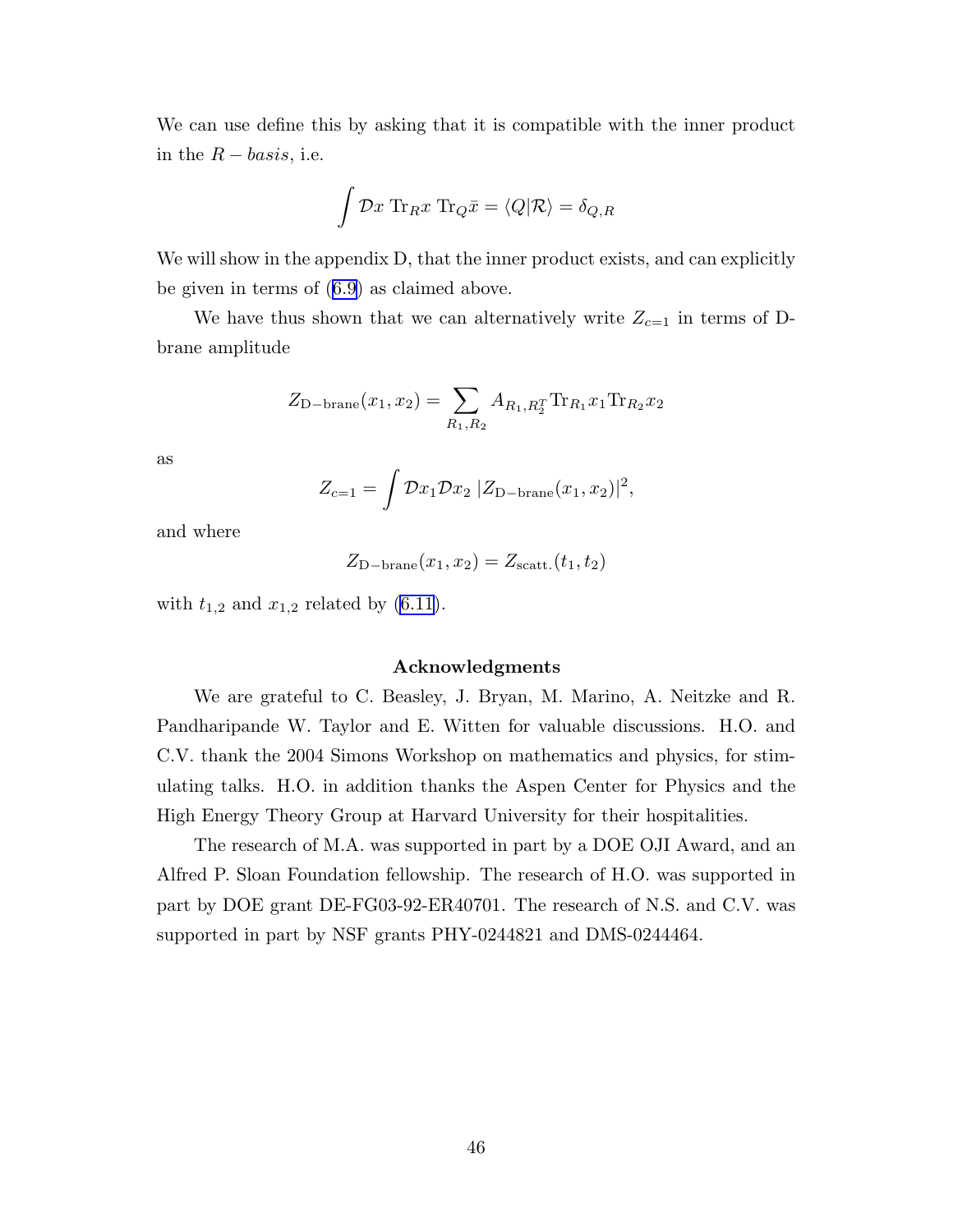We can use define this by asking that it is compatible with the inner product in the  $R - basis$ , i.e.

$$
\int \mathcal{D}x \ \mathrm{Tr}_R x \ \mathrm{Tr}_Q \bar{x} = \langle Q | \mathcal{R} \rangle = \delta_{Q,R}
$$

We will show in the appendix D, that the inner product exists, and can explicitly be given in terms of([6.9](#page-42-0)) as claimed above.

We have thus shown that we can alternatively write  $Z_{c=1}$  in terms of Dbrane amplitude

$$
Z_{\text{D-brane}}(x_1, x_2) = \sum_{R_1, R_2} A_{R_1, R_2^T} \text{Tr}_{R_1} x_1 \text{Tr}_{R_2} x_2
$$

as

$$
Z_{c=1} = \int \mathcal{D}x_1 \mathcal{D}x_2 |Z_{\text{D-brane}}(x_1, x_2)|^2,
$$

and where

$$
Z_{\text{D-brane}}(x_1, x_2) = Z_{\text{scatt.}}(t_1, t_2)
$$

with  $t_{1,2}$  and  $x_{1,2}$  related by [\(6.11\)](#page-43-0).

#### Acknowledgments

We are grateful to C. Beasley, J. Bryan, M. Marino, A. Neitzke and R. Pandharipande W. Taylor and E. Witten for valuable discussions. H.O. and C.V. thank the 2004 Simons Workshop on mathematics and physics, for stimulating talks. H.O. in addition thanks the Aspen Center for Physics and the High Energy Theory Group at Harvard University for their hospitalities.

The research of M.A. was supported in part by a DOE OJI Award, and an Alfred P. Sloan Foundation fellowship. The research of H.O. was supported in part by DOE grant DE-FG03-92-ER40701. The research of N.S. and C.V. was supported in part by NSF grants PHY-0244821 and DMS-0244464.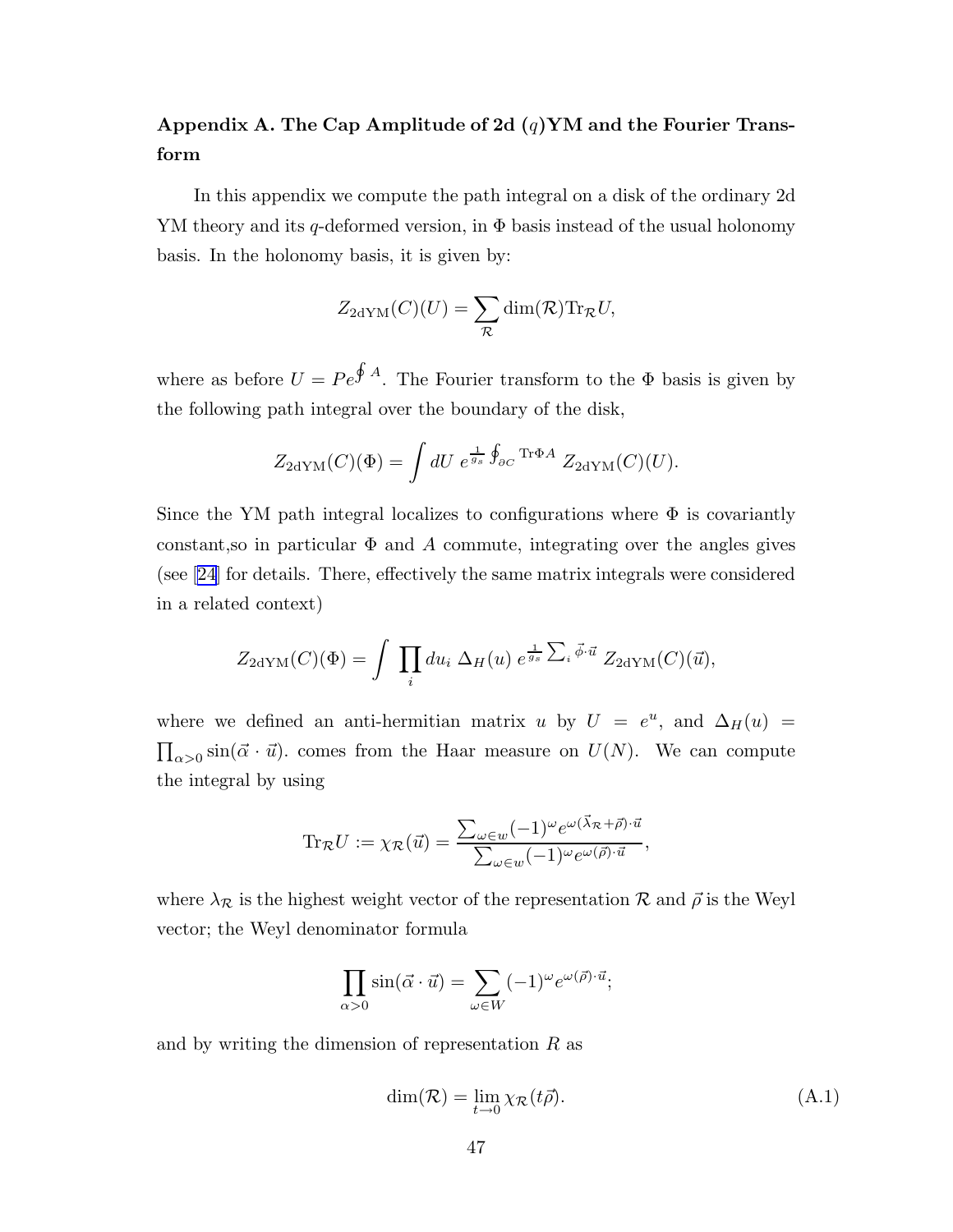# <span id="page-47-0"></span>Appendix A. The Cap Amplitude of 2d  $(q)$ YM and the Fourier Transform

In this appendix we compute the path integral on a disk of the ordinary 2d YM theory and its q-deformed version, in  $\Phi$  basis instead of the usual holonomy basis. In the holonomy basis, it is given by:

$$
Z_{2\text{dYM}}(C)(U) = \sum_{\mathcal{R}} \dim(\mathcal{R}) \text{Tr}_{\mathcal{R}} U,
$$

where as before  $U = Pe^{\oint A}$ . The Fourier transform to the  $\Phi$  basis is given by the following path integral over the boundary of the disk,

$$
Z_{2d{\rm YM}}(C)(\Phi) = \int dU \; e^{\frac{1}{g_s} \oint_{\partial C} {\rm Tr} \Phi A} \; Z_{2d{\rm YM}}(C)(U).
$$

Since the YM path integral localizes to configurations where  $\Phi$  is covariantly constant, so in particular  $\Phi$  and A commute, integrating over the angles gives (see[[24\]](#page-56-0) for details. There, effectively the same matrix integrals were considered in a related context)

$$
Z_{2d{\rm YM}}(C)(\Phi) = \int \prod_i du_i \; \Delta_H(u) \; e^{\frac{1}{g_s} \sum_i \vec{\phi} \cdot \vec{u}} \; Z_{2d{\rm YM}}(C)(\vec{u}),
$$

where we defined an anti-hermitian matrix u by  $U = e^u$ , and  $\Delta_H(u)$  $\prod_{\alpha>0} \sin(\vec{\alpha} \cdot \vec{u})$  comes from the Haar measure on  $U(N)$ . We can compute the integral by using

$$
\text{Tr}_{\mathcal{R}}U := \chi_{\mathcal{R}}(\vec{u}) = \frac{\sum_{\omega \in w} (-1)^{\omega} e^{\omega(\vec{\lambda}_{\mathcal{R}} + \vec{\rho}) \cdot \vec{u}}}{\sum_{\omega \in w} (-1)^{\omega} e^{\omega(\vec{\rho}) \cdot \vec{u}}},
$$

where  $\lambda_{\mathcal{R}}$  is the highest weight vector of the representation  $\mathcal{R}$  and  $\vec{\rho}$  is the Weyl vector; the Weyl denominator formula

$$
\prod_{\alpha>0}\sin(\vec{\alpha}\cdot\vec{u})=\sum_{\omega\in W}(-1)^{\omega}e^{\omega(\vec{\rho})\cdot\vec{u}};
$$

and by writing the dimension of representation  $R$  as

$$
\dim(\mathcal{R}) = \lim_{t \to 0} \chi_{\mathcal{R}}(t\vec{\rho}). \tag{A.1}
$$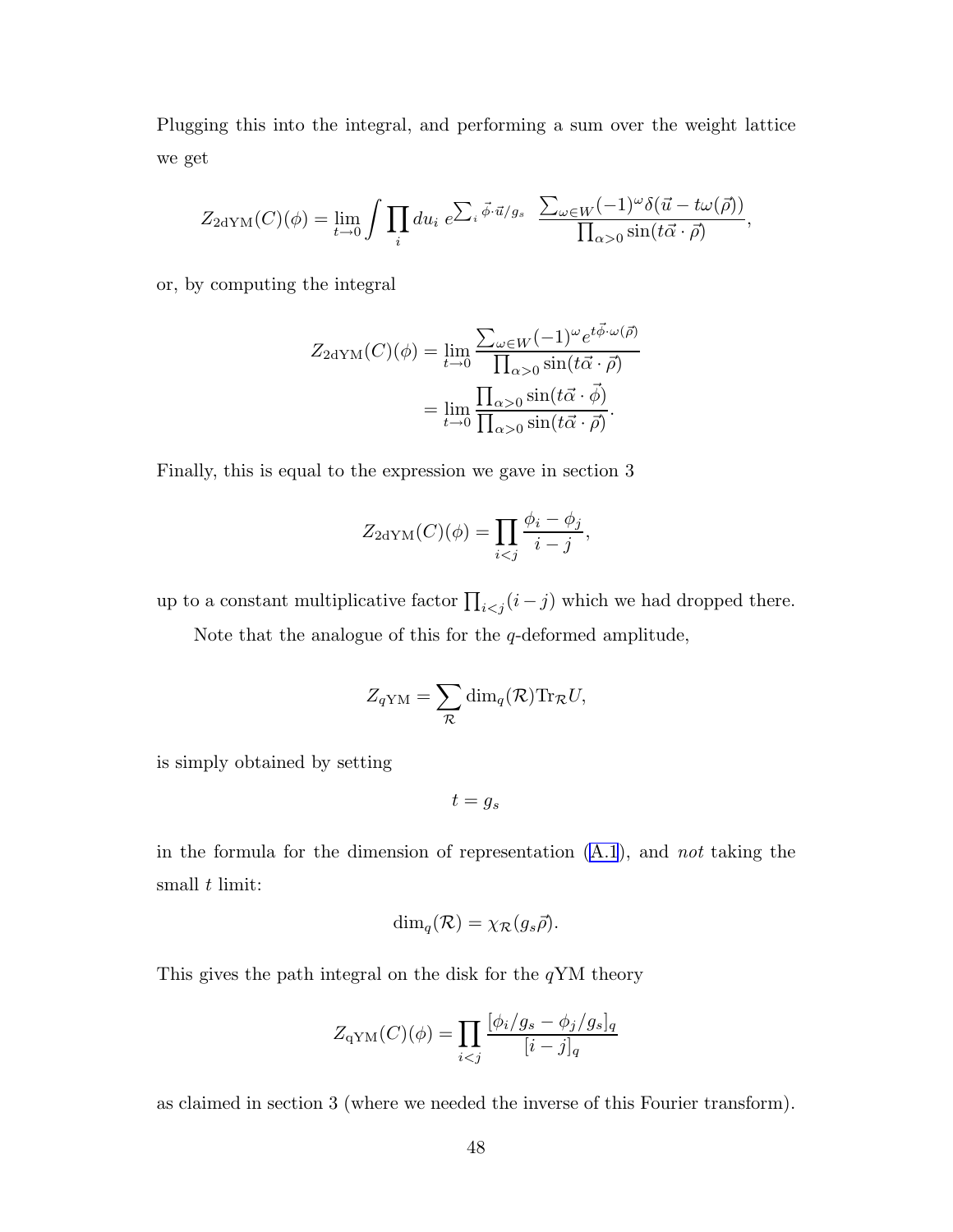Plugging this into the integral, and performing a sum over the weight lattice we get

$$
Z_{2d{\rm YM}}(C)(\phi) = \lim_{t \to 0} \int \prod_i du_i \ e^{\sum_i \vec{\phi} \cdot \vec{u}/g_s} \ \frac{\sum_{\omega \in W} (-1)^{\omega} \delta(\vec{u} - t\omega(\vec{\rho}))}{\prod_{\alpha > 0} \sin(t\vec{\alpha} \cdot \vec{\rho})},
$$

or, by computing the integral

$$
Z_{2d \text{YM}}(C)(\phi) = \lim_{t \to 0} \frac{\sum_{\omega \in W} (-1)^{\omega} e^{t \vec{\phi} \cdot \omega(\vec{\rho})}}{\prod_{\alpha > 0} \sin(t \vec{\alpha} \cdot \vec{\rho})}
$$

$$
= \lim_{t \to 0} \frac{\prod_{\alpha > 0} \sin(t \vec{\alpha} \cdot \vec{\phi})}{\prod_{\alpha > 0} \sin(t \vec{\alpha} \cdot \vec{\rho})}.
$$

Finally, this is equal to the expression we gave in section 3

$$
Z_{2d{\rm YM}}(C)(\phi) = \prod_{i < j} \frac{\phi_i - \phi_j}{i - j},
$$

up to a constant multiplicative factor  $\prod_{i < j} (i - j)$  which we had dropped there.

Note that the analogue of this for the  $q$ -deformed amplitude,

$$
Z_{q{\rm YM}} = \sum_{\mathcal{R}} \dim_q(\mathcal{R}) \text{Tr}_{\mathcal{R}} U,
$$

is simply obtained by setting

$$
t=g_s
$$

in the formula for the dimension of representation  $(A.1)$ , and not taking the small  $t$  limit:

$$
\dim_q(\mathcal{R}) = \chi_{\mathcal{R}}(g_s \vec{\rho}).
$$

This gives the path integral on the disk for the  $qYM$  theory

$$
Z_{\rm qYM}(C)(\phi) = \prod_{i < j} \frac{[\phi_i/g_s - \phi_j/g_s]_q}{[i-j]_q}
$$

as claimed in section 3 (where we needed the inverse of this Fourier transform).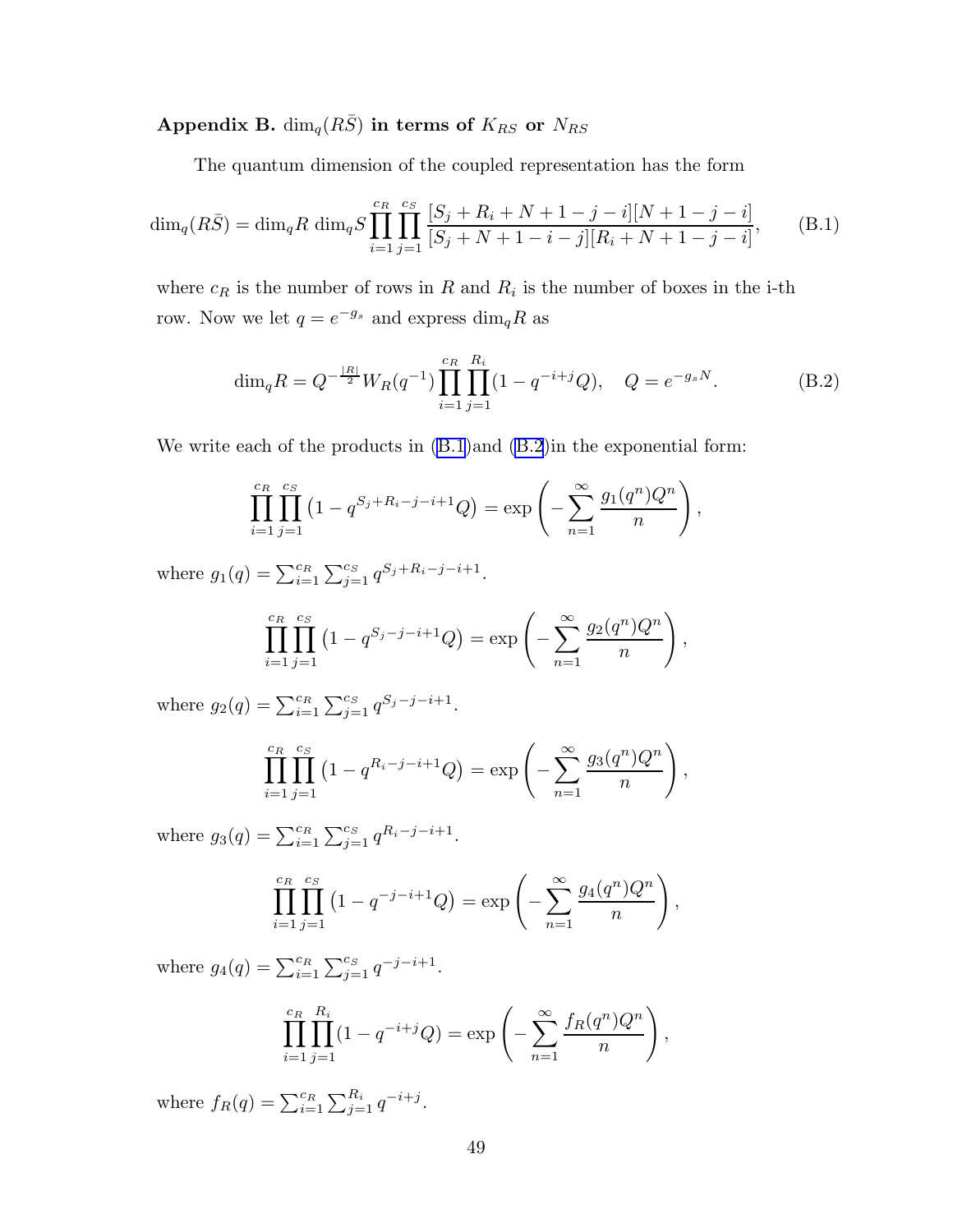# Appendix B.  $\dim_q(R\bar{S})$  in terms of  $K_{RS}$  or  $N_{RS}$

The quantum dimension of the coupled representation has the form

$$
\dim_q(R\bar{S}) = \dim_q R \dim_q S \prod_{i=1}^{c_R} \prod_{j=1}^{c_S} \frac{[S_j + R_i + N + 1 - j - i][N + 1 - j - i]}{[S_j + N + 1 - i - j][R_i + N + 1 - j - i]},
$$
(B.1)

where  $c_R$  is the number of rows in R and  $R_i$  is the number of boxes in the i-th row. Now we let  $q = e^{-g_s}$  and express  $\dim_q R$  as

$$
\dim_q R = Q^{-\frac{|R|}{2}} W_R(q^{-1}) \prod_{i=1}^{c_R} \prod_{j=1}^{R_i} (1 - q^{-i+j} Q), \quad Q = e^{-g_s N}.
$$
 (B.2)

 $\sum^{\infty}$ 

 $g_3(q^n)Q^n$ n

! ,

 $n=1$ 

We write each of the products in  $(B.1)$  and  $(B.2)$  in the exponential form:

$$
\prod_{i=1}^{c_R} \prod_{j=1}^{c_S} (1 - q^{S_j + R_i - j - i + 1} Q) = \exp \left( - \sum_{n=1}^{\infty} \frac{g_1(q^n) Q^n}{n} \right),
$$

where  $g_1(q) = \sum_{i=1}^{c_R} \sum_{j=1}^{c_S} q^{S_j + R_i - j - i + 1}$ .

$$
\prod_{i=1}^{c_R} \prod_{j=1}^{c_S} (1 - q^{S_j - j - i + 1} Q) = \exp \left( - \sum_{n=1}^{\infty} \frac{g_2(q^n) Q^n}{n} \right),
$$

where  $g_2(q) = \sum_{i=1}^{c_R} \sum_{j=1}^{c_S} q^{S_j - j - i + 1}$ .  $\frac{c_R}{\prod}$  $\frac{i=1}{i}$  $\frac{c_S}{\prod}$  $j=1$  $(1 - q^{R_i - j - i + 1}Q) = \exp\left(-\frac{1}{2}\right)$ 

where  $g_3(q) = \sum_{i=1}^{c_R} \sum_{j=1}^{c_S} q^{R_i - j - i + 1}$ .

$$
\prod_{i=1}^{c_R} \prod_{j=1}^{c_S} (1 - q^{-j-i+1} Q) = \exp \left(-\sum_{n=1}^{\infty} \frac{g_4(q^n) Q^n}{n}\right),
$$

where  $g_4(q) = \sum_{i=1}^{c_R} \sum_{j=1}^{c_S} q^{-j-i+1}$ .

$$
\prod_{i=1}^{c_R} \prod_{j=1}^{R_i} (1 - q^{-i+j}Q) = \exp\left(-\sum_{n=1}^{\infty} \frac{f_R(q^n)Q^n}{n}\right),
$$

where  $f_R(q) = \sum_{i=1}^{c_R} \sum_{j=1}^{R_i} q^{-i+j}$ .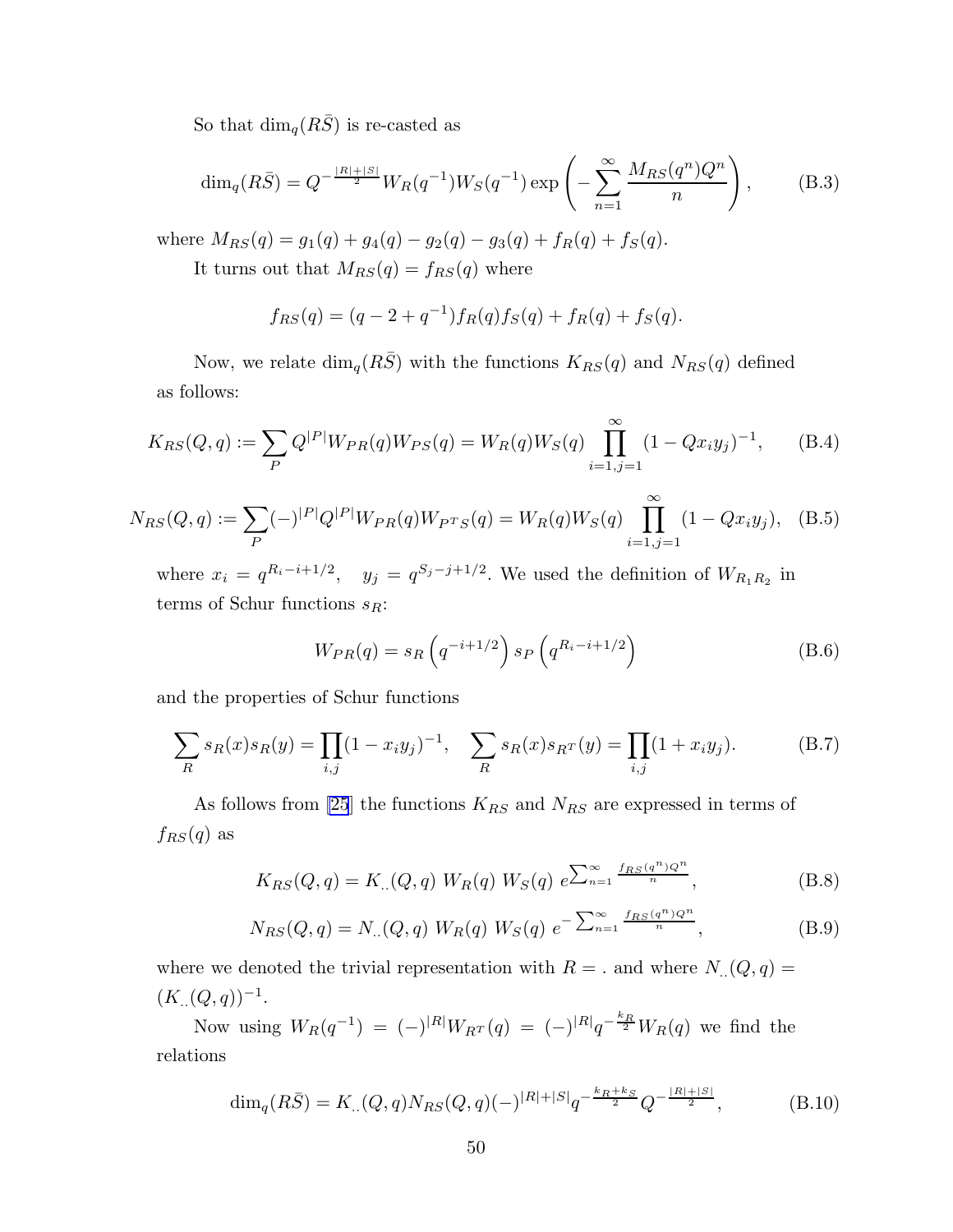So that  $\dim_q(R\bar{S})$  is re-casted as

$$
\dim_q(R\bar{S}) = Q^{-\frac{|R|+|S|}{2}} W_R(q^{-1}) W_S(q^{-1}) \exp\left(-\sum_{n=1}^{\infty} \frac{M_{RS}(q^n)Q^n}{n}\right),\tag{B.3}
$$

where  $M_{RS}(q) = g_1(q) + g_4(q) - g_2(q) - g_3(q) + f_R(q) + f_S(q)$ .

It turns out that  $M_{RS}(q) = f_{RS}(q)$  where

$$
f_{RS}(q) = (q - 2 + q^{-1})f_R(q)f_S(q) + f_R(q) + f_S(q).
$$

Now, we relate  $\dim_q(R\bar{S})$  with the functions  $K_{RS}(q)$  and  $N_{RS}(q)$  defined as follows:

$$
K_{RS}(Q,q) := \sum_{P} Q^{|P|} W_{PR}(q) W_{PS}(q) = W_{R}(q) W_{S}(q) \prod_{i=1, j=1}^{\infty} (1 - Q x_i y_j)^{-1}, \qquad (B.4)
$$

$$
N_{RS}(Q,q) := \sum_{P} (-)^{|P|} Q^{|P|} W_{PR}(q) W_{P^TS}(q) = W_R(q) W_S(q) \prod_{i=1,j=1}^{\infty} (1 - Q x_i y_j), \quad (B.5)
$$

where  $x_i = q^{R_i - i + 1/2}$ ,  $y_j = q^{S_j - j + 1/2}$ . We used the definition of  $W_{R_1 R_2}$  in terms of Schur functions  $s_R$ :

$$
W_{PR}(q) = s_R \left( q^{-i+1/2} \right) s_P \left( q^{R_i - i + 1/2} \right) \tag{B.6}
$$

and the properties of Schur functions

$$
\sum_{R} s_{R}(x) s_{R}(y) = \prod_{i,j} (1 - x_{i} y_{j})^{-1}, \quad \sum_{R} s_{R}(x) s_{R}(y) = \prod_{i,j} (1 + x_{i} y_{j}).
$$
 (B.7)

As follows from [\[25](#page-56-0)] the functions  $K_{RS}$  and  $N_{RS}$  are expressed in terms of  $f_{RS}(q)$  as

$$
K_{RS}(Q,q) = K_{..}(Q,q) \ W_R(q) \ W_S(q) \ e^{\sum_{n=1}^{\infty} \frac{f_{RS}(q^n)Q^n}{n}}, \tag{B.8}
$$

$$
N_{RS}(Q,q) = N_{..}(Q,q) W_R(q) W_S(q) e^{-\sum_{n=1}^{\infty} \frac{f_{RS}(q^n)Q^n}{n}},
$$
(B.9)

where we denoted the trivial representation with  $R =$ . and where  $N_{\ldots}(Q, q) =$  $(K_-(Q,q))^{-1}.$ 

Now using  $W_R(q^{-1}) = (-)^{|R|} W_{R^T}(q) = (-)^{|R|} q^{-\frac{k_R}{2}} W_R(q)$  we find the relations

$$
\dim_q(R\bar{S}) = K_{..}(Q,q)N_{RS}(Q,q)(-)^{|R|+|S|}q^{-\frac{k_R+k_S}{2}}Q^{-\frac{|R|+|S|}{2}}, \tag{B.10}
$$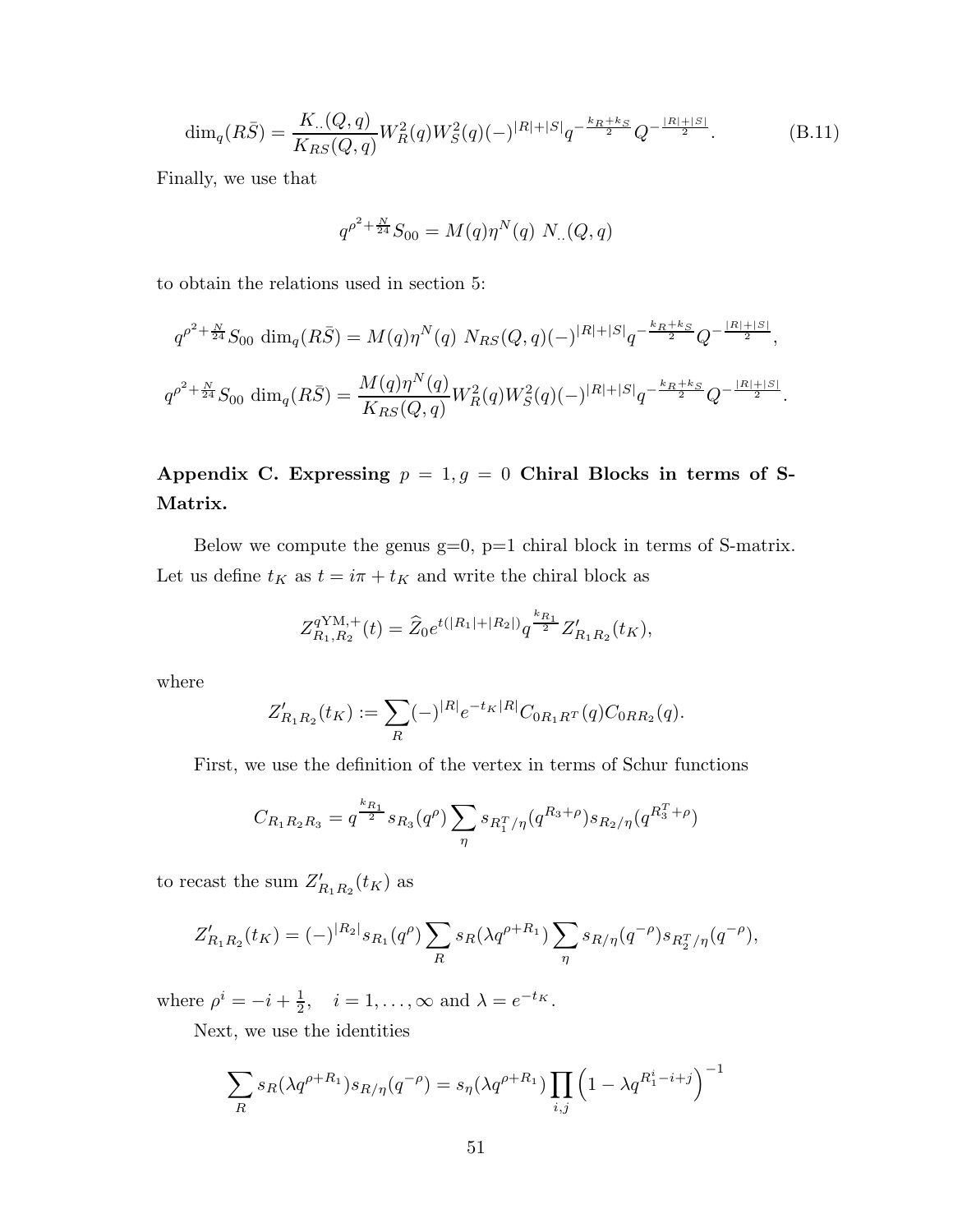$$
\dim_q(R\bar{S}) = \frac{K_{..}(Q,q)}{K_{RS}(Q,q)} W_R^2(q) W_S^2(q) (-)^{|R|+|S|} q^{-\frac{k_R+k_S}{2}} Q^{-\frac{|R|+|S|}{2}}.
$$
\n(B.11)

Finally, we use that

$$
q^{\rho^2 + \frac{N}{24}} S_{00} = M(q) \eta^N(q) N_{..}(Q, q)
$$

to obtain the relations used in section 5:

$$
q^{\rho^2 + \frac{N}{24}} S_{00} \dim_q(R\bar{S}) = M(q)\eta^N(q) N_{RS}(Q,q)(-)^{|R|+|S|} q^{-\frac{k_R+k_S}{2}} Q^{-\frac{|R|+|S|}{2}},
$$
  

$$
q^{\rho^2 + \frac{N}{24}} S_{00} \dim_q(R\bar{S}) = \frac{M(q)\eta^N(q)}{K_{RS}(Q,q)} W_R^2(q) W_S^2(q)(-)^{|R|+|S|} q^{-\frac{k_R+k_S}{2}} Q^{-\frac{|R|+|S|}{2}}.
$$

# Appendix C. Expressing  $p = 1, g = 0$  Chiral Blocks in terms of S-Matrix.

Below we compute the genus  $g=0$ ,  $p=1$  chiral block in terms of S-matrix. Let us define  $t_K$  as  $t = i \pi + t_K$  and write the chiral block as

$$
Z_{R_1,R_2}^{q \text{YM},+}(t) = \widehat{Z}_0 e^{t(|R_1|+|R_2|)} q^{\frac{k_{R_1}}{2}} Z'_{R_1R_2}(t_K),
$$

where

$$
Z'_{R_1R_2}(t_K):=\sum_R (-)^{|R|} e^{-t_K|R|} C_{0R_1R^T}(q) C_{0RR_2}(q).
$$

First, we use the definition of the vertex in terms of Schur functions

$$
C_{R_1R_2R_3} = q^{\frac{k_{R_1}}{2}} s_{R_3}(q^{\rho}) \sum_{\eta} s_{R_1^T/\eta}(q^{R_3+\rho}) s_{R_2/\eta}(q^{R_3^T+\rho})
$$

to recast the sum  $Z'_{R_1R_2}(t_K)$  as

$$
Z'_{R_1R_2}(t_K) = (-)^{|R_2|} s_{R_1}(q^{\rho}) \sum_R s_R(\lambda q^{\rho+R_1}) \sum_{\eta} s_{R/\eta}(q^{-\rho}) s_{R_2^T/\eta}(q^{-\rho}),
$$

where  $\rho^i = -i + \frac{1}{2}$  $\frac{1}{2}$ ,  $i = 1, \ldots, \infty$  and  $\lambda = e^{-t_K}$ .

Next, we use the identities

$$
\sum_{R} s_R(\lambda q^{\rho+R_1}) s_{R/\eta}(q^{-\rho}) = s_\eta(\lambda q^{\rho+R_1}) \prod_{i,j} \left(1 - \lambda q^{R_1^i - i + j}\right)^{-1}
$$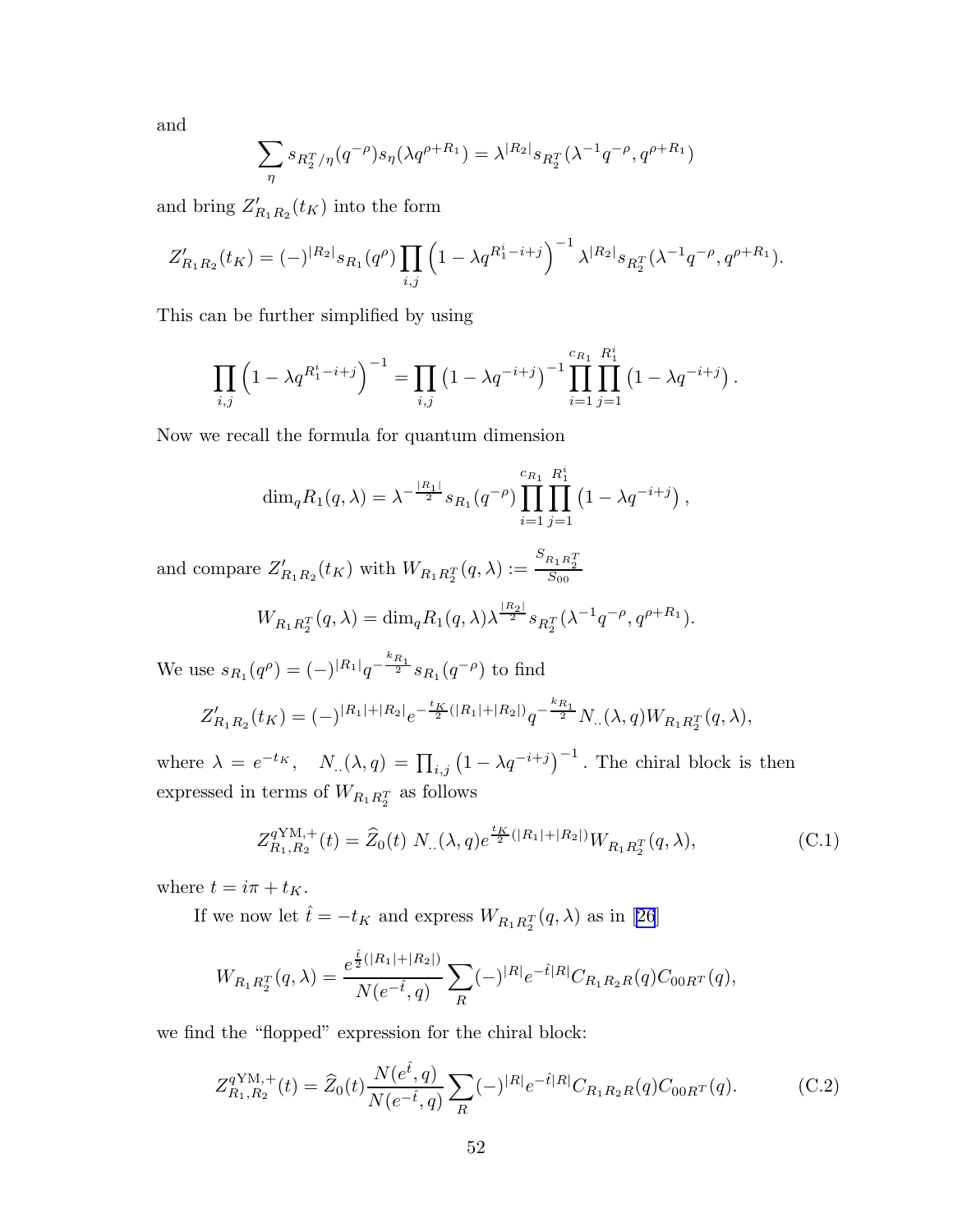and

$$
\sum_{\eta} s_{R_2^T/\eta}(q^{-\rho}) s_{\eta}(\lambda q^{\rho+R_1}) = \lambda^{|R_2|} s_{R_2^T}(\lambda^{-1} q^{-\rho}, q^{\rho+R_1})
$$

and bring  $Z'_{R_1R_2}(t_K)$  into the form

$$
Z'_{R_1R_2}(t_K) = (-)^{|R_2|} s_{R_1}(q^{\rho}) \prod_{i,j} \left(1 - \lambda q^{R_1^i - i + j}\right)^{-1} \lambda^{|R_2|} s_{R_2^T}(\lambda^{-1} q^{-\rho}, q^{\rho + R_1}).
$$

This can be further simplified by using

$$
\prod_{i,j} \left(1 - \lambda q^{R_1^i - i + j}\right)^{-1} = \prod_{i,j} \left(1 - \lambda q^{-i+j}\right)^{-1} \prod_{i=1}^{c_{R_1}} \prod_{j=1}^{R_1^i} \left(1 - \lambda q^{-i+j}\right).
$$

Now we recall the formula for quantum dimension

$$
\dim_q R_1(q,\lambda) = \lambda^{-\frac{|R_1|}{2}} s_{R_1}(q^{-\rho}) \prod_{i=1}^{c_{R_1}} \prod_{j=1}^{R_1^i} (1 - \lambda q^{-i+j}),
$$

and compare  $Z'_{R_1R_2}(t_K)$  with  $W_{R_1R_2^T}(q, \lambda) := \frac{S_{R_1R_2^T}}{S_{00}}$ 

$$
W_{R_1R_2^T}(q,\lambda) = \dim_q R_1(q,\lambda)\lambda^{\frac{|R_2|}{2}} s_{R_2^T}(\lambda^{-1}q^{-\rho},q^{\rho+R_1}).
$$

We use  $s_{R_1}(q^{\rho}) = (-)^{|R_1|} q^{-\frac{k_{R_1}}{2}} s_{R_1}(q^{-\rho})$  to find

$$
Z'_{R_1R_2}(t_K) = (-)^{|R_1|+|R_2|} e^{-\frac{t_K}{2}(|R_1|+|R_2|)} q^{-\frac{k_{R_1}}{2}} N_{..}(\lambda, q) W_{R_1R_2^T}(q, \lambda),
$$

where  $\lambda = e^{-t_K}$ ,  $N_{..}(\lambda, q) = \prod_{i,j} (1 - \lambda q^{-i+j})^{-1}$ . The chiral block is then expressed in terms of  $W_{R_1R_2^T}$  as follows

$$
Z_{R_1,R_2}^{q{\rm YM},+}(t) = \widehat{Z}_0(t) N_{..}(\lambda, q) e^{\frac{t_K}{2}(|R_1|+|R_2|)} W_{R_1R_2^T}(q,\lambda), \tag{C.1}
$$

where  $t = i\pi + t_K$ .

If we now let  $\hat{t} = -t_K$  and express  $W_{R_1 R_2^T}(q, \lambda)$  as in [\[26](#page-56-0)]

$$
W_{R_1R_2^T}(q,\lambda) = \frac{e^{\frac{\hat{t}}{2}(|R_1|+|R_2|)}}{N(e^{-\hat{t}},q)} \sum_R (-)^{|R|} e^{-\hat{t}|R|} C_{R_1R_2R}(q) C_{00R^T}(q),
$$

we find the "flopped" expression for the chiral block:

$$
Z_{R_1,R_2}^{q{\rm YM},+}(t) = \widehat{Z}_0(t) \frac{N(e^{\hat{t}},q)}{N(e^{-\hat{t}},q)} \sum_R (-)^{|R|} e^{-\hat{t}|R|} C_{R_1R_2R}(q) C_{00R^T}(q). \tag{C.2}
$$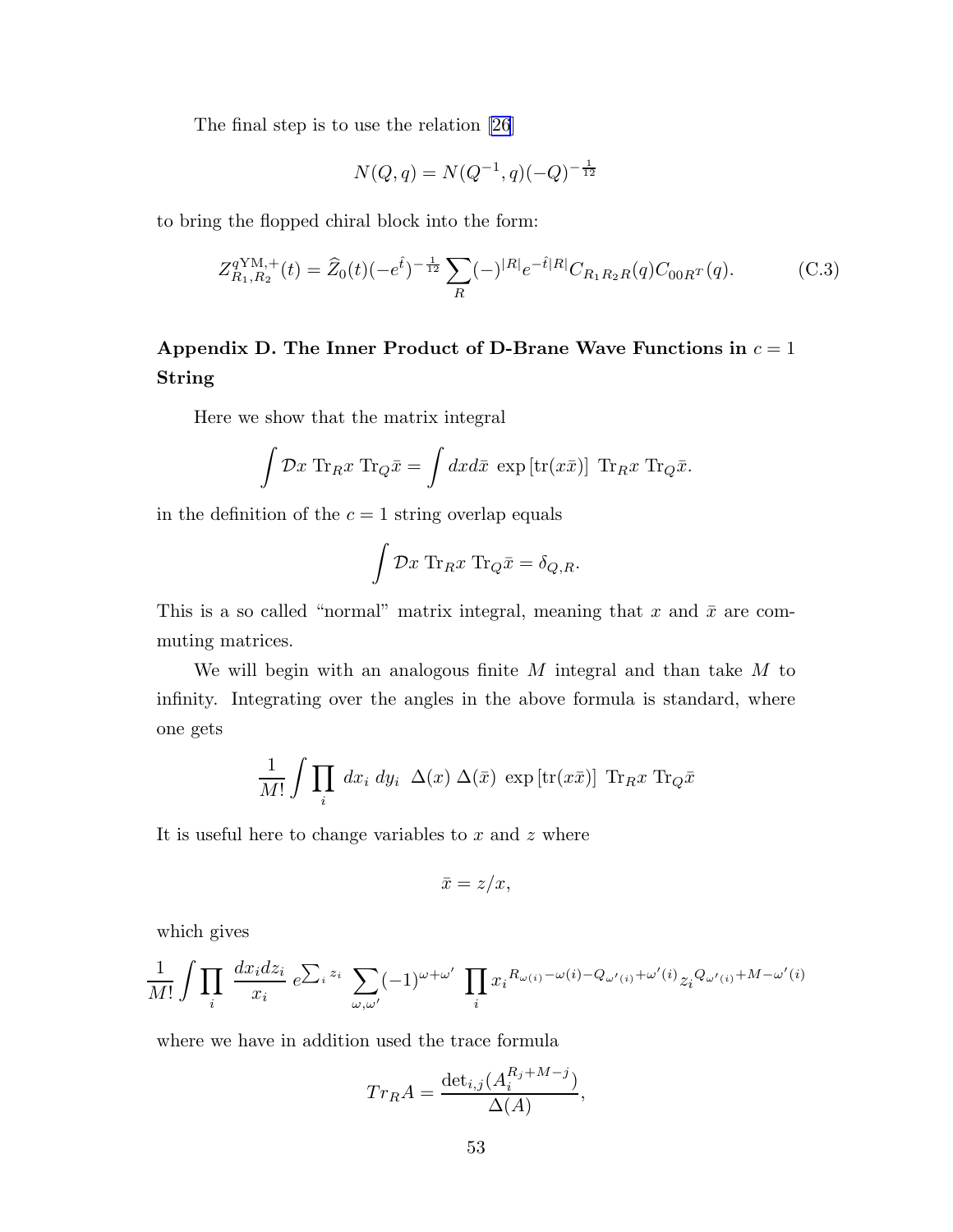The final step is to use the relation [\[26](#page-56-0)]

$$
N(Q, q) = N(Q^{-1}, q)(-Q)^{-\frac{1}{12}}
$$

to bring the flopped chiral block into the form:

$$
Z_{R_1,R_2}^{q \text{YM},+}(t) = \widehat{Z}_0(t)(-e^{\hat{t}})^{-\frac{1}{12}} \sum_R (-)^{|R|} e^{-\hat{t}|R|} C_{R_1R_2R}(q) C_{00R^T}(q). \tag{C.3}
$$

# Appendix D. The Inner Product of D-Brane Wave Functions in  $c = 1$ String

Here we show that the matrix integral

$$
\int \mathcal{D}x \operatorname{Tr}_R x \operatorname{Tr}_Q \bar{x} = \int dx d\bar{x} \exp\left[\text{tr}(x\bar{x})\right] \operatorname{Tr}_R x \operatorname{Tr}_Q \bar{x}.
$$

in the definition of the  $c = 1$  string overlap equals

$$
\int \mathcal{D}x \,\mathrm{Tr}_R x \,\mathrm{Tr}_Q \bar{x} = \delta_{Q,R}.
$$

This is a so called "normal" matrix integral, meaning that x and  $\bar{x}$  are commuting matrices.

We will begin with an analogous finite  $M$  integral and than take  $M$  to infinity. Integrating over the angles in the above formula is standard, where one gets

$$
\frac{1}{M!} \int \prod_i dx_i dy_i \Delta(x) \Delta(\bar{x}) \exp\left[\text{tr}(x\bar{x})\right] \text{Tr}_R x \text{Tr}_Q \bar{x}
$$

It is useful here to change variables to  $x$  and  $z$  where

$$
\bar{x} = z/x,
$$

which gives

$$
\frac{1}{M!} \int \prod_i \frac{dx_i dz_i}{x_i} e^{\sum_i z_i} \sum_{\omega,\omega'} (-1)^{\omega + \omega'} \prod_i x_i^{R_{\omega(i)} - \omega(i) - Q_{\omega'(i)} + \omega'(i)} z_i^{Q_{\omega'(i)} + M - \omega'(i)}
$$

where we have in addition used the trace formula

$$
Tr_R A = \frac{\det_{i,j}(A_i^{R_j + M - j})}{\Delta(A)},
$$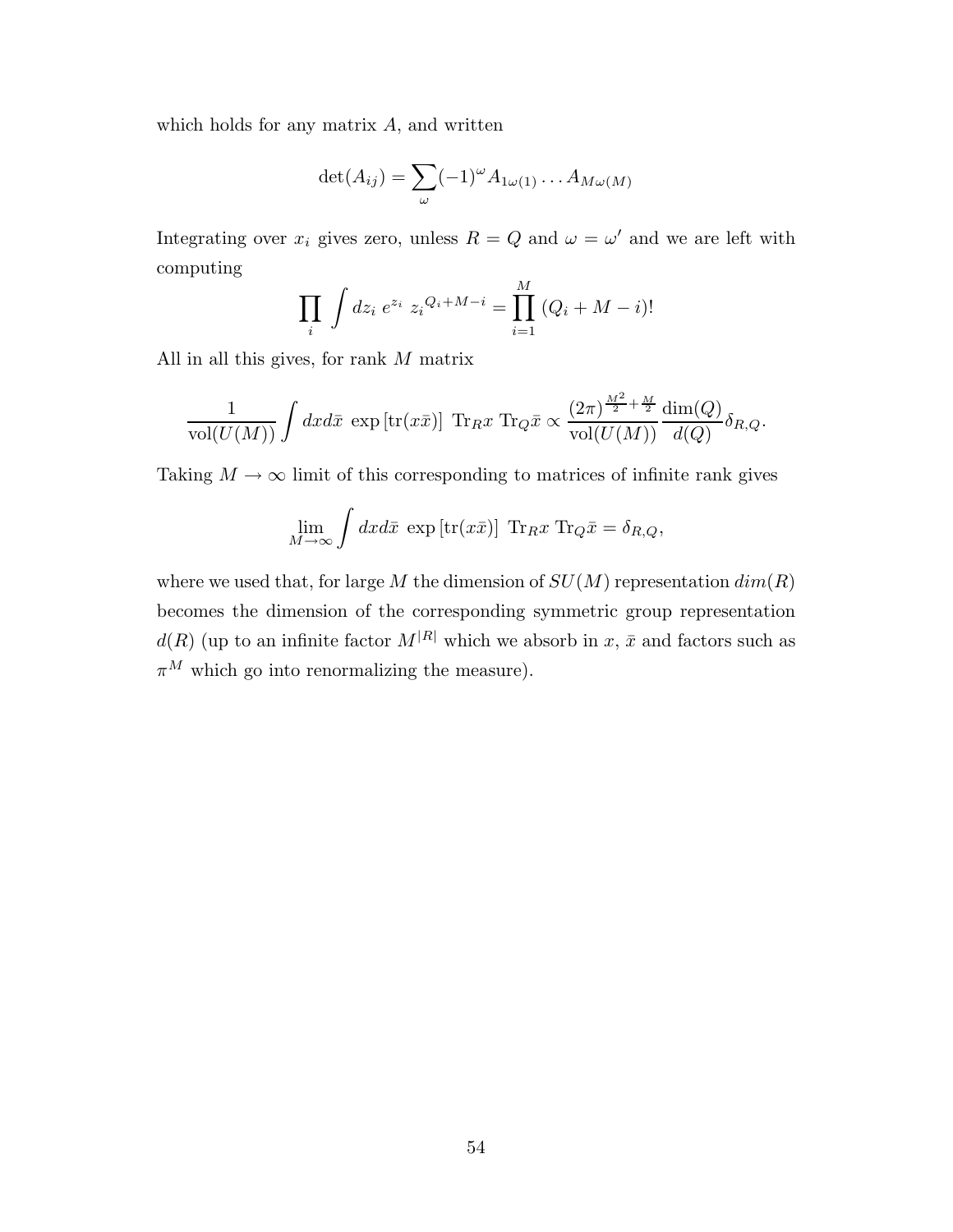which holds for any matrix  $A$ , and written

$$
\det(A_{ij}) = \sum_{\omega} (-1)^{\omega} A_{1\omega(1)} \dots A_{M\omega(M)}
$$

Integrating over  $x_i$  gives zero, unless  $R = Q$  and  $\omega = \omega'$  and we are left with computing

$$
\prod_{i} \int dz_i \ e^{z_i} \ z_i^{Q_i + M - i} = \prod_{i=1}^{M} (Q_i + M - i)!
$$

All in all this gives, for rank M matrix

$$
\frac{1}{\text{vol}(U(M))} \int dx d\bar{x} \exp\left[\text{tr}(x\bar{x})\right] \text{Tr}_{R}x \text{ Tr}_{Q}\bar{x} \propto \frac{(2\pi)^{\frac{M^{2}}{2} + \frac{M}{2}}}{\text{vol}(U(M))} \frac{\text{dim}(Q)}{d(Q)} \delta_{R,Q}.
$$

Taking  $M \to \infty$  limit of this corresponding to matrices of infinite rank gives

$$
\lim_{M \to \infty} \int dx d\bar{x} \exp\left[\text{tr}(x\bar{x})\right] \operatorname{Tr}_{R} x \operatorname{Tr}_{Q} \bar{x} = \delta_{R,Q},
$$

where we used that, for large M the dimension of  $SU(M)$  representation  $dim(R)$ becomes the dimension of the corresponding symmetric group representation  $d(R)$  (up to an infinite factor  $M^{|R|}$  which we absorb in  $x, \bar{x}$  and factors such as  $\pi^M$  which go into renormalizing the measure).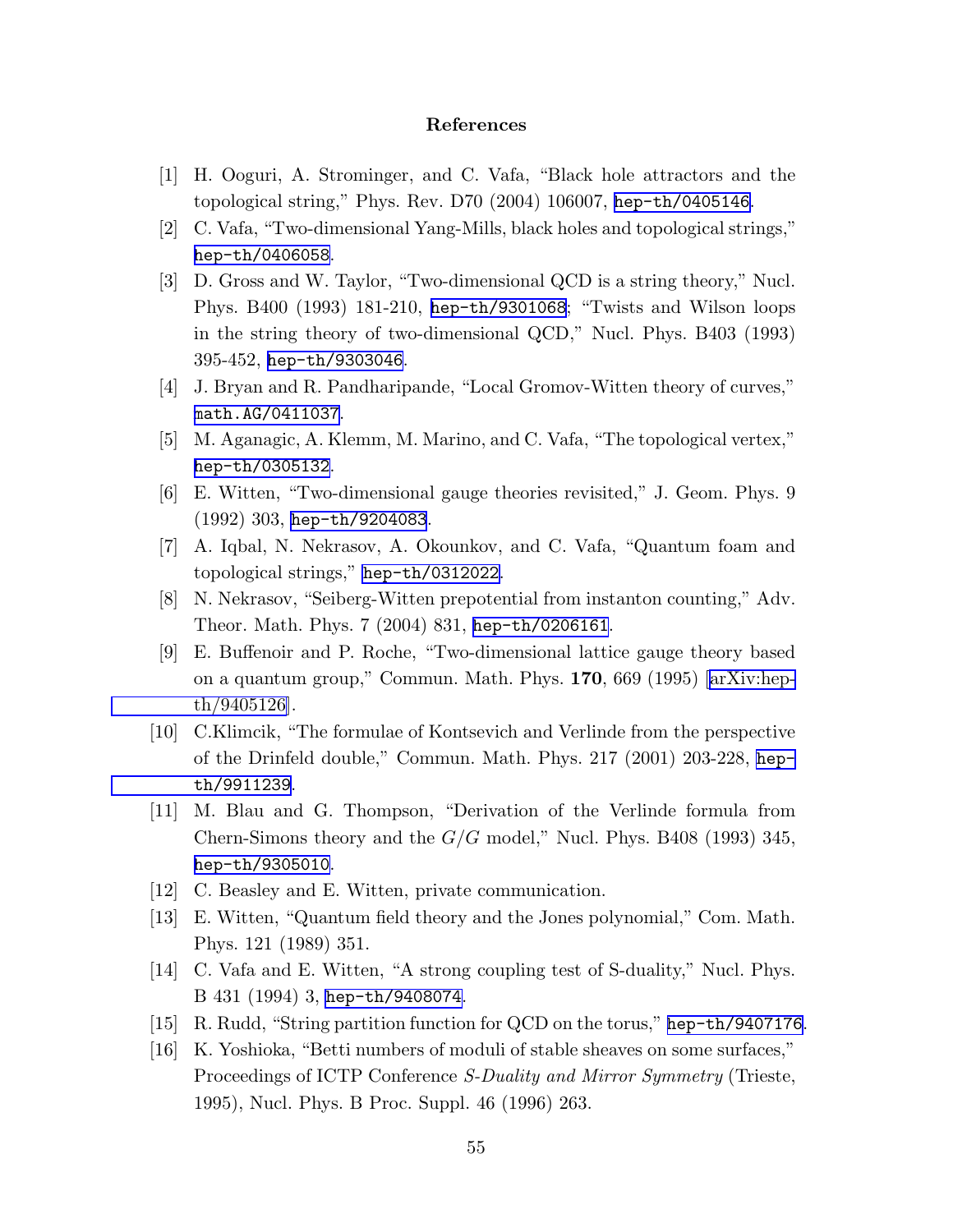#### References

- <span id="page-55-0"></span>[1] H. Ooguri, A. Strominger, and C. Vafa, "Black hole attractors and the topological string," Phys. Rev. D70 (2004) 106007, [hep-th/0405146](http://arXiv.org/abs/hep-th/0405146).
- [2] C. Vafa, "Two-dimensional Yang-Mills, black holes and topological strings," [hep-th/0406058](http://arXiv.org/abs/hep-th/0406058).
- [3] D. Gross and W. Taylor, "Two-dimensional QCD is a string theory," Nucl. Phys. B400 (1993) 181-210, [hep-th/9301068](http://arXiv.org/abs/hep-th/9301068); "Twists and Wilson loops in the string theory of two-dimensional QCD," Nucl. Phys. B403 (1993) 395-452, [hep-th/9303046](http://arXiv.org/abs/hep-th/9303046).
- [4] J. Bryan and R. Pandharipande, "Local Gromov-Witten theory of curves," [math.AG/0411037](http://arXiv.org/abs/math/0411037).
- [5] M. Aganagic, A. Klemm, M. Marino, and C. Vafa, "The topological vertex," [hep-th/0305132](http://arXiv.org/abs/hep-th/0305132).
- [6] E. Witten, "Two-dimensional gauge theories revisited," J. Geom. Phys. 9 (1992) 303, [hep-th/9204083](http://arXiv.org/abs/hep-th/9204083).
- [7] A. Iqbal, N. Nekrasov, A. Okounkov, and C. Vafa, "Quantum foam and topological strings," [hep-th/0312022](http://arXiv.org/abs/hep-th/0312022).
- [8] N. Nekrasov, "Seiberg-Witten prepotential from instanton counting," Adv. Theor. Math. Phys. 7 (2004) 831, [hep-th/0206161](http://arXiv.org/abs/hep-th/0206161).
- [9] E. Buffenoir and P. Roche, "Two-dimensional lattice gauge theory based on a quantum group," Commun. Math. Phys. 170, 669 (1995) [\[arXiv:hep](http://arXiv.org/abs/hep-th/9405126)[th/9405126\]](http://arXiv.org/abs/hep-th/9405126).
- [10] C.Klimcik, "The formulae of Kontsevich and Verlinde from the perspective of the Drinfeld double," Commun. Math. Phys. 217 (2001) 203-228, [hep](http://arXiv.org/abs/hep-th/9911239)[th/9911239](http://arXiv.org/abs/hep-th/9911239).
- [11] M. Blau and G. Thompson, "Derivation of the Verlinde formula from Chern-Simons theory and the  $G/G$  model," Nucl. Phys. B408 (1993) 345, [hep-th/9305010](http://arXiv.org/abs/hep-th/9305010).
- [12] C. Beasley and E. Witten, private communication.
- [13] E. Witten, "Quantum field theory and the Jones polynomial," Com. Math. Phys. 121 (1989) 351.
- [14] C. Vafa and E. Witten, "A strong coupling test of S-duality," Nucl. Phys. B 431 (1994) 3, [hep-th/9408074](http://arXiv.org/abs/hep-th/9408074).
- [15] R. Rudd, "String partition function for QCD on the torus," [hep-th/9407176](http://arXiv.org/abs/hep-th/9407176).
- [16] K. Yoshioka, "Betti numbers of moduli of stable sheaves on some surfaces," Proceedings of ICTP Conference S-Duality and Mirror Symmetry (Trieste, 1995), Nucl. Phys. B Proc. Suppl. 46 (1996) 263.